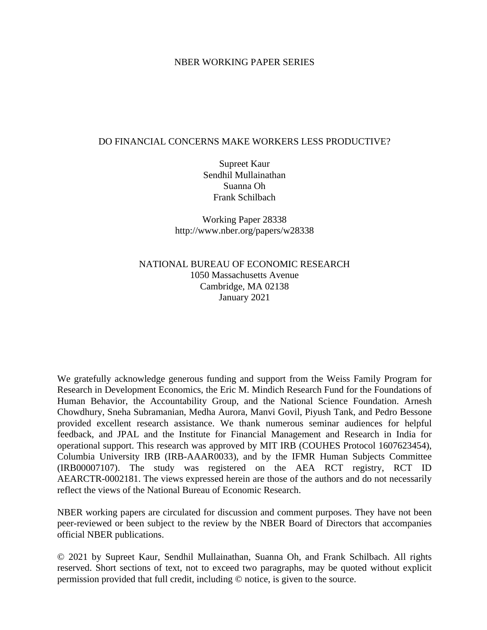#### NBER WORKING PAPER SERIES

#### DO FINANCIAL CONCERNS MAKE WORKERS LESS PRODUCTIVE?

Supreet Kaur Sendhil Mullainathan Suanna Oh Frank Schilbach

Working Paper 28338 http://www.nber.org/papers/w28338

NATIONAL BUREAU OF ECONOMIC RESEARCH 1050 Massachusetts Avenue Cambridge, MA 02138 January 2021

We gratefully acknowledge generous funding and support from the Weiss Family Program for Research in Development Economics, the Eric M. Mindich Research Fund for the Foundations of Human Behavior, the Accountability Group, and the National Science Foundation. Arnesh Chowdhury, Sneha Subramanian, Medha Aurora, Manvi Govil, Piyush Tank, and Pedro Bessone provided excellent research assistance. We thank numerous seminar audiences for helpful feedback, and JPAL and the Institute for Financial Management and Research in India for operational support. This research was approved by MIT IRB (COUHES Protocol 1607623454), Columbia University IRB (IRB-AAAR0033), and by the IFMR Human Subjects Committee (IRB00007107). The study was registered on the AEA RCT registry, RCT ID AEARCTR-0002181. The views expressed herein are those of the authors and do not necessarily reflect the views of the National Bureau of Economic Research.

NBER working papers are circulated for discussion and comment purposes. They have not been peer-reviewed or been subject to the review by the NBER Board of Directors that accompanies official NBER publications.

© 2021 by Supreet Kaur, Sendhil Mullainathan, Suanna Oh, and Frank Schilbach. All rights reserved. Short sections of text, not to exceed two paragraphs, may be quoted without explicit permission provided that full credit, including © notice, is given to the source.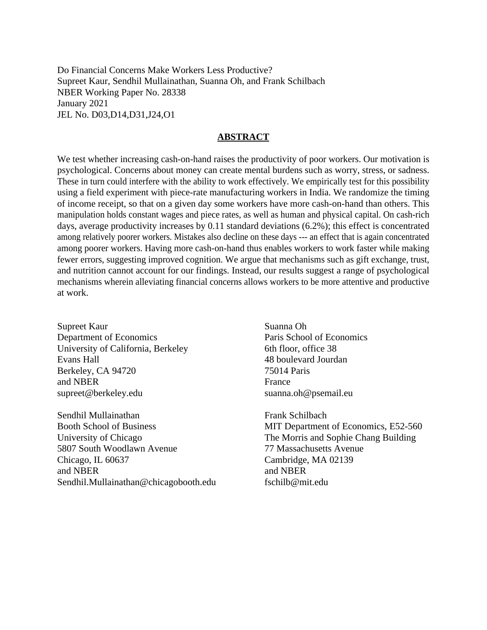Do Financial Concerns Make Workers Less Productive? Supreet Kaur, Sendhil Mullainathan, Suanna Oh, and Frank Schilbach NBER Working Paper No. 28338 January 2021 JEL No. D03,D14,D31,J24,O1

#### **ABSTRACT**

We test whether increasing cash-on-hand raises the productivity of poor workers. Our motivation is psychological. Concerns about money can create mental burdens such as worry, stress, or sadness. These in turn could interfere with the ability to work effectively. We empirically test for this possibility using a field experiment with piece-rate manufacturing workers in India. We randomize the timing of income receipt, so that on a given day some workers have more cash-on-hand than others. This manipulation holds constant wages and piece rates, as well as human and physical capital. On cash-rich days, average productivity increases by 0.11 standard deviations (6.2%); this effect is concentrated among relatively poorer workers. Mistakes also decline on these days --- an effect that is again concentrated among poorer workers. Having more cash-on-hand thus enables workers to work faster while making fewer errors, suggesting improved cognition. We argue that mechanisms such as gift exchange, trust, and nutrition cannot account for our findings. Instead, our results suggest a range of psychological mechanisms wherein alleviating financial concerns allows workers to be more attentive and productive at work.

Supreet Kaur Department of Economics University of California, Berkeley Evans Hall Berkeley, CA 94720 and NBER supreet@berkeley.edu

Sendhil Mullainathan Booth School of Business University of Chicago 5807 South Woodlawn Avenue Chicago, IL 60637 and NBER Sendhil.Mullainathan@chicagobooth.edu Suanna Oh Paris School of Economics 6th floor, office 38 48 boulevard Jourdan 75014 Paris France suanna.oh@psemail.eu

Frank Schilbach MIT Department of Economics, E52-560 The Morris and Sophie Chang Building 77 Massachusetts Avenue Cambridge, MA 02139 and NBER fschilb@mit.edu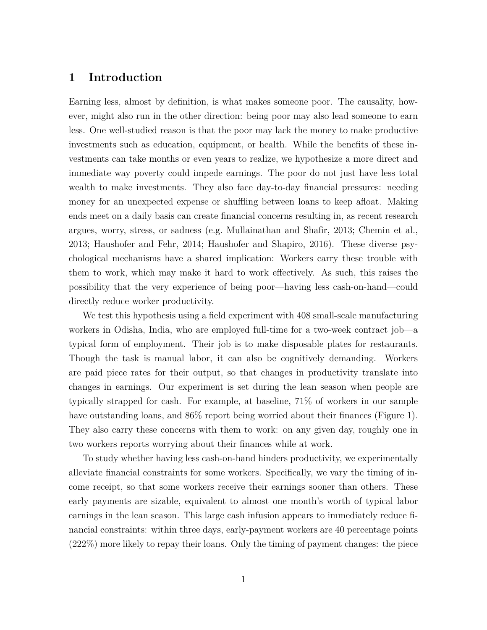## **1 Introduction**

Earning less, almost by definition, is what makes someone poor. The causality, however, might also run in the other direction: being poor may also lead someone to earn less. One well-studied reason is that the poor may lack the money to make productive investments such as education, equipment, or health. While the benefits of these investments can take months or even years to realize, we hypothesize a more direct and immediate way poverty could impede earnings. The poor do not just have less total wealth to make investments. They also face day-to-day financial pressures: needing money for an unexpected expense or shuffling between loans to keep afloat. Making ends meet on a daily basis can create financial concerns resulting in, as recent research argues, worry, stress, or sadness (e.g. [Mullainathan and Shafir, 2013;](#page-37-0) [Chemin et al.,](#page-35-0) [2013;](#page-35-0) [Haushofer and Fehr, 2014;](#page-36-0) [Haushofer and Shapiro, 2016\)](#page-36-1). These diverse psychological mechanisms have a shared implication: Workers carry these trouble with them to work, which may make it hard to work effectively. As such, this raises the possibility that the very experience of being poor—having less cash-on-hand—could directly reduce worker productivity.

We test this hypothesis using a field experiment with 408 small-scale manufacturing workers in Odisha, India, who are employed full-time for a two-week contract job—a typical form of employment. Their job is to make disposable plates for restaurants. Though the task is manual labor, it can also be cognitively demanding. Workers are paid piece rates for their output, so that changes in productivity translate into changes in earnings. Our experiment is set during the lean season when people are typically strapped for cash. For example, at baseline, 71% of workers in our sample have outstanding loans, and  $86\%$  report being worried about their finances (Figure [1\)](#page-38-0). They also carry these concerns with them to work: on any given day, roughly one in two workers reports worrying about their finances while at work.

To study whether having less cash-on-hand hinders productivity, we experimentally alleviate financial constraints for some workers. Specifically, we vary the timing of income receipt, so that some workers receive their earnings sooner than others. These early payments are sizable, equivalent to almost one month's worth of typical labor earnings in the lean season. This large cash infusion appears to immediately reduce financial constraints: within three days, early-payment workers are 40 percentage points (222%) more likely to repay their loans. Only the timing of payment changes: the piece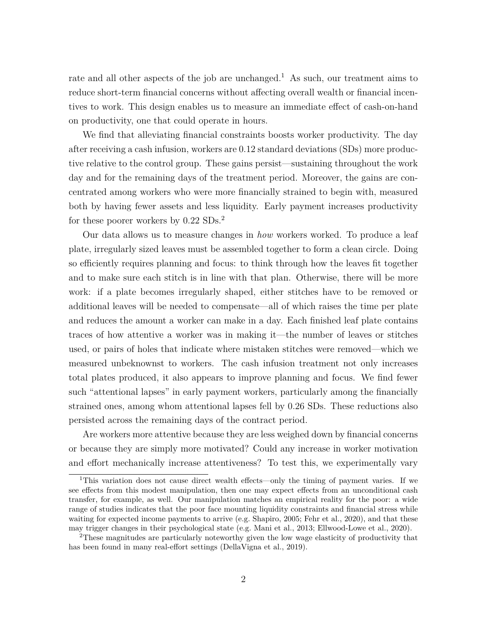rate and all other aspects of the job are unchanged.<sup>[1](#page--1-0)</sup> As such, our treatment aims to reduce short-term financial concerns without affecting overall wealth or financial incentives to work. This design enables us to measure an immediate effect of cash-on-hand on productivity, one that could operate in hours.

We find that alleviating financial constraints boosts worker productivity. The day after receiving a cash infusion, workers are 0.12 standard deviations (SDs) more productive relative to the control group. These gains persist—sustaining throughout the work day and for the remaining days of the treatment period. Moreover, the gains are concentrated among workers who were more financially strained to begin with, measured both by having fewer assets and less liquidity. Early payment increases productivity for these poorer workers by 0.22 SDs.[2](#page--1-0)

Our data allows us to measure changes in *how* workers worked. To produce a leaf plate, irregularly sized leaves must be assembled together to form a clean circle. Doing so efficiently requires planning and focus: to think through how the leaves fit together and to make sure each stitch is in line with that plan. Otherwise, there will be more work: if a plate becomes irregularly shaped, either stitches have to be removed or additional leaves will be needed to compensate—all of which raises the time per plate and reduces the amount a worker can make in a day. Each finished leaf plate contains traces of how attentive a worker was in making it—the number of leaves or stitches used, or pairs of holes that indicate where mistaken stitches were removed—which we measured unbeknownst to workers. The cash infusion treatment not only increases total plates produced, it also appears to improve planning and focus. We find fewer such "attentional lapses" in early payment workers, particularly among the financially strained ones, among whom attentional lapses fell by 0.26 SDs. These reductions also persisted across the remaining days of the contract period.

Are workers more attentive because they are less weighed down by financial concerns or because they are simply more motivated? Could any increase in worker motivation and effort mechanically increase attentiveness? To test this, we experimentally vary

<sup>1</sup>This variation does not cause direct wealth effects—only the timing of payment varies. If we see effects from this modest manipulation, then one may expect effects from an unconditional cash transfer, for example, as well. Our manipulation matches an empirical reality for the poor: a wide range of studies indicates that the poor face mounting liquidity constraints and financial stress while waiting for expected income payments to arrive (e.g. [Shapiro, 2005;](#page-37-1) [Fehr et al., 2020\)](#page-35-1), and that these may trigger changes in their psychological state (e.g. [Mani et al., 2013;](#page-37-2) [Ellwood-Lowe et al., 2020\)](#page-35-2).

<sup>2</sup>These magnitudes are particularly noteworthy given the low wage elasticity of productivity that has been found in many real-effort settings [\(DellaVigna et al., 2019\)](#page-35-3).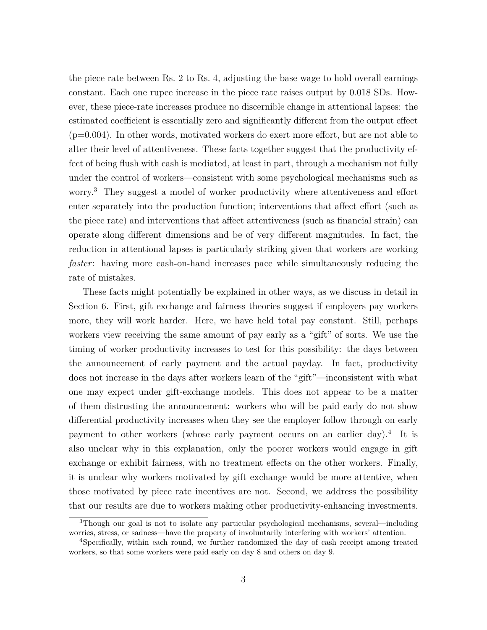the piece rate between Rs. 2 to Rs. 4, adjusting the base wage to hold overall earnings constant. Each one rupee increase in the piece rate raises output by 0.018 SDs. However, these piece-rate increases produce no discernible change in attentional lapses: the estimated coefficient is essentially zero and significantly different from the output effect (p=0.004). In other words, motivated workers do exert more effort, but are not able to alter their level of attentiveness. These facts together suggest that the productivity effect of being flush with cash is mediated, at least in part, through a mechanism not fully under the control of workers—consistent with some psychological mechanisms such as worry.[3](#page--1-0) They suggest a model of worker productivity where attentiveness and effort enter separately into the production function; interventions that affect effort (such as the piece rate) and interventions that affect attentiveness (such as financial strain) can operate along different dimensions and be of very different magnitudes. In fact, the reduction in attentional lapses is particularly striking given that workers are working *faster*: having more cash-on-hand increases pace while simultaneously reducing the rate of mistakes.

These facts might potentially be explained in other ways, as we discuss in detail in Section [6.](#page-25-0) First, gift exchange and fairness theories suggest if employers pay workers more, they will work harder. Here, we have held total pay constant. Still, perhaps workers view receiving the same amount of pay early as a "gift" of sorts. We use the timing of worker productivity increases to test for this possibility: the days between the announcement of early payment and the actual payday. In fact, productivity does not increase in the days after workers learn of the "gift"—inconsistent with what one may expect under gift-exchange models. This does not appear to be a matter of them distrusting the announcement: workers who will be paid early do not show differential productivity increases when they see the employer follow through on early payment to other workers (whose early payment occurs on an earlier day).[4](#page--1-0) It is also unclear why in this explanation, only the poorer workers would engage in gift exchange or exhibit fairness, with no treatment effects on the other workers. Finally, it is unclear why workers motivated by gift exchange would be more attentive, when those motivated by piece rate incentives are not. Second, we address the possibility that our results are due to workers making other productivity-enhancing investments.

<sup>3</sup>Though our goal is not to isolate any particular psychological mechanisms, several—including worries, stress, or sadness—have the property of involuntarily interfering with workers' attention.

<sup>4</sup>Specifically, within each round, we further randomized the day of cash receipt among treated workers, so that some workers were paid early on day 8 and others on day 9.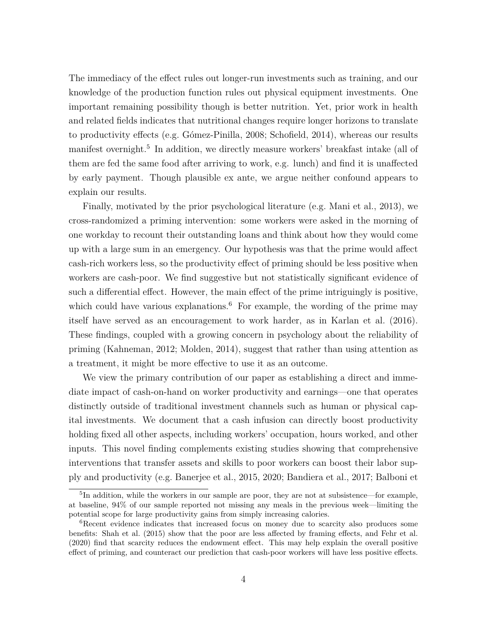The immediacy of the effect rules out longer-run investments such as training, and our knowledge of the production function rules out physical equipment investments. One important remaining possibility though is better nutrition. Yet, prior work in health and related fields indicates that nutritional changes require longer horizons to translate to productivity effects (e.g. [Gómez-Pinilla, 2008;](#page-36-2) [Schofield, 2014\)](#page-37-3), whereas our results manifest overnight.<sup>[5](#page--1-0)</sup> In addition, we directly measure workers' breakfast intake (all of them are fed the same food after arriving to work, e.g. lunch) and find it is unaffected by early payment. Though plausible ex ante, we argue neither confound appears to explain our results.

Finally, motivated by the prior psychological literature (e.g. [Mani et al., 2013\)](#page-37-2), we cross-randomized a priming intervention: some workers were asked in the morning of one workday to recount their outstanding loans and think about how they would come up with a large sum in an emergency. Our hypothesis was that the prime would affect cash-rich workers less, so the productivity effect of priming should be less positive when workers are cash-poor. We find suggestive but not statistically significant evidence of such a differential effect. However, the main effect of the prime intriguingly is positive, which could have various explanations.<sup>[6](#page--1-0)</sup> For example, the wording of the prime may itself have served as an encouragement to work harder, as in [Karlan et al.](#page-36-3) [\(2016\)](#page-36-3). These findings, coupled with a growing concern in psychology about the reliability of priming [\(Kahneman, 2012;](#page-36-4) [Molden, 2014\)](#page-37-4), suggest that rather than using attention as a treatment, it might be more effective to use it as an outcome.

We view the primary contribution of our paper as establishing a direct and immediate impact of cash-on-hand on worker productivity and earnings—one that operates distinctly outside of traditional investment channels such as human or physical capital investments. We document that a cash infusion can directly boost productivity holding fixed all other aspects, including workers' occupation, hours worked, and other inputs. This novel finding complements existing studies showing that comprehensive interventions that transfer assets and skills to poor workers can boost their labor supply and productivity (e.g. [Banerjee et al., 2015,](#page-34-0) [2020;](#page-34-1) [Bandiera et al., 2017;](#page-34-2) [Balboni et](#page-34-3)

<sup>&</sup>lt;sup>5</sup>[In addition, while the workers in our sample are poor, they are not at subsistence—for example,](#page-34-3) [at baseline, 94% of our sample reported not missing any meals in the previous week—limiting the](#page-34-3) [potential scope for large productivity gains from simply increasing calories.](#page-34-3)

<sup>&</sup>lt;sup>6</sup>[Recent evidence indicates that increased focus on money due to scarcity also produces some](#page-34-3) [benefits: Shah et al. \(2015\) show that the poor are less affected by framing effects, and Fehr et al.](#page-34-3) [\(2020\) find that scarcity reduces the endowment effect. This may help explain the overall positive](#page-34-3) [effect of priming, and counteract our prediction that cash-poor workers will have less positive effects.](#page-34-3)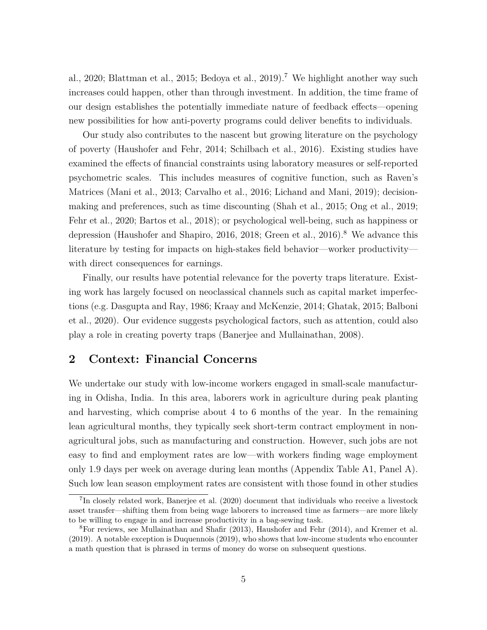[al., 2020;](#page-34-3) [Blattman et al., 2015;](#page-34-4) [Bedoya et al., 2019\)](#page-34-5).<sup>[7](#page--1-0)</sup> We highlight another way such increases could happen, other than through investment. In addition, the time frame of our design establishes the potentially immediate nature of feedback effects—opening new possibilities for how anti-poverty programs could deliver benefits to individuals.

Our study also contributes to the nascent but growing literature on the psychology of poverty [\(Haushofer and Fehr, 2014;](#page-36-0) [Schilbach et al., 2016\)](#page-37-6). Existing studies have examined the effects of financial constraints using laboratory measures or self-reported psychometric scales. This includes measures of cognitive function, such as Raven's Matrices [\(Mani et al., 2013;](#page-37-2) [Carvalho et al., 2016;](#page-35-4) [Lichand and Mani, 2019\)](#page-37-7); decisionmaking and preferences, such as time discounting [\(Shah et al., 2015;](#page-37-5) [Ong et al., 2019;](#page-37-8) [Fehr et al., 2020;](#page-35-1) [Bartos et al., 2018\)](#page-34-6); or psychological well-being, such as happiness or depression [\(Haushofer and Shapiro, 2016,](#page-36-1) [2018;](#page-36-5) [Green et al., 2016\)](#page-36-6).<sup>[8](#page--1-0)</sup> We advance this literature by testing for impacts on high-stakes field behavior—worker productivity with direct consequences for earnings.

Finally, our results have potential relevance for the poverty traps literature. Existing work has largely focused on neoclassical channels such as capital market imperfections (e.g. [Dasgupta and Ray, 1986;](#page-35-5) [Kraay and McKenzie, 2014;](#page-36-7) [Ghatak, 2015;](#page-36-8) [Balboni](#page-34-3) [et al., 2020\)](#page-34-3). Our evidence suggests psychological factors, such as attention, could also play a role in creating poverty traps [\(Banerjee and Mullainathan, 2008\)](#page-34-7).

## <span id="page-6-0"></span>**2 Context: Financial Concerns**

We undertake our study with low-income workers engaged in small-scale manufacturing in Odisha, India. In this area, laborers work in agriculture during peak planting and harvesting, which comprise about 4 to 6 months of the year. In the remaining lean agricultural months, they typically seek short-term contract employment in nonagricultural jobs, such as manufacturing and construction. However, such jobs are not easy to find and employment rates are low—with workers finding wage employment only 1.9 days per week on average during lean months (Appendix Table [A1,](#page-49-0) Panel A). Such low lean season employment rates are consistent with those found in other studies

<sup>&</sup>lt;sup>7</sup>In closely related work, [Banerjee et al.](#page-34-1) [\(2020\)](#page-34-1) document that individuals who receive a livestock asset transfer—shifting them from being wage laborers to increased time as farmers—are more likely to be willing to engage in and increase productivity in a bag-sewing task.

<sup>8</sup>For reviews, see [Mullainathan and Shafir](#page-37-0) [\(2013\)](#page-37-0), [Haushofer and Fehr](#page-36-0) [\(2014\)](#page-36-0), and [Kremer et al.](#page-36-9) [\(2019\)](#page-36-9). A notable exception is [Duquennois](#page-35-6) [\(2019\)](#page-35-6), who shows that low-income students who encounter a math question that is phrased in terms of money do worse on subsequent questions.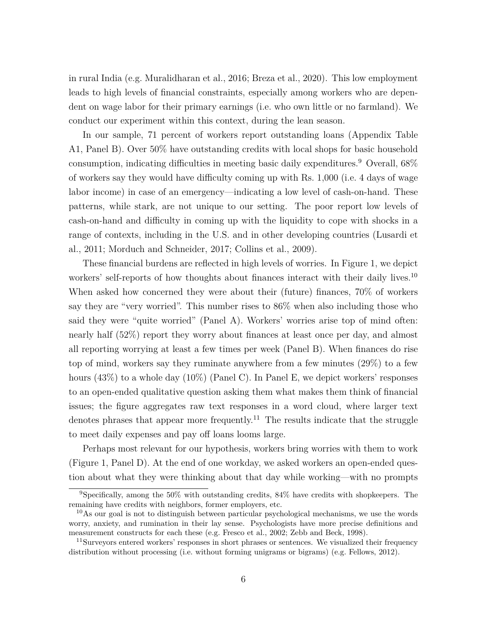in rural India (e.g. [Muralidharan et al., 2016;](#page-37-9) [Breza et al., 2020\)](#page-34-8). This low employment leads to high levels of financial constraints, especially among workers who are dependent on wage labor for their primary earnings (i.e. who own little or no farmland). We conduct our experiment within this context, during the lean season.

In our sample, 71 percent of workers report outstanding loans (Appendix Table [A1,](#page-49-0) Panel B). Over 50% have outstanding credits with local shops for basic household consumption, indicating difficulties in meeting basic daily expenditures.<sup>[9](#page--1-0)</sup> Overall,  $68\%$ of workers say they would have difficulty coming up with Rs. 1,000 (i.e. 4 days of wage labor income) in case of an emergency—indicating a low level of cash-on-hand. These patterns, while stark, are not unique to our setting. The poor report low levels of cash-on-hand and difficulty in coming up with the liquidity to cope with shocks in a range of contexts, including in the U.S. and in other developing countries [\(Lusardi et](#page-37-10) [al., 2011;](#page-37-10) [Morduch and Schneider, 2017;](#page-37-11) [Collins et al., 2009\)](#page-35-7).

These financial burdens are reflected in high levels of worries. In Figure [1,](#page-38-0) we depict workers' self-reports of how thoughts about finances interact with their daily lives.<sup>[10](#page--1-0)</sup> When asked how concerned they were about their (future) finances, 70% of workers say they are "very worried". This number rises to 86% when also including those who said they were "quite worried" (Panel A). Workers' worries arise top of mind often: nearly half (52%) report they worry about finances at least once per day, and almost all reporting worrying at least a few times per week (Panel B). When finances do rise top of mind, workers say they ruminate anywhere from a few minutes (29%) to a few hours (43%) to a whole day (10%) (Panel C). In Panel E, we depict workers' responses to an open-ended qualitative question asking them what makes them think of financial issues; the figure aggregates raw text responses in a word cloud, where larger text denotes phrases that appear more frequently.<sup>[11](#page--1-0)</sup> The results indicate that the struggle to meet daily expenses and pay off loans looms large.

Perhaps most relevant for our hypothesis, workers bring worries with them to work (Figure [1,](#page-38-0) Panel D). At the end of one workday, we asked workers an open-ended question about what they were thinking about that day while working—with no prompts

<sup>9</sup>Specifically, among the 50% with outstanding credits, 84% have credits with shopkeepers. The remaining have credits with neighbors, former employers, etc.

<sup>&</sup>lt;sup>10</sup>As our goal is not to distinguish between particular psychological mechanisms, we use the words worry, anxiety, and rumination in their lay sense. Psychologists have more precise definitions and measurement constructs for each these (e.g. [Fresco et al., 2002;](#page-36-10) [Zebb and Beck, 1998\)](#page-37-12).

<sup>&</sup>lt;sup>11</sup>Surveyors entered workers' responses in short phrases or sentences. We visualized their frequency distribution without processing (i.e. without forming unigrams or bigrams) (e.g. [Fellows, 2012\)](#page-35-8).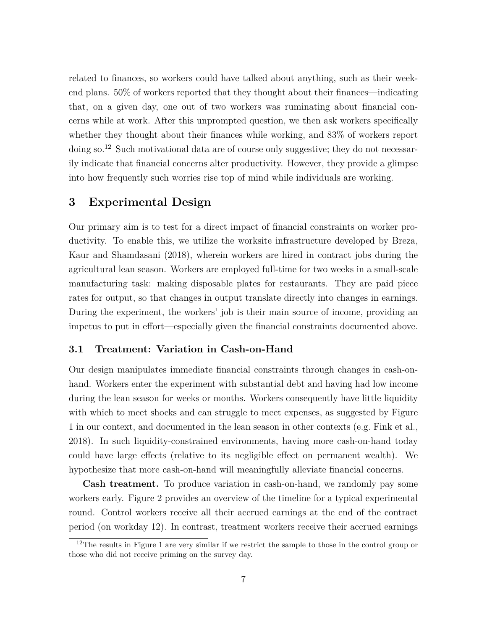related to finances, so workers could have talked about anything, such as their weekend plans. 50% of workers reported that they thought about their finances—indicating that, on a given day, one out of two workers was ruminating about financial concerns while at work. After this unprompted question, we then ask workers specifically whether they thought about their finances while working, and  $83\%$  of workers report doing so.<sup>[12](#page--1-0)</sup> Such motivational data are of course only suggestive; they do not necessarily indicate that financial concerns alter productivity. However, they provide a glimpse into how frequently such worries rise top of mind while individuals are working.

## **3 Experimental Design**

Our primary aim is to test for a direct impact of financial constraints on worker productivity. To enable this, we utilize the worksite infrastructure developed by [Breza,](#page-34-9) [Kaur and Shamdasani](#page-34-9) [\(2018\)](#page-34-9), wherein workers are hired in contract jobs during the agricultural lean season. Workers are employed full-time for two weeks in a small-scale manufacturing task: making disposable plates for restaurants. They are paid piece rates for output, so that changes in output translate directly into changes in earnings. During the experiment, the workers' job is their main source of income, providing an impetus to put in effort—especially given the financial constraints documented above.

#### **3.1 Treatment: Variation in Cash-on-Hand**

Our design manipulates immediate financial constraints through changes in cash-onhand. Workers enter the experiment with substantial debt and having had low income during the lean season for weeks or months. Workers consequently have little liquidity with which to meet shocks and can struggle to meet expenses, as suggested by Figure [1](#page-38-0) in our context, and documented in the lean season in other contexts (e.g. [Fink et al.,](#page-36-11) [2018\)](#page-36-11). In such liquidity-constrained environments, having more cash-on-hand today could have large effects (relative to its negligible effect on permanent wealth). We hypothesize that more cash-on-hand will meaningfully alleviate financial concerns.

**Cash treatment.** To produce variation in cash-on-hand, we randomly pay some workers early. Figure [2](#page-39-0) provides an overview of the timeline for a typical experimental round. Control workers receive all their accrued earnings at the end of the contract period (on workday 12). In contrast, treatment workers receive their accrued earnings

<sup>&</sup>lt;sup>12</sup>The results in Figure [1](#page-38-0) are very similar if we restrict the sample to those in the control group or those who did not receive priming on the survey day.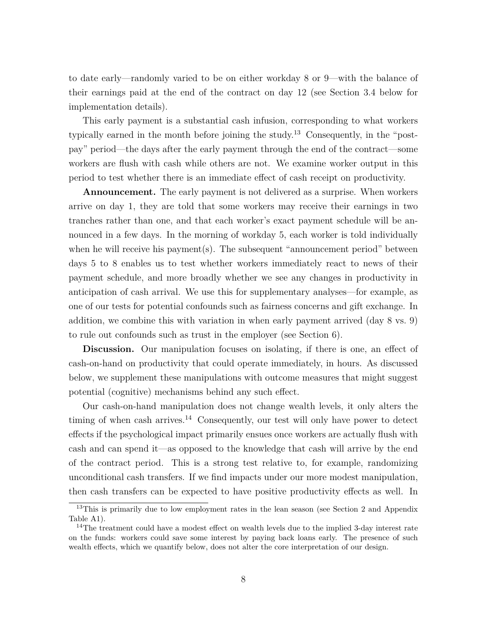to date early—randomly varied to be on either workday 8 or 9—with the balance of their earnings paid at the end of the contract on day 12 (see Section [3.4](#page-14-0) below for implementation details).

This early payment is a substantial cash infusion, corresponding to what workers typically earned in the month before joining the study.[13](#page--1-0) Consequently, in the "postpay" period—the days after the early payment through the end of the contract—some workers are flush with cash while others are not. We examine worker output in this period to test whether there is an immediate effect of cash receipt on productivity.

**Announcement.** The early payment is not delivered as a surprise. When workers arrive on day 1, they are told that some workers may receive their earnings in two tranches rather than one, and that each worker's exact payment schedule will be announced in a few days. In the morning of workday 5, each worker is told individually when he will receive his payment(s). The subsequent "announcement period" between days 5 to 8 enables us to test whether workers immediately react to news of their payment schedule, and more broadly whether we see any changes in productivity in anticipation of cash arrival. We use this for supplementary analyses—for example, as one of our tests for potential confounds such as fairness concerns and gift exchange. In addition, we combine this with variation in when early payment arrived (day 8 vs. 9) to rule out confounds such as trust in the employer (see Section [6\)](#page-25-0).

**Discussion.** Our manipulation focuses on isolating, if there is one, an effect of cash-on-hand on productivity that could operate immediately, in hours. As discussed below, we supplement these manipulations with outcome measures that might suggest potential (cognitive) mechanisms behind any such effect.

Our cash-on-hand manipulation does not change wealth levels, it only alters the timing of when cash arrives.<sup>[14](#page--1-0)</sup> Consequently, our test will only have power to detect effects if the psychological impact primarily ensues once workers are actually flush with cash and can spend it—as opposed to the knowledge that cash will arrive by the end of the contract period. This is a strong test relative to, for example, randomizing unconditional cash transfers. If we find impacts under our more modest manipulation, then cash transfers can be expected to have positive productivity effects as well. In

<sup>&</sup>lt;sup>13</sup>This is primarily due to low employment rates in the lean season (see Section [2](#page-6-0) and Appendix Table [A1\)](#page-49-0).

<sup>&</sup>lt;sup>14</sup>The treatment could have a modest effect on wealth levels due to the implied 3-day interest rate on the funds: workers could save some interest by paying back loans early. The presence of such wealth effects, which we quantify below, does not alter the core interpretation of our design.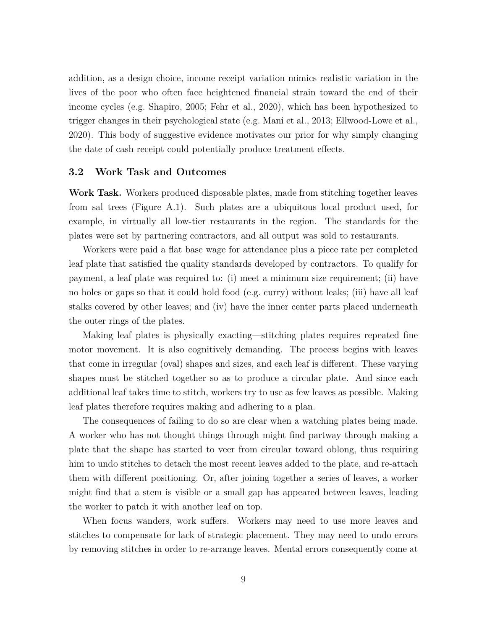addition, as a design choice, income receipt variation mimics realistic variation in the lives of the poor who often face heightened financial strain toward the end of their income cycles (e.g. [Shapiro, 2005;](#page-37-1) [Fehr et al., 2020\)](#page-35-1), which has been hypothesized to trigger changes in their psychological state (e.g. [Mani et al., 2013;](#page-37-2) [Ellwood-Lowe et al.,](#page-35-2) [2020\)](#page-35-2). This body of suggestive evidence motivates our prior for why simply changing the date of cash receipt could potentially produce treatment effects.

#### **3.2 Work Task and Outcomes**

**Work Task.** Workers produced disposable plates, made from stitching together leaves from sal trees (Figure [A.1\)](#page-47-0). Such plates are a ubiquitous local product used, for example, in virtually all low-tier restaurants in the region. The standards for the plates were set by partnering contractors, and all output was sold to restaurants.

Workers were paid a flat base wage for attendance plus a piece rate per completed leaf plate that satisfied the quality standards developed by contractors. To qualify for payment, a leaf plate was required to: (i) meet a minimum size requirement; (ii) have no holes or gaps so that it could hold food (e.g. curry) without leaks; (iii) have all leaf stalks covered by other leaves; and (iv) have the inner center parts placed underneath the outer rings of the plates.

Making leaf plates is physically exacting—stitching plates requires repeated fine motor movement. It is also cognitively demanding. The process begins with leaves that come in irregular (oval) shapes and sizes, and each leaf is different. These varying shapes must be stitched together so as to produce a circular plate. And since each additional leaf takes time to stitch, workers try to use as few leaves as possible. Making leaf plates therefore requires making and adhering to a plan.

The consequences of failing to do so are clear when a watching plates being made. A worker who has not thought things through might find partway through making a plate that the shape has started to veer from circular toward oblong, thus requiring him to undo stitches to detach the most recent leaves added to the plate, and re-attach them with different positioning. Or, after joining together a series of leaves, a worker might find that a stem is visible or a small gap has appeared between leaves, leading the worker to patch it with another leaf on top.

When focus wanders, work suffers. Workers may need to use more leaves and stitches to compensate for lack of strategic placement. They may need to undo errors by removing stitches in order to re-arrange leaves. Mental errors consequently come at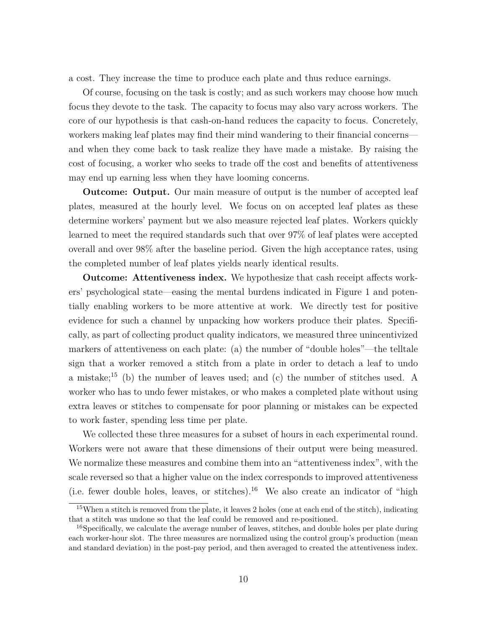a cost. They increase the time to produce each plate and thus reduce earnings.

Of course, focusing on the task is costly; and as such workers may choose how much focus they devote to the task. The capacity to focus may also vary across workers. The core of our hypothesis is that cash-on-hand reduces the capacity to focus. Concretely, workers making leaf plates may find their mind wandering to their financial concerns and when they come back to task realize they have made a mistake. By raising the cost of focusing, a worker who seeks to trade off the cost and benefits of attentiveness may end up earning less when they have looming concerns.

**Outcome: Output.** Our main measure of output is the number of accepted leaf plates, measured at the hourly level. We focus on on accepted leaf plates as these determine workers' payment but we also measure rejected leaf plates. Workers quickly learned to meet the required standards such that over 97% of leaf plates were accepted overall and over 98% after the baseline period. Given the high acceptance rates, using the completed number of leaf plates yields nearly identical results.

**Outcome: Attentiveness index.** We hypothesize that cash receipt affects workers' psychological state—easing the mental burdens indicated in Figure [1](#page-38-0) and potentially enabling workers to be more attentive at work. We directly test for positive evidence for such a channel by unpacking how workers produce their plates. Specifically, as part of collecting product quality indicators, we measured three unincentivized markers of attentiveness on each plate: (a) the number of "double holes"—the telltale sign that a worker removed a stitch from a plate in order to detach a leaf to undo a mistake;[15](#page--1-0) (b) the number of leaves used; and (c) the number of stitches used. A worker who has to undo fewer mistakes, or who makes a completed plate without using extra leaves or stitches to compensate for poor planning or mistakes can be expected to work faster, spending less time per plate.

We collected these three measures for a subset of hours in each experimental round. Workers were not aware that these dimensions of their output were being measured. We normalize these measures and combine them into an "attentiveness index", with the scale reversed so that a higher value on the index corresponds to improved attentiveness (i.e. fewer double holes, leaves, or stitches).[16](#page--1-0) We also create an indicator of "high

<sup>15</sup>When a stitch is removed from the plate, it leaves 2 holes (one at each end of the stitch), indicating that a stitch was undone so that the leaf could be removed and re-positioned.

<sup>&</sup>lt;sup>16</sup>Specifically, we calculate the average number of leaves, stitches, and double holes per plate during each worker-hour slot. The three measures are normalized using the control group's production (mean and standard deviation) in the post-pay period, and then averaged to created the attentiveness index.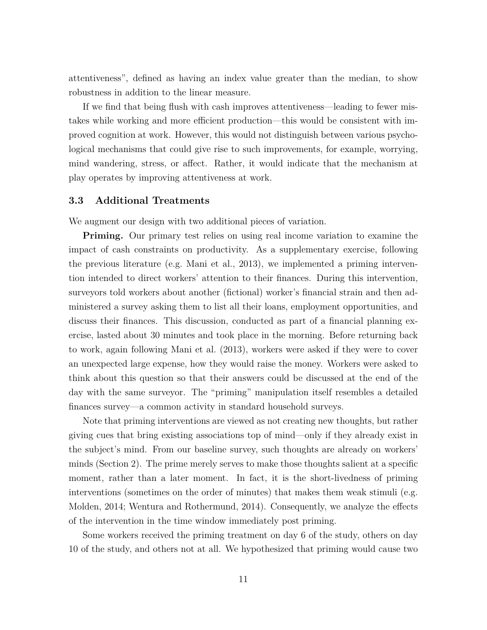attentiveness", defined as having an index value greater than the median, to show robustness in addition to the linear measure.

If we find that being flush with cash improves attentiveness—leading to fewer mistakes while working and more efficient production—this would be consistent with improved cognition at work. However, this would not distinguish between various psychological mechanisms that could give rise to such improvements, for example, worrying, mind wandering, stress, or affect. Rather, it would indicate that the mechanism at play operates by improving attentiveness at work.

#### <span id="page-12-0"></span>**3.3 Additional Treatments**

We augment our design with two additional pieces of variation.

**Priming.** Our primary test relies on using real income variation to examine the impact of cash constraints on productivity. As a supplementary exercise, following the previous literature (e.g. [Mani et al., 2013\)](#page-37-2), we implemented a priming intervention intended to direct workers' attention to their finances. During this intervention, surveyors told workers about another (fictional) worker's financial strain and then administered a survey asking them to list all their loans, employment opportunities, and discuss their finances. This discussion, conducted as part of a financial planning exercise, lasted about 30 minutes and took place in the morning. Before returning back to work, again following [Mani et al.](#page-37-2) [\(2013\)](#page-37-2), workers were asked if they were to cover an unexpected large expense, how they would raise the money. Workers were asked to think about this question so that their answers could be discussed at the end of the day with the same surveyor. The "priming" manipulation itself resembles a detailed finances survey—a common activity in standard household surveys.

Note that priming interventions are viewed as not creating new thoughts, but rather giving cues that bring existing associations top of mind—only if they already exist in the subject's mind. From our baseline survey, such thoughts are already on workers' minds (Section [2\)](#page-6-0). The prime merely serves to make those thoughts salient at a specific moment, rather than a later moment. In fact, it is the short-livedness of priming interventions (sometimes on the order of minutes) that makes them weak stimuli (e.g. [Molden, 2014;](#page-37-4) [Wentura and Rothermund, 2014\)](#page-37-13). Consequently, we analyze the effects of the intervention in the time window immediately post priming.

Some workers received the priming treatment on day 6 of the study, others on day 10 of the study, and others not at all. We hypothesized that priming would cause two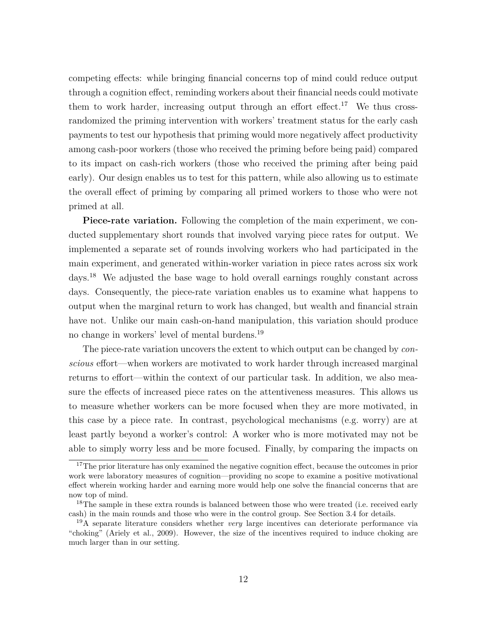competing effects: while bringing financial concerns top of mind could reduce output through a cognition effect, reminding workers about their financial needs could motivate them to work harder, increasing output through an effort effect.<sup>[17](#page--1-0)</sup> We thus crossrandomized the priming intervention with workers' treatment status for the early cash payments to test our hypothesis that priming would more negatively affect productivity among cash-poor workers (those who received the priming before being paid) compared to its impact on cash-rich workers (those who received the priming after being paid early). Our design enables us to test for this pattern, while also allowing us to estimate the overall effect of priming by comparing all primed workers to those who were not primed at all.

**Piece-rate variation.** Following the completion of the main experiment, we conducted supplementary short rounds that involved varying piece rates for output. We implemented a separate set of rounds involving workers who had participated in the main experiment, and generated within-worker variation in piece rates across six work days.<sup>[18](#page--1-0)</sup> We adjusted the base wage to hold overall earnings roughly constant across days. Consequently, the piece-rate variation enables us to examine what happens to output when the marginal return to work has changed, but wealth and financial strain have not. Unlike our main cash-on-hand manipulation, this variation should produce no change in workers' level of mental burdens.[19](#page--1-0)

The piece-rate variation uncovers the extent to which output can be changed by *conscious* effort—when workers are motivated to work harder through increased marginal returns to effort—within the context of our particular task. In addition, we also measure the effects of increased piece rates on the attentiveness measures. This allows us to measure whether workers can be more focused when they are more motivated, in this case by a piece rate. In contrast, psychological mechanisms (e.g. worry) are at least partly beyond a worker's control: A worker who is more motivated may not be able to simply worry less and be more focused. Finally, by comparing the impacts on

<sup>&</sup>lt;sup>17</sup>The prior literature has only examined the negative cognition effect, because the outcomes in prior work were laboratory measures of cognition—providing no scope to examine a positive motivational effect wherein working harder and earning more would help one solve the financial concerns that are now top of mind.

<sup>&</sup>lt;sup>18</sup>The sample in these extra rounds is balanced between those who were treated (i.e. received early cash) in the main rounds and those who were in the control group. See Section [3.4](#page-14-0) for details.

<sup>19</sup>A separate literature considers whether *very* large incentives can deteriorate performance via "choking" [\(Ariely et al., 2009\)](#page-34-10). However, the size of the incentives required to induce choking are much larger than in our setting.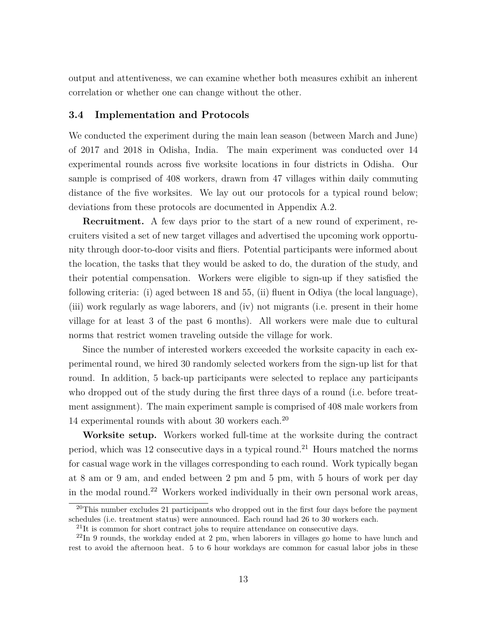<span id="page-14-1"></span>output and attentiveness, we can examine whether both measures exhibit an inherent correlation or whether one can change without the other.

#### <span id="page-14-0"></span>**3.4 Implementation and Protocols**

We conducted the experiment during the main lean season (between March and June) of 2017 and 2018 in Odisha, India. The main experiment was conducted over 14 experimental rounds across five worksite locations in four districts in Odisha. Our sample is comprised of 408 workers, drawn from 47 villages within daily commuting distance of the five worksites. We lay out our protocols for a typical round below; deviations from these protocols are documented in Appendix [A.2.](#page-59-0)

**Recruitment.** A few days prior to the start of a new round of experiment, recruiters visited a set of new target villages and advertised the upcoming work opportunity through door-to-door visits and fliers. Potential participants were informed about the location, the tasks that they would be asked to do, the duration of the study, and their potential compensation. Workers were eligible to sign-up if they satisfied the following criteria: (i) aged between 18 and 55, (ii) fluent in Odiya (the local language), (iii) work regularly as wage laborers, and (iv) not migrants (i.e. present in their home village for at least 3 of the past 6 months). All workers were male due to cultural norms that restrict women traveling outside the village for work.

Since the number of interested workers exceeded the worksite capacity in each experimental round, we hired 30 randomly selected workers from the sign-up list for that round. In addition, 5 back-up participants were selected to replace any participants who dropped out of the study during the first three days of a round (i.e. before treatment assignment). The main experiment sample is comprised of 408 male workers from 14 experimental rounds with about 30 workers each.[20](#page--1-0)

**Worksite setup.** Workers worked full-time at the worksite during the contract period, which was 12 consecutive days in a typical round.<sup>[21](#page--1-0)</sup> Hours matched the norms for casual wage work in the villages corresponding to each round. Work typically began at 8 am or 9 am, and ended between 2 pm and 5 pm, with 5 hours of work per day in the modal round.[22](#page--1-0) Workers worked individually in their own personal work areas,

 $^{20}$ This number excludes 21 participants who dropped out in the first four days before the payment schedules (i.e. treatment status) were announced. Each round had 26 to 30 workers each.

<sup>&</sup>lt;sup>21</sup>It is common for short contract jobs to require attendance on consecutive days.

<sup>&</sup>lt;sup>22</sup>In 9 rounds, the workday ended at 2 pm, when laborers in villages go home to have lunch and rest to avoid the afternoon heat. 5 to 6 hour workdays are common for casual labor jobs in these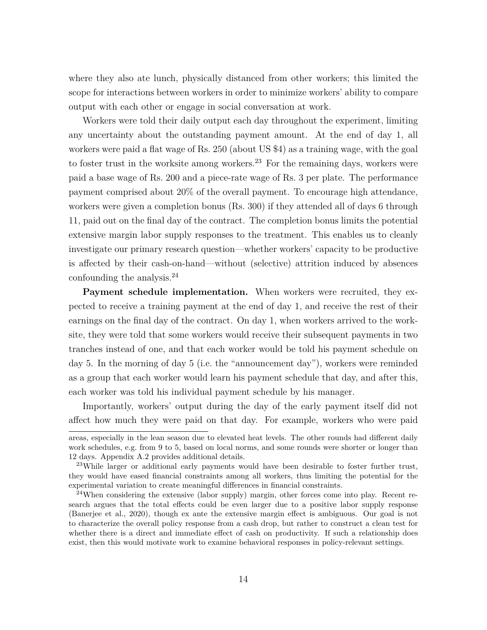where they also ate lunch, physically distanced from other workers; this limited the scope for interactions between workers in order to minimize workers' ability to compare output with each other or engage in social conversation at work.

Workers were told their daily output each day throughout the experiment, limiting any uncertainty about the outstanding payment amount. At the end of day 1, all workers were paid a flat wage of Rs. 250 (about US \$4) as a training wage, with the goal to foster trust in the worksite among workers.<sup>[23](#page--1-0)</sup> For the remaining days, workers were paid a base wage of Rs. 200 and a piece-rate wage of Rs. 3 per plate. The performance payment comprised about 20% of the overall payment. To encourage high attendance, workers were given a completion bonus (Rs. 300) if they attended all of days 6 through 11, paid out on the final day of the contract. The completion bonus limits the potential extensive margin labor supply responses to the treatment. This enables us to cleanly investigate our primary research question—whether workers' capacity to be productive is affected by their cash-on-hand—without (selective) attrition induced by absences confounding the analysis.[24](#page--1-0)

**Payment schedule implementation.** When workers were recruited, they expected to receive a training payment at the end of day 1, and receive the rest of their earnings on the final day of the contract. On day 1, when workers arrived to the worksite, they were told that some workers would receive their subsequent payments in two tranches instead of one, and that each worker would be told his payment schedule on day 5. In the morning of day 5 (i.e. the "announcement day"), workers were reminded as a group that each worker would learn his payment schedule that day, and after this, each worker was told his individual payment schedule by his manager.

Importantly, workers' output during the day of the early payment itself did not affect how much they were paid on that day. For example, workers who were paid

areas, especially in the lean season due to elevated heat levels. The other rounds had different daily work schedules, e.g. from 9 to 5, based on local norms, and some rounds were shorter or longer than 12 days. Appendix [A.2](#page-59-0) provides additional details.

<sup>&</sup>lt;sup>23</sup>While larger or additional early payments would have been desirable to foster further trust, they would have eased financial constraints among all workers, thus limiting the potential for the experimental variation to create meaningful differences in financial constraints.

 $^{24}$ When considering the extensive (labor supply) margin, other forces come into play. Recent research argues that the total effects could be even larger due to a positive labor supply response [\(Banerjee et al., 2020\)](#page-34-1), though ex ante the extensive margin effect is ambiguous. Our goal is not to characterize the overall policy response from a cash drop, but rather to construct a clean test for whether there is a direct and immediate effect of cash on productivity. If such a relationship does exist, then this would motivate work to examine behavioral responses in policy-relevant settings.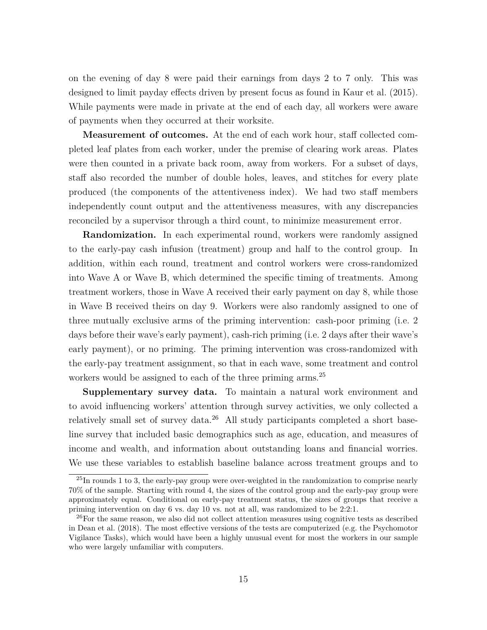on the evening of day 8 were paid their earnings from days 2 to 7 only. This was designed to limit payday effects driven by present focus as found in [Kaur et al.](#page-36-12) [\(2015\)](#page-36-12). While payments were made in private at the end of each day, all workers were aware of payments when they occurred at their worksite.

**Measurement of outcomes.** At the end of each work hour, staff collected completed leaf plates from each worker, under the premise of clearing work areas. Plates were then counted in a private back room, away from workers. For a subset of days, staff also recorded the number of double holes, leaves, and stitches for every plate produced (the components of the attentiveness index). We had two staff members independently count output and the attentiveness measures, with any discrepancies reconciled by a supervisor through a third count, to minimize measurement error.

**Randomization.** In each experimental round, workers were randomly assigned to the early-pay cash infusion (treatment) group and half to the control group. In addition, within each round, treatment and control workers were cross-randomized into Wave A or Wave B, which determined the specific timing of treatments. Among treatment workers, those in Wave A received their early payment on day 8, while those in Wave B received theirs on day 9. Workers were also randomly assigned to one of three mutually exclusive arms of the priming intervention: cash-poor priming (i.e. 2 days before their wave's early payment), cash-rich priming (i.e. 2 days after their wave's early payment), or no priming. The priming intervention was cross-randomized with the early-pay treatment assignment, so that in each wave, some treatment and control workers would be assigned to each of the three priming arms.<sup>[25](#page--1-0)</sup>

**Supplementary survey data.** To maintain a natural work environment and to avoid influencing workers' attention through survey activities, we only collected a relatively small set of survey data.[26](#page--1-0) All study participants completed a short baseline survey that included basic demographics such as age, education, and measures of income and wealth, and information about outstanding loans and financial worries. We use these variables to establish baseline balance across treatment groups and to

<sup>&</sup>lt;sup>25</sup>In rounds 1 to 3, the early-pay group were over-weighted in the randomization to comprise nearly 70% of the sample. Starting with round 4, the sizes of the control group and the early-pay group were approximately equal. Conditional on early-pay treatment status, the sizes of groups that receive a priming intervention on day 6 vs. day 10 vs. not at all, was randomized to be 2:2:1.

 $^{26}$ For the same reason, we also did not collect attention measures using cognitive tests as described in [Dean et al.](#page-35-9) [\(2018\)](#page-35-9). The most effective versions of the tests are computerized (e.g. the Psychomotor Vigilance Tasks), which would have been a highly unusual event for most the workers in our sample who were largely unfamiliar with computers.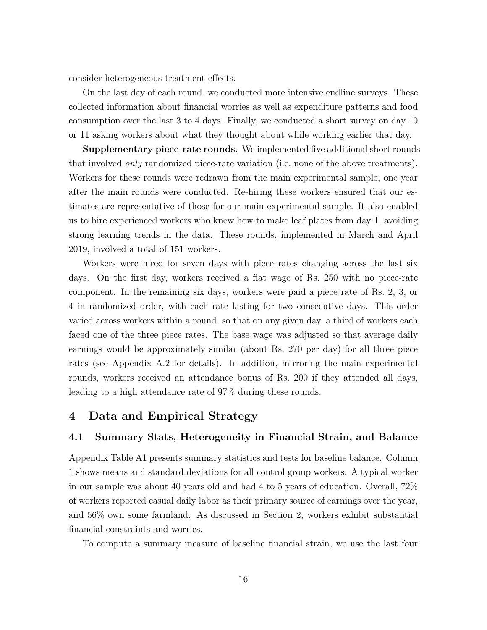<span id="page-17-1"></span>consider heterogeneous treatment effects.

On the last day of each round, we conducted more intensive endline surveys. These collected information about financial worries as well as expenditure patterns and food consumption over the last 3 to 4 days. Finally, we conducted a short survey on day 10 or 11 asking workers about what they thought about while working earlier that day.

**Supplementary piece-rate rounds.** We implemented five additional short rounds that involved *only* randomized piece-rate variation (i.e. none of the above treatments). Workers for these rounds were redrawn from the main experimental sample, one year after the main rounds were conducted. Re-hiring these workers ensured that our estimates are representative of those for our main experimental sample. It also enabled us to hire experienced workers who knew how to make leaf plates from day 1, avoiding strong learning trends in the data. These rounds, implemented in March and April 2019, involved a total of 151 workers.

Workers were hired for seven days with piece rates changing across the last six days. On the first day, workers received a flat wage of Rs. 250 with no piece-rate component. In the remaining six days, workers were paid a piece rate of Rs. 2, 3, or 4 in randomized order, with each rate lasting for two consecutive days. This order varied across workers within a round, so that on any given day, a third of workers each faced one of the three piece rates. The base wage was adjusted so that average daily earnings would be approximately similar (about Rs. 270 per day) for all three piece rates (see Appendix [A.2](#page-59-0) for details). In addition, mirroring the main experimental rounds, workers received an attendance bonus of Rs. 200 if they attended all days, leading to a high attendance rate of 97% during these rounds.

## **4 Data and Empirical Strategy**

#### <span id="page-17-0"></span>**4.1 Summary Stats, Heterogeneity in Financial Strain, and Balance**

Appendix Table [A1](#page-49-0) presents summary statistics and tests for baseline balance. Column 1 shows means and standard deviations for all control group workers. A typical worker in our sample was about 40 years old and had 4 to 5 years of education. Overall, 72% of workers reported casual daily labor as their primary source of earnings over the year, and 56% own some farmland. As discussed in Section [2,](#page-6-0) workers exhibit substantial financial constraints and worries.

To compute a summary measure of baseline financial strain, we use the last four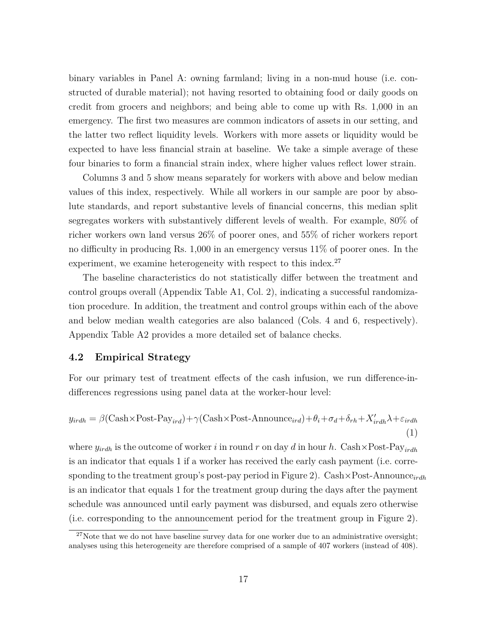binary variables in Panel A: owning farmland; living in a non-mud house (i.e. constructed of durable material); not having resorted to obtaining food or daily goods on credit from grocers and neighbors; and being able to come up with Rs. 1,000 in an emergency. The first two measures are common indicators of assets in our setting, and the latter two reflect liquidity levels. Workers with more assets or liquidity would be expected to have less financial strain at baseline. We take a simple average of these four binaries to form a financial strain index, where higher values reflect lower strain.

Columns 3 and 5 show means separately for workers with above and below median values of this index, respectively. While all workers in our sample are poor by absolute standards, and report substantive levels of financial concerns, this median split segregates workers with substantively different levels of wealth. For example, 80% of richer workers own land versus 26% of poorer ones, and 55% of richer workers report no difficulty in producing Rs. 1,000 in an emergency versus 11% of poorer ones. In the experiment, we examine heterogeneity with respect to this index.<sup>[27](#page--1-0)</sup>

The baseline characteristics do not statistically differ between the treatment and control groups overall (Appendix Table [A1,](#page-49-0) Col. 2), indicating a successful randomization procedure. In addition, the treatment and control groups within each of the above and below median wealth categories are also balanced (Cols. 4 and 6, respectively). Appendix Table [A2](#page-50-0) provides a more detailed set of balance checks.

#### <span id="page-18-1"></span>**4.2 Empirical Strategy**

<span id="page-18-0"></span>For our primary test of treatment effects of the cash infusion, we run difference-indifferences regressions using panel data at the worker-hour level:

$$
y_{irdh} = \beta(\text{Cash} \times \text{Post-Pay}_{ird}) + \gamma(\text{Cash} \times \text{Post-Announce}_{ird}) + \theta_i + \sigma_d + \delta_{rh} + X'_{irdh}\lambda + \varepsilon_{irdh}
$$
\n(1)

where  $y_{irdh}$  is the outcome of worker *i* in round *r* on day *d* in hour *h*. Cash×Post-Pay<sub>irdh</sub> is an indicator that equals 1 if a worker has received the early cash payment (i.e. corresponding to the treatment group's post-pay period in Figure [2\)](#page-39-0). Cash×Post-Announce*irdh* is an indicator that equals 1 for the treatment group during the days after the payment schedule was announced until early payment was disbursed, and equals zero otherwise (i.e. corresponding to the announcement period for the treatment group in Figure [2\)](#page-39-0).

 $27$ Note that we do not have baseline survey data for one worker due to an administrative oversight; analyses using this heterogeneity are therefore comprised of a sample of 407 workers (instead of 408).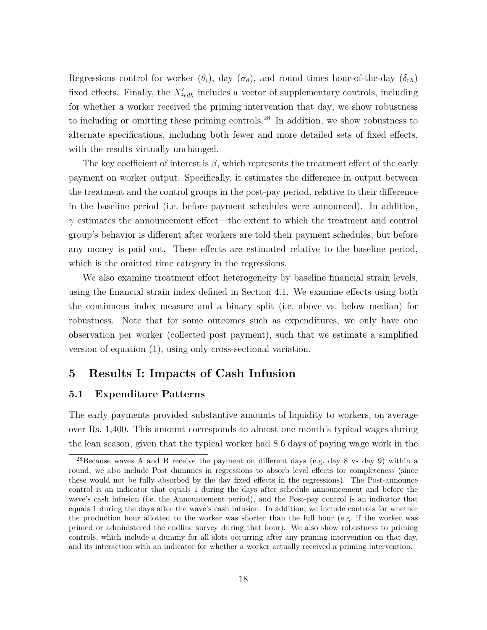Regressions control for worker  $(\theta_i)$ , day  $(\sigma_d)$ , and round times hour-of-the-day  $(\delta_{rh})$ fixed effects. Finally, the  $X'_{irdh}$  includes a vector of supplementary controls, including for whether a worker received the priming intervention that day; we show robustness to including or omitting these priming controls.[28](#page--1-0) In addition, we show robustness to alternate specifications, including both fewer and more detailed sets of fixed effects, with the results virtually unchanged.

The key coefficient of interest is *β*, which represents the treatment effect of the early payment on worker output. Specifically, it estimates the difference in output between the treatment and the control groups in the post-pay period, relative to their difference in the baseline period (i.e. before payment schedules were announced). In addition, *γ* estimates the announcement effect—the extent to which the treatment and control group's behavior is different after workers are told their payment schedules, but before any money is paid out. These effects are estimated relative to the baseline period, which is the omitted time category in the regressions.

We also examine treatment effect heterogeneity by baseline financial strain levels, using the financial strain index defined in Section [4.1.](#page-17-0) We examine effects using both the continuous index measure and a binary split (i.e. above vs. below median) for robustness. Note that for some outcomes such as expenditures, we only have one observation per worker (collected post payment), such that we estimate a simplified version of equation [\(1\)](#page-18-0), using only cross-sectional variation.

## **5 Results I: Impacts of Cash Infusion**

### <span id="page-19-0"></span>**5.1 Expenditure Patterns**

The early payments provided substantive amounts of liquidity to workers, on average over Rs. 1,400. This amount corresponds to almost one month's typical wages during the lean season, given that the typical worker had 8.6 days of paying wage work in the

<sup>&</sup>lt;sup>28</sup>Because waves A and B receive the payment on different days (e.g. day 8 vs day 9) within a round, we also include Post dummies in regressions to absorb level effects for completeness (since these would not be fully absorbed by the day fixed effects in the regressions). The Post-announce control is an indicator that equals 1 during the days after schedule announcement and before the wave's cash infusion (i.e. the Announcement period), and the Post-pay control is an indicator that equals 1 during the days after the wave's cash infusion. In addition, we include controls for whether the production hour allotted to the worker was shorter than the full hour (e.g. if the worker was primed or administered the endline survey during that hour). We also show robustness to priming controls, which include a dummy for all slots occurring after any priming intervention on that day, and its interaction with an indicator for whether a worker actually received a priming intervention.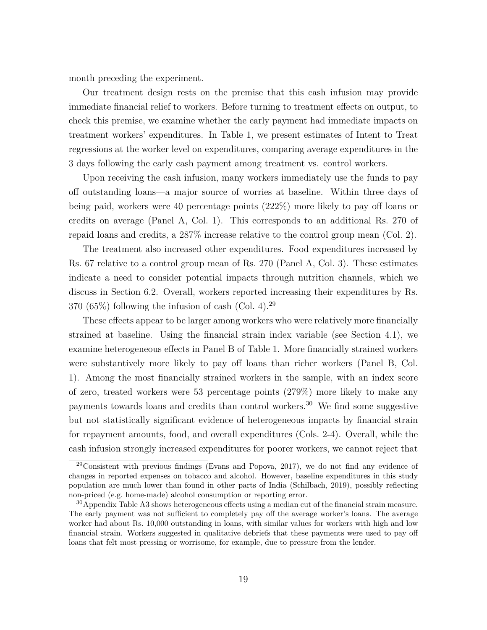month preceding the experiment.

Our treatment design rests on the premise that this cash infusion may provide immediate financial relief to workers. Before turning to treatment effects on output, to check this premise, we examine whether the early payment had immediate impacts on treatment workers' expenditures. In Table [1,](#page-41-0) we present estimates of Intent to Treat regressions at the worker level on expenditures, comparing average expenditures in the 3 days following the early cash payment among treatment vs. control workers.

Upon receiving the cash infusion, many workers immediately use the funds to pay off outstanding loans—a major source of worries at baseline. Within three days of being paid, workers were 40 percentage points (222%) more likely to pay off loans or credits on average (Panel A, Col. 1). This corresponds to an additional Rs. 270 of repaid loans and credits, a 287% increase relative to the control group mean (Col. 2).

The treatment also increased other expenditures. Food expenditures increased by Rs. 67 relative to a control group mean of Rs. 270 (Panel A, Col. 3). These estimates indicate a need to consider potential impacts through nutrition channels, which we discuss in Section [6.2.](#page-29-0) Overall, workers reported increasing their expenditures by Rs. 370 (65\%) following the infusion of cash (Col. 4).<sup>[29](#page--1-0)</sup>

These effects appear to be larger among workers who were relatively more financially strained at baseline. Using the financial strain index variable (see Section [4.1\)](#page-17-0), we examine heterogeneous effects in Panel B of Table [1.](#page-41-0) More financially strained workers were substantively more likely to pay off loans than richer workers (Panel B, Col. 1). Among the most financially strained workers in the sample, with an index score of zero, treated workers were 53 percentage points (279%) more likely to make any payments towards loans and credits than control workers.[30](#page--1-0) We find some suggestive but not statistically significant evidence of heterogeneous impacts by financial strain for repayment amounts, food, and overall expenditures (Cols. 2-4). Overall, while the cash infusion strongly increased expenditures for poorer workers, we cannot reject that

<sup>29</sup>Consistent with previous findings [\(Evans and Popova, 2017\)](#page-35-10), we do not find any evidence of changes in reported expenses on tobacco and alcohol. However, baseline expenditures in this study population are much lower than found in other parts of India [\(Schilbach, 2019\)](#page-37-14), possibly reflecting non-priced (e.g. home-made) alcohol consumption or reporting error.

 $30$ Appendix Table [A3](#page-52-0) shows heterogeneous effects using a median cut of the financial strain measure. The early payment was not sufficient to completely pay off the average worker's loans. The average worker had about Rs. 10,000 outstanding in loans, with similar values for workers with high and low financial strain. Workers suggested in qualitative debriefs that these payments were used to pay off loans that felt most pressing or worrisome, for example, due to pressure from the lender.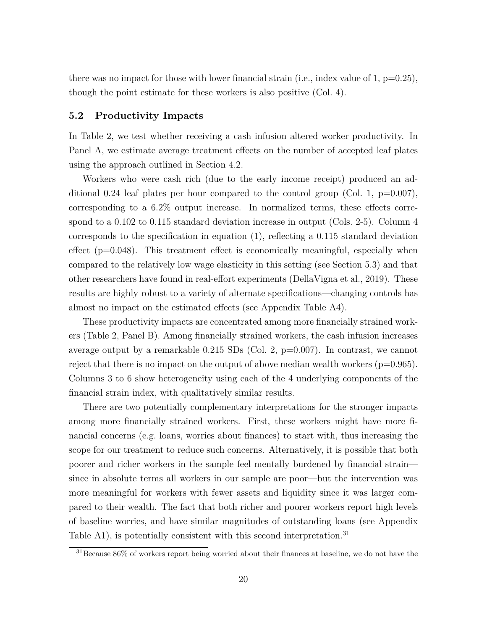there was no impact for those with lower financial strain (i.e., index value of 1,  $p=0.25$ ), though the point estimate for these workers is also positive (Col. 4).

#### <span id="page-21-0"></span>**5.2 Productivity Impacts**

In Table [2,](#page-42-0) we test whether receiving a cash infusion altered worker productivity. In Panel A, we estimate average treatment effects on the number of accepted leaf plates using the approach outlined in Section [4.2.](#page-18-1)

Workers who were cash rich (due to the early income receipt) produced an additional 0.24 leaf plates per hour compared to the control group (Col. 1,  $p=0.007$ ), corresponding to a 6.2% output increase. In normalized terms, these effects correspond to a 0.102 to 0.115 standard deviation increase in output (Cols. 2-5). Column 4 corresponds to the specification in equation [\(1\)](#page-18-0), reflecting a 0.115 standard deviation effect  $(p=0.048)$ . This treatment effect is economically meaningful, especially when compared to the relatively low wage elasticity in this setting (see Section [5.3\)](#page-22-0) and that other researchers have found in real-effort experiments [\(DellaVigna et al., 2019\)](#page-35-3). These results are highly robust to a variety of alternate specifications—changing controls has almost no impact on the estimated effects (see Appendix Table [A4\)](#page-53-0).

These productivity impacts are concentrated among more financially strained workers (Table [2,](#page-42-0) Panel B). Among financially strained workers, the cash infusion increases average output by a remarkable  $0.215$  SDs (Col. 2, p=0.007). In contrast, we cannot reject that there is no impact on the output of above median wealth workers  $(p=0.965)$ . Columns 3 to 6 show heterogeneity using each of the 4 underlying components of the financial strain index, with qualitatively similar results.

There are two potentially complementary interpretations for the stronger impacts among more financially strained workers. First, these workers might have more financial concerns (e.g. loans, worries about finances) to start with, thus increasing the scope for our treatment to reduce such concerns. Alternatively, it is possible that both poorer and richer workers in the sample feel mentally burdened by financial strain since in absolute terms all workers in our sample are poor—but the intervention was more meaningful for workers with fewer assets and liquidity since it was larger compared to their wealth. The fact that both richer and poorer workers report high levels of baseline worries, and have similar magnitudes of outstanding loans (see Appendix Table [A1\)](#page-49-0), is potentially consistent with this second interpretation.<sup>[31](#page--1-0)</sup>

<sup>&</sup>lt;sup>31</sup>Because 86% of workers report being worried about their finances at baseline, we do not have the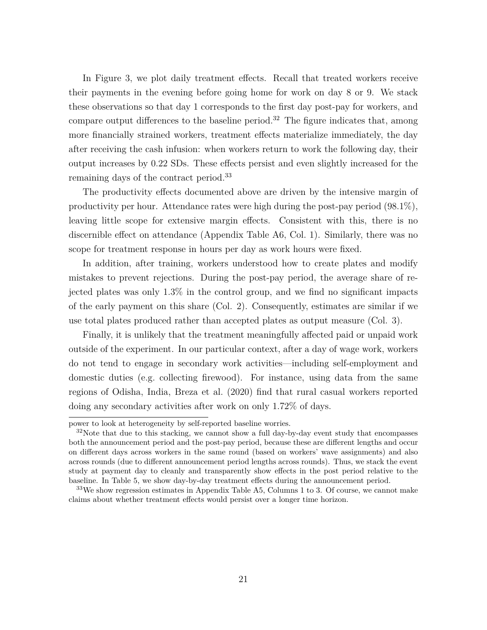In Figure [3,](#page-40-0) we plot daily treatment effects. Recall that treated workers receive their payments in the evening before going home for work on day 8 or 9. We stack these observations so that day 1 corresponds to the first day post-pay for workers, and compare output differences to the baseline period.<sup>[32](#page--1-0)</sup> The figure indicates that, among more financially strained workers, treatment effects materialize immediately, the day after receiving the cash infusion: when workers return to work the following day, their output increases by 0.22 SDs. These effects persist and even slightly increased for the remaining days of the contract period.[33](#page--1-0)

The productivity effects documented above are driven by the intensive margin of productivity per hour. Attendance rates were high during the post-pay period (98.1%), leaving little scope for extensive margin effects. Consistent with this, there is no discernible effect on attendance (Appendix Table [A6,](#page-55-0) Col. 1). Similarly, there was no scope for treatment response in hours per day as work hours were fixed.

In addition, after training, workers understood how to create plates and modify mistakes to prevent rejections. During the post-pay period, the average share of rejected plates was only 1.3% in the control group, and we find no significant impacts of the early payment on this share (Col. 2). Consequently, estimates are similar if we use total plates produced rather than accepted plates as output measure (Col. 3).

Finally, it is unlikely that the treatment meaningfully affected paid or unpaid work outside of the experiment. In our particular context, after a day of wage work, workers do not tend to engage in secondary work activities—including self-employment and domestic duties (e.g. collecting firewood). For instance, using data from the same regions of Odisha, India, [Breza et al.](#page-34-8) [\(2020\)](#page-34-8) find that rural casual workers reported doing any secondary activities after work on only 1.72% of days.

<span id="page-22-0"></span>power to look at heterogeneity by self-reported baseline worries.

 $32\text{Note that due to this stacking, we cannot show a full day-by-day event study that encompasses$ both the announcement period and the post-pay period, because these are different lengths and occur on different days across workers in the same round (based on workers' wave assignments) and also across rounds (due to different announcement period lengths across rounds). Thus, we stack the event study at payment day to cleanly and transparently show effects in the post period relative to the baseline. In Table [5,](#page-45-0) we show day-by-day treatment effects during the announcement period.

 $33\text{We show regression estimates in Appendix Table A5, Columns 1 to 3. Of course, we cannot make.}$  $33\text{We show regression estimates in Appendix Table A5, Columns 1 to 3. Of course, we cannot make.}$  $33\text{We show regression estimates in Appendix Table A5, Columns 1 to 3. Of course, we cannot make.}$ claims about whether treatment effects would persist over a longer time horizon.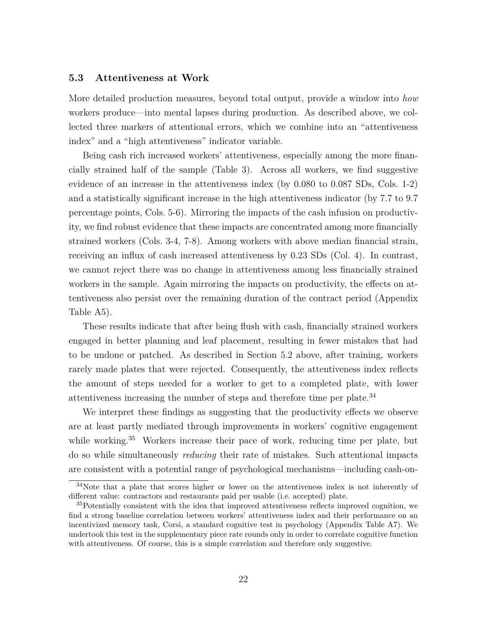#### **5.3 Attentiveness at Work**

More detailed production measures, beyond total output, provide a window into *how* workers produce—into mental lapses during production. As described above, we collected three markers of attentional errors, which we combine into an "attentiveness index" and a "high attentiveness" indicator variable.

Being cash rich increased workers' attentiveness, especially among the more financially strained half of the sample (Table [3\)](#page-43-0). Across all workers, we find suggestive evidence of an increase in the attentiveness index (by 0.080 to 0.087 SDs, Cols. 1-2) and a statistically significant increase in the high attentiveness indicator (by 7.7 to 9.7 percentage points, Cols. 5-6). Mirroring the impacts of the cash infusion on productivity, we find robust evidence that these impacts are concentrated among more financially strained workers (Cols. 3-4, 7-8). Among workers with above median financial strain, receiving an influx of cash increased attentiveness by 0.23 SDs (Col. 4). In contrast, we cannot reject there was no change in attentiveness among less financially strained workers in the sample. Again mirroring the impacts on productivity, the effects on attentiveness also persist over the remaining duration of the contract period (Appendix Table [A5\)](#page-54-0).

These results indicate that after being flush with cash, financially strained workers engaged in better planning and leaf placement, resulting in fewer mistakes that had to be undone or patched. As described in Section [5.2](#page-21-0) above, after training, workers rarely made plates that were rejected. Consequently, the attentiveness index reflects the amount of steps needed for a worker to get to a completed plate, with lower attentiveness increasing the number of steps and therefore time per plate.[34](#page--1-0)

We interpret these findings as suggesting that the productivity effects we observe are at least partly mediated through improvements in workers' cognitive engagement while working.<sup>[35](#page--1-0)</sup> Workers increase their pace of work, reducing time per plate, but do so while simultaneously *reducing* their rate of mistakes. Such attentional impacts are consistent with a potential range of psychological mechanisms—including cash-on-

<sup>34</sup>Note that a plate that scores higher or lower on the attentiveness index is not inherently of different value: contractors and restaurants paid per usable (i.e. accepted) plate.

<sup>&</sup>lt;sup>35</sup>Potentially consistent with the idea that improved attentiveness reflects improved cognition, we find a strong baseline correlation between workers' attentiveness index and their performance on an incentivized memory task, Corsi, a standard cognitive test in psychology (Appendix Table [A7\)](#page-56-0). We undertook this test in the supplementary piece rate rounds only in order to correlate cognitive function with attentiveness. Of course, this is a simple correlation and therefore only suggestive.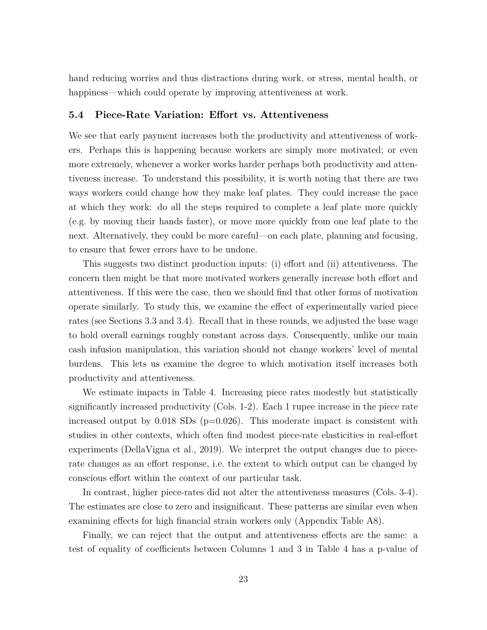hand reducing worries and thus distractions during work, or stress, mental health, or happiness—which could operate by improving attentiveness at work.

#### <span id="page-24-0"></span>**5.4 Piece-Rate Variation: Effort vs. Attentiveness**

We see that early payment increases both the productivity and attentiveness of workers. Perhaps this is happening because workers are simply more motivated; or even more extremely, whenever a worker works harder perhaps both productivity and attentiveness increase. To understand this possibility, it is worth noting that there are two ways workers could change how they make leaf plates. They could increase the pace at which they work: do all the steps required to complete a leaf plate more quickly (e.g. by moving their hands faster), or move more quickly from one leaf plate to the next. Alternatively, they could be more careful—on each plate, planning and focusing, to ensure that fewer errors have to be undone.

This suggests two distinct production inputs: (i) effort and (ii) attentiveness. The concern then might be that more motivated workers generally increase both effort and attentiveness. If this were the case, then we should find that other forms of motivation operate similarly. To study this, we examine the effect of experimentally varied piece rates (see Sections [3.3](#page-12-0) and [3.4\)](#page-14-0). Recall that in these rounds, we adjusted the base wage to hold overall earnings roughly constant across days. Consequently, unlike our main cash infusion manipulation, this variation should not change workers' level of mental burdens. This lets us examine the degree to which motivation itself increases both productivity and attentiveness.

We estimate impacts in Table [4.](#page-44-0) Increasing piece rates modestly but statistically significantly increased productivity (Cols. 1-2). Each 1 rupee increase in the piece rate increased output by  $0.018$  SDs (p=0.026). This moderate impact is consistent with studies in other contexts, which often find modest piece-rate elasticities in real-effort experiments [\(DellaVigna et al., 2019\)](#page-35-3). We interpret the output changes due to piecerate changes as an effort response, i.e. the extent to which output can be changed by conscious effort within the context of our particular task.

In contrast, higher piece-rates did not alter the attentiveness measures (Cols. 3-4). The estimates are close to zero and insignificant. These patterns are similar even when examining effects for high financial strain workers only (Appendix Table [A8\)](#page-57-0).

Finally, we can reject that the output and attentiveness effects are the same: a test of equality of coefficients between Columns 1 and 3 in Table [4](#page-44-0) has a p-value of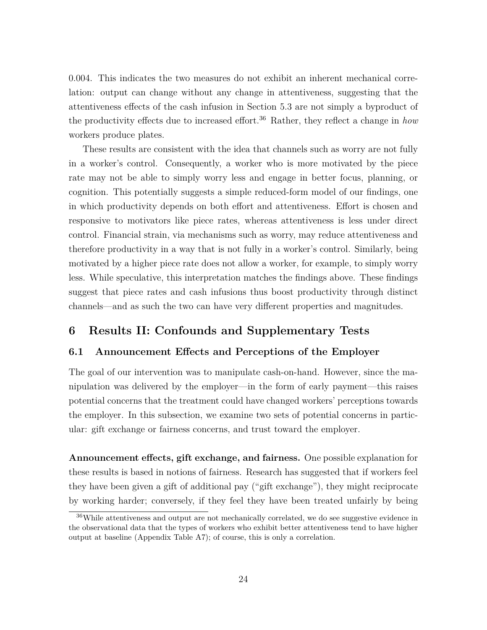0.004. This indicates the two measures do not exhibit an inherent mechanical correlation: output can change without any change in attentiveness, suggesting that the attentiveness effects of the cash infusion in Section [5.3](#page-22-0) are not simply a byproduct of the productivity effects due to increased effort.[36](#page--1-0) Rather, they reflect a change in *how* workers produce plates.

These results are consistent with the idea that channels such as worry are not fully in a worker's control. Consequently, a worker who is more motivated by the piece rate may not be able to simply worry less and engage in better focus, planning, or cognition. This potentially suggests a simple reduced-form model of our findings, one in which productivity depends on both effort and attentiveness. Effort is chosen and responsive to motivators like piece rates, whereas attentiveness is less under direct control. Financial strain, via mechanisms such as worry, may reduce attentiveness and therefore productivity in a way that is not fully in a worker's control. Similarly, being motivated by a higher piece rate does not allow a worker, for example, to simply worry less. While speculative, this interpretation matches the findings above. These findings suggest that piece rates and cash infusions thus boost productivity through distinct channels—and as such the two can have very different properties and magnitudes.

## <span id="page-25-0"></span>**6 Results II: Confounds and Supplementary Tests**

#### **6.1 Announcement Effects and Perceptions of the Employer**

The goal of our intervention was to manipulate cash-on-hand. However, since the manipulation was delivered by the employer—in the form of early payment—this raises potential concerns that the treatment could have changed workers' perceptions towards the employer. In this subsection, we examine two sets of potential concerns in particular: gift exchange or fairness concerns, and trust toward the employer.

**Announcement effects, gift exchange, and fairness.** One possible explanation for these results is based in notions of fairness. Research has suggested that if workers feel they have been given a gift of additional pay ("gift exchange"), they might reciprocate by working harder; conversely, if they feel they have been treated unfairly by being

<sup>36</sup>While attentiveness and output are not mechanically correlated, we do see suggestive evidence in the observational data that the types of workers who exhibit better attentiveness tend to have higher output at baseline (Appendix Table [A7\)](#page-56-0); of course, this is only a correlation.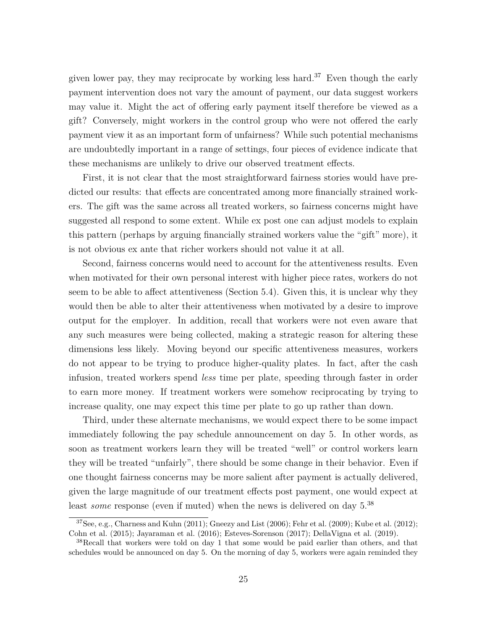given lower pay, they may reciprocate by working less hard.<sup>[37](#page--1-0)</sup> Even though the early payment intervention does not vary the amount of payment, our data suggest workers may value it. Might the act of offering early payment itself therefore be viewed as a gift? Conversely, might workers in the control group who were not offered the early payment view it as an important form of unfairness? While such potential mechanisms are undoubtedly important in a range of settings, four pieces of evidence indicate that these mechanisms are unlikely to drive our observed treatment effects.

First, it is not clear that the most straightforward fairness stories would have predicted our results: that effects are concentrated among more financially strained workers. The gift was the same across all treated workers, so fairness concerns might have suggested all respond to some extent. While ex post one can adjust models to explain this pattern (perhaps by arguing financially strained workers value the "gift" more), it is not obvious ex ante that richer workers should not value it at all.

Second, fairness concerns would need to account for the attentiveness results. Even when motivated for their own personal interest with higher piece rates, workers do not seem to be able to affect attentiveness (Section [5.4\)](#page-24-0). Given this, it is unclear why they would then be able to alter their attentiveness when motivated by a desire to improve output for the employer. In addition, recall that workers were not even aware that any such measures were being collected, making a strategic reason for altering these dimensions less likely. Moving beyond our specific attentiveness measures, workers do not appear to be trying to produce higher-quality plates. In fact, after the cash infusion, treated workers spend *less* time per plate, speeding through faster in order to earn more money. If treatment workers were somehow reciprocating by trying to increase quality, one may expect this time per plate to go up rather than down.

Third, under these alternate mechanisms, we would expect there to be some impact immediately following the pay schedule announcement on day 5. In other words, as soon as treatment workers learn they will be treated "well" or control workers learn they will be treated "unfairly", there should be some change in their behavior. Even if one thought fairness concerns may be more salient after payment is actually delivered, given the large magnitude of our treatment effects post payment, one would expect at least *some* response (even if muted) when the news is delivered on day 5.<sup>[38](#page--1-0)</sup>

 $37$ See, e.g., [Charness and Kuhn](#page-35-11) [\(2011\)](#page-35-11); [Gneezy and List](#page-36-13) [\(2006\)](#page-36-13); [Fehr et al.](#page-35-12) [\(2009\)](#page-35-12); [Kube et al.](#page-36-14) [\(2012\)](#page-36-14); [Cohn et al.](#page-35-13) [\(2015\)](#page-35-13); [Jayaraman et al.](#page-36-15) [\(2016\)](#page-36-15); [Esteves-Sorenson](#page-35-14) [\(2017\)](#page-35-14); [DellaVigna et al.](#page-35-3) [\(2019\)](#page-35-3).

<sup>&</sup>lt;sup>38</sup>Recall that workers were told on day 1 that some would be paid earlier than others, and that schedules would be announced on day 5. On the morning of day 5, workers were again reminded they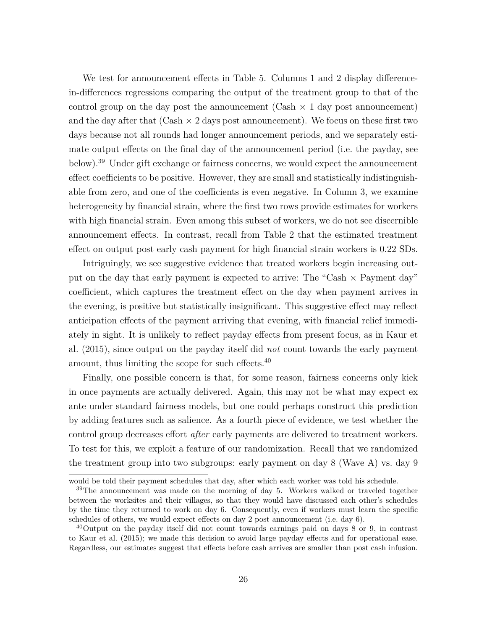We test for announcement effects in Table [5.](#page-45-0) Columns 1 and 2 display differencein-differences regressions comparing the output of the treatment group to that of the control group on the day post the announcement (Cash  $\times$  1 day post announcement) and the day after that  $(Cash \times 2 \text{ days post announcement})$ . We focus on these first two days because not all rounds had longer announcement periods, and we separately estimate output effects on the final day of the announcement period (i.e. the payday, see below).<sup>[39](#page--1-0)</sup> Under gift exchange or fairness concerns, we would expect the announcement effect coefficients to be positive. However, they are small and statistically indistinguishable from zero, and one of the coefficients is even negative. In Column 3, we examine heterogeneity by financial strain, where the first two rows provide estimates for workers with high financial strain. Even among this subset of workers, we do not see discernible announcement effects. In contrast, recall from Table [2](#page-42-0) that the estimated treatment effect on output post early cash payment for high financial strain workers is 0.22 SDs.

Intriguingly, we see suggestive evidence that treated workers begin increasing output on the day that early payment is expected to arrive: The "Cash  $\times$  Payment day" coefficient, which captures the treatment effect on the day when payment arrives in the evening, is positive but statistically insignificant. This suggestive effect may reflect anticipation effects of the payment arriving that evening, with financial relief immediately in sight. It is unlikely to reflect payday effects from present focus, as in [Kaur et](#page-36-12) [al.](#page-36-12) [\(2015\)](#page-36-12), since output on the payday itself did *not* count towards the early payment amount, thus limiting the scope for such effects.[40](#page--1-0)

Finally, one possible concern is that, for some reason, fairness concerns only kick in once payments are actually delivered. Again, this may not be what may expect ex ante under standard fairness models, but one could perhaps construct this prediction by adding features such as salience. As a fourth piece of evidence, we test whether the control group decreases effort *after* early payments are delivered to treatment workers. To test for this, we exploit a feature of our randomization. Recall that we randomized the treatment group into two subgroups: early payment on day 8 (Wave A) vs. day 9

would be told their payment schedules that day, after which each worker was told his schedule.

 $39$ The announcement was made on the morning of day 5. Workers walked or traveled together between the worksites and their villages, so that they would have discussed each other's schedules by the time they returned to work on day 6. Consequently, even if workers must learn the specific schedules of others, we would expect effects on day 2 post announcement (i.e. day 6).

 $^{40}$ Output on the payday itself did not count towards earnings paid on days 8 or 9, in contrast to [Kaur et al.](#page-36-12) [\(2015\)](#page-36-12); we made this decision to avoid large payday effects and for operational ease. Regardless, our estimates suggest that effects before cash arrives are smaller than post cash infusion.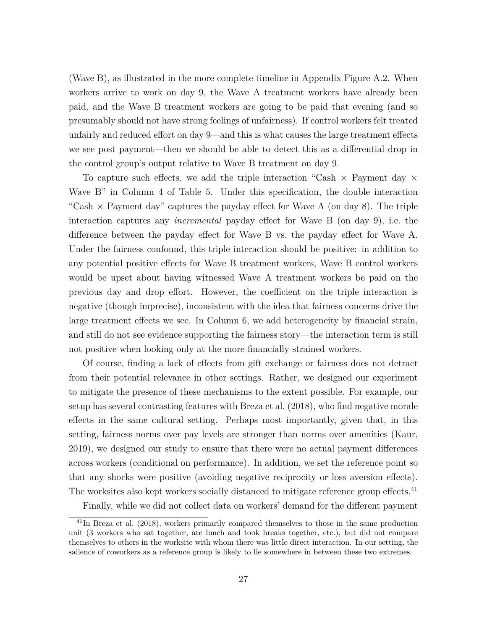(Wave B), as illustrated in the more complete timeline in Appendix Figure [A.2.](#page-48-0) When workers arrive to work on day 9, the Wave A treatment workers have already been paid, and the Wave B treatment workers are going to be paid that evening (and so presumably should not have strong feelings of unfairness). If control workers felt treated unfairly and reduced effort on day 9—and this is what causes the large treatment effects we see post payment—then we should be able to detect this as a differential drop in the control group's output relative to Wave B treatment on day 9.

To capture such effects, we add the triple interaction "Cash  $\times$  Payment day  $\times$ Wave B" in Column 4 of Table [5.](#page-45-0) Under this specification, the double interaction "Cash  $\times$  Payment day" captures the payday effect for Wave A (on day 8). The triple interaction captures any *incremental* payday effect for Wave B (on day 9), i.e. the difference between the payday effect for Wave B vs. the payday effect for Wave A. Under the fairness confound, this triple interaction should be positive: in addition to any potential positive effects for Wave B treatment workers, Wave B control workers would be upset about having witnessed Wave A treatment workers be paid on the previous day and drop effort. However, the coefficient on the triple interaction is negative (though imprecise), inconsistent with the idea that fairness concerns drive the large treatment effects we see. In Column 6, we add heterogeneity by financial strain, and still do not see evidence supporting the fairness story—the interaction term is still not positive when looking only at the more financially strained workers.

Of course, finding a lack of effects from gift exchange or fairness does not detract from their potential relevance in other settings. Rather, we designed our experiment to mitigate the presence of these mechanisms to the extent possible. For example, our setup has several contrasting features with [Breza et al.](#page-34-9) [\(2018\)](#page-34-9), who find negative morale effects in the same cultural setting. Perhaps most importantly, given that, in this setting, fairness norms over pay levels are stronger than norms over amenities [\(Kaur,](#page-36-16) [2019\)](#page-36-16), we designed our study to ensure that there were no actual payment differences across workers (conditional on performance). In addition, we set the reference point so that any shocks were positive (avoiding negative reciprocity or loss aversion effects). The worksites also kept workers socially distanced to mitigate reference group effects.<sup>[41](#page--1-0)</sup>

Finally, while we did not collect data on workers' demand for the different payment

<sup>41</sup>In [Breza et al.](#page-34-9) [\(2018\)](#page-34-9), workers primarily compared themselves to those in the same production unit (3 workers who sat together, ate lunch and took breaks together, etc.), but did not compare themselves to others in the worksite with whom there was little direct interaction. In our setting, the salience of coworkers as a reference group is likely to lie somewhere in between these two extremes.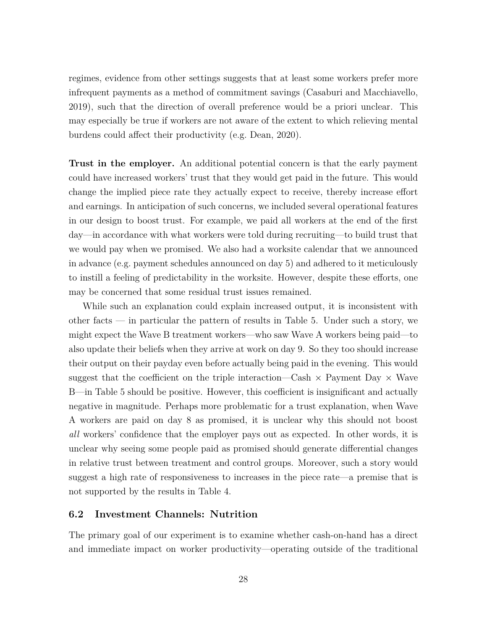regimes, evidence from other settings suggests that at least some workers prefer more infrequent payments as a method of commitment savings [\(Casaburi and Macchiavello,](#page-35-15) [2019\)](#page-35-15), such that the direction of overall preference would be a priori unclear. This may especially be true if workers are not aware of the extent to which relieving mental burdens could affect their productivity (e.g. [Dean, 2020\)](#page-35-16).

**Trust in the employer.** An additional potential concern is that the early payment could have increased workers' trust that they would get paid in the future. This would change the implied piece rate they actually expect to receive, thereby increase effort and earnings. In anticipation of such concerns, we included several operational features in our design to boost trust. For example, we paid all workers at the end of the first day—in accordance with what workers were told during recruiting—to build trust that we would pay when we promised. We also had a worksite calendar that we announced in advance (e.g. payment schedules announced on day 5) and adhered to it meticulously to instill a feeling of predictability in the worksite. However, despite these efforts, one may be concerned that some residual trust issues remained.

While such an explanation could explain increased output, it is inconsistent with other facts — in particular the pattern of results in Table [5.](#page-45-0) Under such a story, we might expect the Wave B treatment workers—who saw Wave A workers being paid—to also update their beliefs when they arrive at work on day 9. So they too should increase their output on their payday even before actually being paid in the evening. This would suggest that the coefficient on the triple interaction—Cash  $\times$  Payment Day  $\times$  Wave B—in Table [5](#page-45-0) should be positive. However, this coefficient is insignificant and actually negative in magnitude. Perhaps more problematic for a trust explanation, when Wave A workers are paid on day 8 as promised, it is unclear why this should not boost *all* workers' confidence that the employer pays out as expected. In other words, it is unclear why seeing some people paid as promised should generate differential changes in relative trust between treatment and control groups. Moreover, such a story would suggest a high rate of responsiveness to increases in the piece rate—a premise that is not supported by the results in Table [4.](#page-44-0)

#### <span id="page-29-0"></span>**6.2 Investment Channels: Nutrition**

The primary goal of our experiment is to examine whether cash-on-hand has a direct and immediate impact on worker productivity—operating outside of the traditional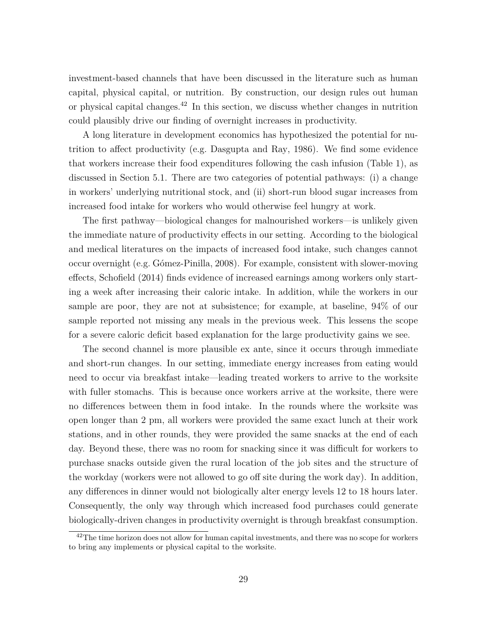investment-based channels that have been discussed in the literature such as human capital, physical capital, or nutrition. By construction, our design rules out human or physical capital changes.[42](#page--1-0) In this section, we discuss whether changes in nutrition could plausibly drive our finding of overnight increases in productivity.

A long literature in development economics has hypothesized the potential for nutrition to affect productivity (e.g. [Dasgupta and Ray, 1986\)](#page-35-5). We find some evidence that workers increase their food expenditures following the cash infusion (Table [1\)](#page-41-0), as discussed in Section [5.1.](#page-19-0) There are two categories of potential pathways: (i) a change in workers' underlying nutritional stock, and (ii) short-run blood sugar increases from increased food intake for workers who would otherwise feel hungry at work.

The first pathway—biological changes for malnourished workers—is unlikely given the immediate nature of productivity effects in our setting. According to the biological and medical literatures on the impacts of increased food intake, such changes cannot occur overnight (e.g. [Gómez-Pinilla, 2008\)](#page-36-2). For example, consistent with slower-moving effects, [Schofield](#page-37-3) [\(2014\)](#page-37-3) finds evidence of increased earnings among workers only starting a week after increasing their caloric intake. In addition, while the workers in our sample are poor, they are not at subsistence; for example, at baseline, 94% of our sample reported not missing any meals in the previous week. This lessens the scope for a severe caloric deficit based explanation for the large productivity gains we see.

The second channel is more plausible ex ante, since it occurs through immediate and short-run changes. In our setting, immediate energy increases from eating would need to occur via breakfast intake—leading treated workers to arrive to the worksite with fuller stomachs. This is because once workers arrive at the worksite, there were no differences between them in food intake. In the rounds where the worksite was open longer than 2 pm, all workers were provided the same exact lunch at their work stations, and in other rounds, they were provided the same snacks at the end of each day. Beyond these, there was no room for snacking since it was difficult for workers to purchase snacks outside given the rural location of the job sites and the structure of the workday (workers were not allowed to go off site during the work day). In addition, any differences in dinner would not biologically alter energy levels 12 to 18 hours later. Consequently, the only way through which increased food purchases could generate biologically-driven changes in productivity overnight is through breakfast consumption.

 $^{42}$ The time horizon does not allow for human capital investments, and there was no scope for workers to bring any implements or physical capital to the worksite.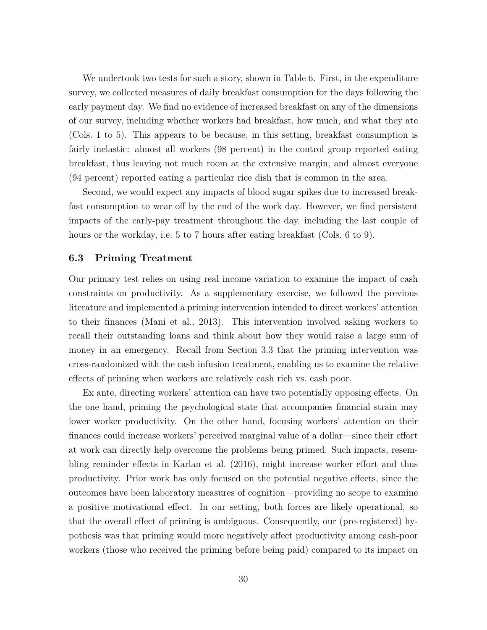We undertook two tests for such a story, shown in Table [6.](#page-46-0) First, in the expenditure survey, we collected measures of daily breakfast consumption for the days following the early payment day. We find no evidence of increased breakfast on any of the dimensions of our survey, including whether workers had breakfast, how much, and what they ate (Cols. 1 to 5). This appears to be because, in this setting, breakfast consumption is fairly inelastic: almost all workers (98 percent) in the control group reported eating breakfast, thus leaving not much room at the extensive margin, and almost everyone (94 percent) reported eating a particular rice dish that is common in the area.

Second, we would expect any impacts of blood sugar spikes due to increased breakfast consumption to wear off by the end of the work day. However, we find persistent impacts of the early-pay treatment throughout the day, including the last couple of hours or the workday, i.e. 5 to 7 hours after eating breakfast (Cols. 6 to 9).

#### **6.3 Priming Treatment**

Our primary test relies on using real income variation to examine the impact of cash constraints on productivity. As a supplementary exercise, we followed the previous literature and implemented a priming intervention intended to direct workers' attention to their finances [\(Mani et al., 2013\)](#page-37-2). This intervention involved asking workers to recall their outstanding loans and think about how they would raise a large sum of money in an emergency. Recall from Section [3.3](#page-12-0) that the priming intervention was cross-randomized with the cash infusion treatment, enabling us to examine the relative effects of priming when workers are relatively cash rich vs. cash poor.

Ex ante, directing workers' attention can have two potentially opposing effects. On the one hand, priming the psychological state that accompanies financial strain may lower worker productivity. On the other hand, focusing workers' attention on their finances could increase workers' perceived marginal value of a dollar—since their effort at work can directly help overcome the problems being primed. Such impacts, resembling reminder effects in [Karlan et al.](#page-36-3) [\(2016\)](#page-36-3), might increase worker effort and thus productivity. Prior work has only focused on the potential negative effects, since the outcomes have been laboratory measures of cognition—providing no scope to examine a positive motivational effect. In our setting, both forces are likely operational, so that the overall effect of priming is ambiguous. Consequently, our (pre-registered) hypothesis was that priming would more negatively affect productivity among cash-poor workers (those who received the priming before being paid) compared to its impact on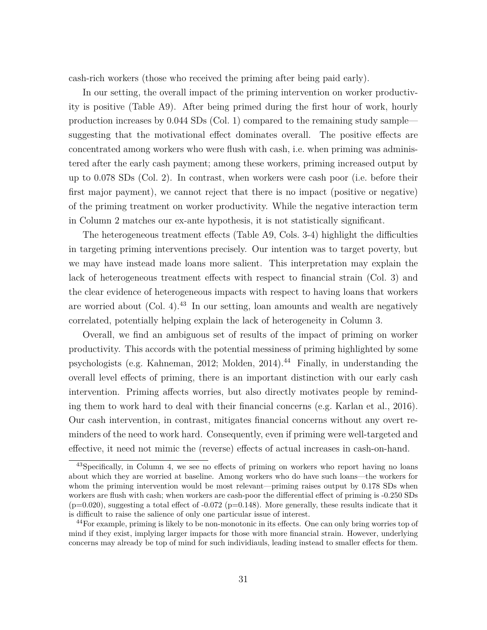cash-rich workers (those who received the priming after being paid early).

In our setting, the overall impact of the priming intervention on worker productivity is positive (Table [A9\)](#page-58-0). After being primed during the first hour of work, hourly production increases by 0.044 SDs (Col. 1) compared to the remaining study sample suggesting that the motivational effect dominates overall. The positive effects are concentrated among workers who were flush with cash, i.e. when priming was administered after the early cash payment; among these workers, priming increased output by up to 0.078 SDs (Col. 2). In contrast, when workers were cash poor (i.e. before their first major payment), we cannot reject that there is no impact (positive or negative) of the priming treatment on worker productivity. While the negative interaction term in Column 2 matches our ex-ante hypothesis, it is not statistically significant.

The heterogeneous treatment effects (Table [A9,](#page-58-0) Cols. 3-4) highlight the difficulties in targeting priming interventions precisely. Our intention was to target poverty, but we may have instead made loans more salient. This interpretation may explain the lack of heterogeneous treatment effects with respect to financial strain (Col. 3) and the clear evidence of heterogeneous impacts with respect to having loans that workers are worried about  $(Col. 4)$ .<sup>[43](#page--1-0)</sup> In our setting, loan amounts and wealth are negatively correlated, potentially helping explain the lack of heterogeneity in Column 3.

Overall, we find an ambiguous set of results of the impact of priming on worker productivity. This accords with the potential messiness of priming highlighted by some psychologists (e.g. [Kahneman, 2012;](#page-36-4) [Molden, 2014\)](#page-37-4).<sup>[44](#page--1-0)</sup> Finally, in understanding the overall level effects of priming, there is an important distinction with our early cash intervention. Priming affects worries, but also directly motivates people by reminding them to work hard to deal with their financial concerns (e.g. [Karlan et al., 2016\)](#page-36-3). Our cash intervention, in contrast, mitigates financial concerns without any overt reminders of the need to work hard. Consequently, even if priming were well-targeted and effective, it need not mimic the (reverse) effects of actual increases in cash-on-hand.

<sup>&</sup>lt;sup>43</sup>Specifically, in Column 4, we see no effects of priming on workers who report having no loans about which they are worried at baseline. Among workers who do have such loans—the workers for whom the priming intervention would be most relevant—priming raises output by 0.178 SDs when workers are flush with cash; when workers are cash-poor the differential effect of priming is -0.250 SDs  $(p=0.020)$ , suggesting a total effect of  $-0.072$  (p=0.148). More generally, these results indicate that it is difficult to raise the salience of only one particular issue of interest.

 $^{44}$ For example, priming is likely to be non-monotonic in its effects. One can only bring worries top of mind if they exist, implying larger impacts for those with more financial strain. However, underlying concerns may already be top of mind for such individiauls, leading instead to smaller effects for them.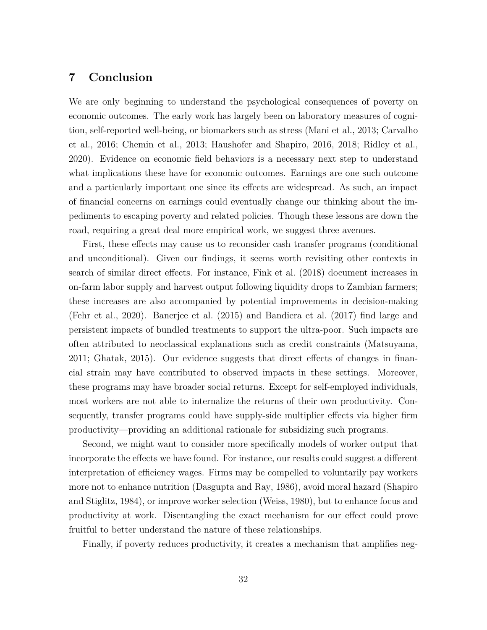## **7 Conclusion**

We are only beginning to understand the psychological consequences of poverty on economic outcomes. The early work has largely been on laboratory measures of cognition, self-reported well-being, or biomarkers such as stress [\(Mani et al., 2013;](#page-37-2) [Carvalho](#page-35-4) [et al., 2016;](#page-35-4) [Chemin et al., 2013;](#page-35-0) [Haushofer and Shapiro, 2016,](#page-36-1) [2018;](#page-36-5) [Ridley et al.,](#page-37-15) [2020\)](#page-37-15). Evidence on economic field behaviors is a necessary next step to understand what implications these have for economic outcomes. Earnings are one such outcome and a particularly important one since its effects are widespread. As such, an impact of financial concerns on earnings could eventually change our thinking about the impediments to escaping poverty and related policies. Though these lessons are down the road, requiring a great deal more empirical work, we suggest three avenues.

First, these effects may cause us to reconsider cash transfer programs (conditional and unconditional). Given our findings, it seems worth revisiting other contexts in search of similar direct effects. For instance, [Fink et al.](#page-36-11) [\(2018\)](#page-36-11) document increases in on-farm labor supply and harvest output following liquidity drops to Zambian farmers; these increases are also accompanied by potential improvements in decision-making [\(Fehr et al., 2020\)](#page-35-1). [Banerjee et al.](#page-34-0) [\(2015\)](#page-34-0) and [Bandiera et al.](#page-34-2) [\(2017\)](#page-34-2) find large and persistent impacts of bundled treatments to support the ultra-poor. Such impacts are often attributed to neoclassical explanations such as credit constraints [\(Matsuyama,](#page-37-16) [2011;](#page-37-16) [Ghatak, 2015\)](#page-36-8). Our evidence suggests that direct effects of changes in financial strain may have contributed to observed impacts in these settings. Moreover, these programs may have broader social returns. Except for self-employed individuals, most workers are not able to internalize the returns of their own productivity. Consequently, transfer programs could have supply-side multiplier effects via higher firm productivity—providing an additional rationale for subsidizing such programs.

Second, we might want to consider more specifically models of worker output that incorporate the effects we have found. For instance, our results could suggest a different interpretation of efficiency wages. Firms may be compelled to voluntarily pay workers more not to enhance nutrition [\(Dasgupta and Ray, 1986\)](#page-35-5), avoid moral hazard [\(Shapiro](#page-37-17) [and Stiglitz, 1984\)](#page-37-17), or improve worker selection [\(Weiss, 1980\)](#page-37-18), but to enhance focus and productivity at work. Disentangling the exact mechanism for our effect could prove fruitful to better understand the nature of these relationships.

Finally, if poverty reduces productivity, it creates a mechanism that amplifies neg-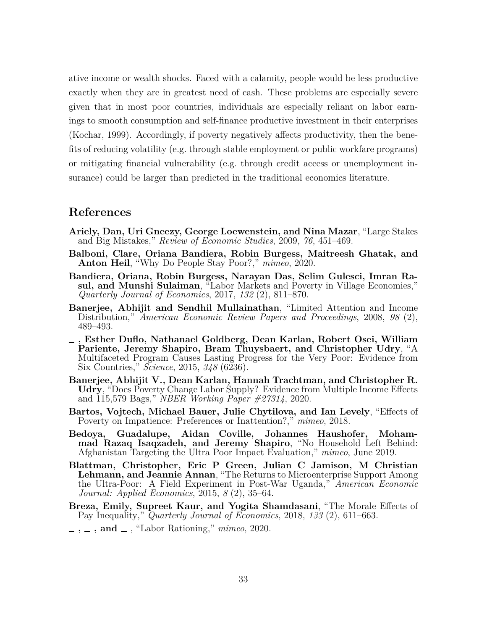ative income or wealth shocks. Faced with a calamity, people would be less productive exactly when they are in greatest need of cash. These problems are especially severe given that in most poor countries, individuals are especially reliant on labor earnings to smooth consumption and self-finance productive investment in their enterprises [\(Kochar, 1999\)](#page-36-17). Accordingly, if poverty negatively affects productivity, then the benefits of reducing volatility (e.g. through stable employment or public workfare programs) or mitigating financial vulnerability (e.g. through credit access or unemployment insurance) could be larger than predicted in the traditional economics literature.

## **References**

- <span id="page-34-10"></span>**Ariely, Dan, Uri Gneezy, George Loewenstein, and Nina Mazar**, "Large Stakes and Big Mistakes," *Review of Economic Studies*, 2009, *76*, 451–469.
- <span id="page-34-3"></span>**Balboni, Clare, Oriana Bandiera, Robin Burgess, Maitreesh Ghatak, and Anton Heil**, "Why Do People Stay Poor?," *mimeo*, 2020.
- <span id="page-34-2"></span>**Bandiera, Oriana, Robin Burgess, Narayan Das, Selim Gulesci, Imran Rasul, and Munshi Sulaiman**, "Labor Markets and Poverty in Village Economies," *Quarterly Journal of Economics*, 2017, *132* (2), 811–870.
- <span id="page-34-7"></span>**Banerjee, Abhijit and Sendhil Mullainathan**, "Limited Attention and Income Distribution," *American Economic Review Papers and Proceedings*, 2008, *98* (2), 489–493.
- <span id="page-34-0"></span>**, Esther Duflo, Nathanael Goldberg, Dean Karlan, Robert Osei, William Pariente, Jeremy Shapiro, Bram Thuysbaert, and Christopher Udry**, "A Multifaceted Program Causes Lasting Progress for the Very Poor: Evidence from Six Countries," *Science*, 2015, *348* (6236).
- <span id="page-34-1"></span>**Banerjee, Abhijit V., Dean Karlan, Hannah Trachtman, and Christopher R. Udry**, "Does Poverty Change Labor Supply? Evidence from Multiple Income Effects and 115,579 Bags," *NBER Working Paper #27314*, 2020.
- <span id="page-34-6"></span>**Bartos, Vojtech, Michael Bauer, Julie Chytilova, and Ian Levely**, "Effects of Poverty on Impatience: Preferences or Inattention?," *mimeo*, 2018.
- <span id="page-34-5"></span>**Bedoya, Guadalupe, Aidan Coville, Johannes Haushofer, Mohammad Razaq Isaqzadeh, and Jeremy Shapiro**, "No Household Left Behind: Afghanistan Targeting the Ultra Poor Impact Evaluation," *mimeo*, June 2019.
- <span id="page-34-4"></span>**Blattman, Christopher, Eric P Green, Julian C Jamison, M Christian Lehmann, and Jeannie Annan**, "The Returns to Microenterprise Support Among the Ultra-Poor: A Field Experiment in Post-War Uganda," *American Economic Journal: Applied Economics*, 2015, *8* (2), 35–64.
- <span id="page-34-9"></span>**Breza, Emily, Supreet Kaur, and Yogita Shamdasani**, "The Morale Effects of Pay Inequality," *Quarterly Journal of Economics*, 2018, *133* (2), 611–663.
- <span id="page-34-8"></span>**, , and** , "Labor Rationing," *mimeo*, 2020.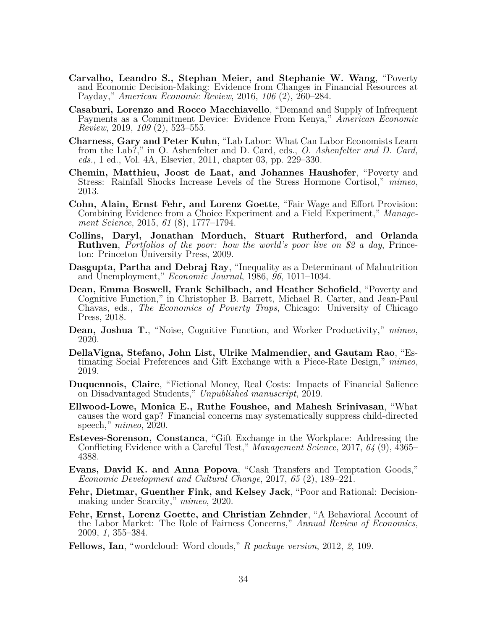- <span id="page-35-17"></span><span id="page-35-4"></span>**Carvalho, Leandro S., Stephan Meier, and Stephanie W. Wang**, "Poverty and Economic Decision-Making: Evidence from Changes in Financial Resources at Payday," *American Economic Review*, 2016, *106* (2), 260–284.
- <span id="page-35-15"></span>**Casaburi, Lorenzo and Rocco Macchiavello**, "Demand and Supply of Infrequent Payments as a Commitment Device: Evidence From Kenya," *American Economic Review*, 2019, *109* (2), 523–555.
- <span id="page-35-11"></span>**Charness, Gary and Peter Kuhn**, "Lab Labor: What Can Labor Economists Learn from the Lab?," in O. Ashenfelter and D. Card, eds., *O. Ashenfelter and D. Card, eds.*, 1 ed., Vol. 4A, Elsevier, 2011, chapter 03, pp. 229–330.
- <span id="page-35-0"></span>**Chemin, Matthieu, Joost de Laat, and Johannes Haushofer**, "Poverty and Stress: Rainfall Shocks Increase Levels of the Stress Hormone Cortisol," *mimeo*, 2013.
- <span id="page-35-13"></span>**Cohn, Alain, Ernst Fehr, and Lorenz Goette**, "Fair Wage and Effort Provision: Combining Evidence from a Choice Experiment and a Field Experiment," *Management Science*, 2015, *61* (8), 1777–1794.
- <span id="page-35-7"></span>**Collins, Daryl, Jonathan Morduch, Stuart Rutherford, and Orlanda Ruthven**, *Portfolios of the poor: how the world's poor live on \$2 a day*, Princeton: Princeton University Press, 2009.
- <span id="page-35-5"></span>**Dasgupta, Partha and Debraj Ray**, "Inequality as a Determinant of Malnutrition and Unemployment," *Economic Journal*, 1986, *96*, 1011–1034.
- <span id="page-35-9"></span>**Dean, Emma Boswell, Frank Schilbach, and Heather Schofield**, "Poverty and Cognitive Function," in Christopher B. Barrett, Michael R. Carter, and Jean-Paul Chavas, eds., *The Economics of Poverty Traps*, Chicago: University of Chicago Press, 2018.
- <span id="page-35-16"></span>**Dean, Joshua T.**, "Noise, Cognitive Function, and Worker Productivity," *mimeo*, 2020.
- <span id="page-35-3"></span>**DellaVigna, Stefano, John List, Ulrike Malmendier, and Gautam Rao**, "Estimating Social Preferences and Gift Exchange with a Piece-Rate Design," *mimeo*, 2019.
- <span id="page-35-6"></span>**Duquennois, Claire**, "Fictional Money, Real Costs: Impacts of Financial Salience on Disadvantaged Students," *Unpublished manuscript*, 2019.
- <span id="page-35-2"></span>**Ellwood-Lowe, Monica E., Ruthe Foushee, and Mahesh Srinivasan**, "What causes the word gap? Financial concerns may systematically suppress child-directed speech," *mimeo*, 2020.
- <span id="page-35-14"></span>**Esteves-Sorenson, Constanca**, "Gift Exchange in the Workplace: Addressing the Conflicting Evidence with a Careful Test," *Management Science*, 2017, *64* (9), 4365– 4388.
- <span id="page-35-10"></span>**Evans, David K. and Anna Popova**, "Cash Transfers and Temptation Goods," *Economic Development and Cultural Change*, 2017, *65* (2), 189–221.
- <span id="page-35-1"></span>**Fehr, Dietmar, Guenther Fink, and Kelsey Jack**, "Poor and Rational: Decisionmaking under Scarcity," *mimeo*, 2020.
- <span id="page-35-12"></span>**Fehr, Ernst, Lorenz Goette, and Christian Zehnder**, "A Behavioral Account of the Labor Market: The Role of Fairness Concerns," *Annual Review of Economics*, 2009, *1*, 355–384.
- <span id="page-35-8"></span>**Fellows, Ian**, "wordcloud: Word clouds," *R package version*, 2012, *2*, 109.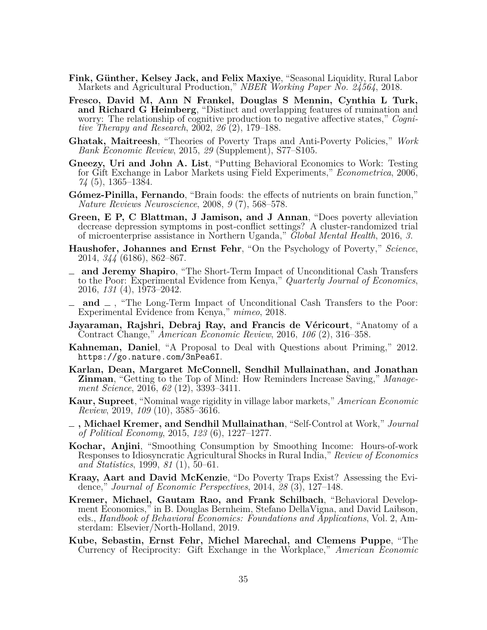- <span id="page-36-11"></span>**Fink, Günther, Kelsey Jack, and Felix Maxiye**, "Seasonal Liquidity, Rural Labor Markets and Agricultural Production," *NBER Working Paper No. 24564*, 2018.
- <span id="page-36-10"></span>**Fresco, David M, Ann N Frankel, Douglas S Mennin, Cynthia L Turk, and Richard G Heimberg**, "Distinct and overlapping features of rumination and worry: The relationship of cognitive production to negative affective states," *Cognitive Therapy and Research*, 2002, *26* (2), 179–188.
- <span id="page-36-8"></span>**Ghatak, Maitreesh**, "Theories of Poverty Traps and Anti-Poverty Policies," *Work Bank Economic Review*, 2015, *29* (Supplement), S77–S105.
- <span id="page-36-13"></span>**Gneezy, Uri and John A. List**, "Putting Behavioral Economics to Work: Testing for Gift Exchange in Labor Markets using Field Experiments," *Econometrica*, 2006, *74* (5), 1365–1384.
- <span id="page-36-2"></span>**Gómez-Pinilla, Fernando**, "Brain foods: the effects of nutrients on brain function," *Nature Reviews Neuroscience*, 2008, *9* (7), 568–578.
- <span id="page-36-6"></span>**Green, E P, C Blattman, J Jamison, and J Annan**, "Does poverty alleviation decrease depression symptoms in post-conflict settings? A cluster-randomized trial of microenterprise assistance in Northern Uganda," *Global Mental Health*, 2016, *3.*
- <span id="page-36-0"></span>**Haushofer, Johannes and Ernst Fehr**, "On the Psychology of Poverty," *Science*, 2014, *344* (6186), 862–867.
- <span id="page-36-1"></span>**and Jeremy Shapiro**, "The Short-Term Impact of Unconditional Cash Transfers to the Poor: Experimental Evidence from Kenya," *Quarterly Journal of Economics*, 2016, *131* (4), 1973–2042.
- <span id="page-36-5"></span>**and** , "The Long-Term Impact of Unconditional Cash Transfers to the Poor: Experimental Evidence from Kenya," *mimeo*, 2018.
- <span id="page-36-15"></span>**Jayaraman, Rajshri, Debraj Ray, and Francis de Véricourt**, "Anatomy of a Contract Change," *American Economic Review*, 2016, *106* (2), 316–358.
- <span id="page-36-4"></span>**Kahneman, Daniel**, "A Proposal to Deal with Questions about Priming," 2012. <https://go.nature.com/3nPea6I>.
- <span id="page-36-3"></span>**Karlan, Dean, Margaret McConnell, Sendhil Mullainathan, and Jonathan Zinman**, "Getting to the Top of Mind: How Reminders Increase Saving," *Management Science*, 2016, *62* (12), 3393–3411.
- <span id="page-36-16"></span>**Kaur, Supreet**, "Nominal wage rigidity in village labor markets," *American Economic Review*, 2019, *109* (10), 3585–3616.
- <span id="page-36-12"></span>**, Michael Kremer, and Sendhil Mullainathan**, "Self-Control at Work," *Journal of Political Economy*, 2015, *123* (6), 1227–1277.
- <span id="page-36-17"></span>**Kochar, Anjini**, "Smoothing Consumption by Smoothing Income: Hours-of-work Responses to Idiosyncratic Agricultural Shocks in Rural India," *Review of Economics and Statistics*, 1999, *81* (1), 50–61.
- <span id="page-36-7"></span>**Kraay, Aart and David McKenzie**, "Do Poverty Traps Exist? Assessing the Evidence," *Journal of Economic Perspectives*, 2014, *28* (3), 127–148.
- <span id="page-36-9"></span>**Kremer, Michael, Gautam Rao, and Frank Schilbach**, "Behavioral Development Economics," in B. Douglas Bernheim, Stefano DellaVigna, and David Laibson, eds., *Handbook of Behavioral Economics: Foundations and Applications*, Vol. 2, Amsterdam: Elsevier/North-Holland, 2019.
- <span id="page-36-14"></span>**Kube, Sebastin, Ernst Fehr, Michel Marechal, and Clemens Puppe**, "The Currency of Reciprocity: Gift Exchange in the Workplace," *American Economic*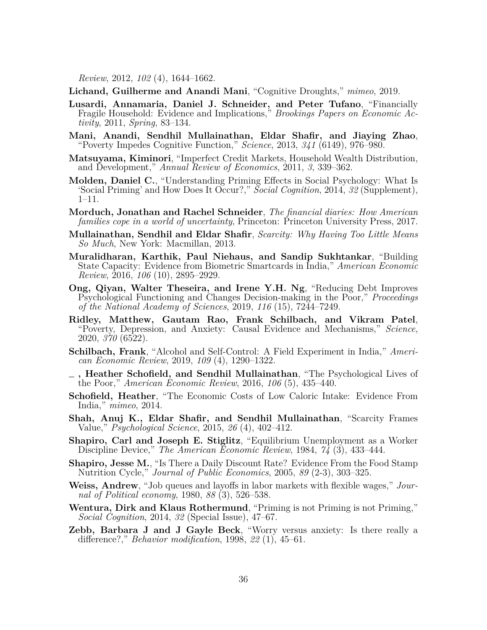*Review*, 2012, *102* (4), 1644–1662.

<span id="page-37-7"></span>**Lichand, Guilherme and Anandi Mani**, "Cognitive Droughts," *mimeo*, 2019.

- <span id="page-37-10"></span>**Lusardi, Annamaria, Daniel J. Schneider, and Peter Tufano**, "Financially Fragile Household: Evidence and Implications," *Brookings Papers on Economic Activity*, 2011, *Spring*, 83–134.
- <span id="page-37-2"></span>**Mani, Anandi, Sendhil Mullainathan, Eldar Shafir, and Jiaying Zhao**, "Poverty Impedes Cognitive Function," *Science*, 2013, *341* (6149), 976–980.
- <span id="page-37-16"></span>**Matsuyama, Kiminori**, "Imperfect Credit Markets, Household Wealth Distribution, and Development," *Annual Review of Economics*, 2011, *3*, 339–362.
- <span id="page-37-4"></span>**Molden, Daniel C.**, "Understanding Priming Effects in Social Psychology: What Is 'Social Priming' and How Does It Occur?," *Social Cognition*, 2014, *32* (Supplement), 1–11.
- <span id="page-37-11"></span>**Morduch, Jonathan and Rachel Schneider**, *The financial diaries: How American families cope in a world of uncertainty*, Princeton: Princeton University Press, 2017.
- <span id="page-37-0"></span>**Mullainathan, Sendhil and Eldar Shafir**, *Scarcity: Why Having Too Little Means So Much*, New York: Macmillan, 2013.
- <span id="page-37-9"></span>**Muralidharan, Karthik, Paul Niehaus, and Sandip Sukhtankar**, "Building State Capacity: Evidence from Biometric Smartcards in India," *American Economic Review*, 2016, *106* (10), 2895–2929.
- <span id="page-37-8"></span>**Ong, Qiyan, Walter Theseira, and Irene Y.H. Ng**, "Reducing Debt Improves Psychological Functioning and Changes Decision-making in the Poor," *Proceedings of the National Academy of Sciences*, 2019, *116* (15), 7244–7249.
- <span id="page-37-15"></span>**Ridley, Matthew, Gautam Rao, Frank Schilbach, and Vikram Patel**, "Poverty, Depression, and Anxiety: Causal Evidence and Mechanisms," *Science*, 2020, *370* (6522).
- <span id="page-37-14"></span>**Schilbach, Frank**, "Alcohol and Self-Control: A Field Experiment in India," *American Economic Review*, 2019, *109* (4), 1290–1322.
- <span id="page-37-6"></span>**, Heather Schofield, and Sendhil Mullainathan**, "The Psychological Lives of the Poor," *American Economic Review*, 2016, *106* (5), 435–440.
- <span id="page-37-3"></span>**Schofield, Heather**, "The Economic Costs of Low Caloric Intake: Evidence From India," *mimeo*, 2014.
- <span id="page-37-5"></span>**Shah, Anuj K., Eldar Shafir, and Sendhil Mullainathan**, "Scarcity Frames Value," *Psychological Science*, 2015, *26* (4), 402–412.
- <span id="page-37-17"></span>**Shapiro, Carl and Joseph E. Stiglitz**, "Equilibrium Unemployment as a Worker Discipline Device," *The American Economic Review*, 1984, *74* (3), 433–444.
- <span id="page-37-1"></span>**Shapiro, Jesse M.**, "Is There a Daily Discount Rate? Evidence From the Food Stamp Nutrition Cycle," *Journal of Public Economics*, 2005, *89* (2-3), 303–325.
- <span id="page-37-18"></span>**Weiss, Andrew**, "Job queues and layoffs in labor markets with flexible wages," *Journal of Political economy*, 1980, *88* (3), 526–538.
- <span id="page-37-13"></span>**Wentura, Dirk and Klaus Rothermund**, "Priming is not Priming is not Priming," *Social Cognition*, 2014, *32* (Special Issue), 47–67.
- <span id="page-37-12"></span>**Zebb, Barbara J and J Gayle Beck**, "Worry versus anxiety: Is there really a difference?," *Behavior modification*, 1998, *22* (1), 45–61.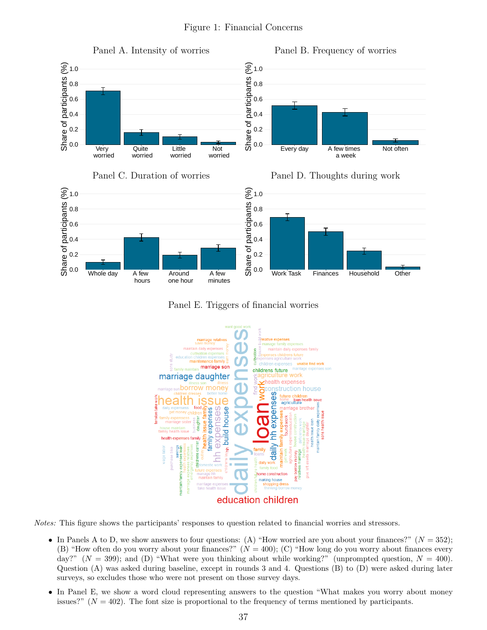<span id="page-38-0"></span>

Panel E. Triggers of financial worries



*Notes:* This figure shows the participants' responses to question related to financial worries and stressors.

- In Panels A to D, we show answers to four questions: (A) "How worried are you about your finances?"  $(N = 352)$ ; (B) "How often do you worry about your finances?" (*N* = 400); (C) "How long do you worry about finances every day?" ( $N = 399$ ); and (D) "What were you thinking about while working?" (unprompted question,  $N = 400$ ). Question (A) was asked during baseline, except in rounds 3 and 4. Questions (B) to (D) were asked during later surveys, so excludes those who were not present on those survey days.
- In Panel E, we show a word cloud representing answers to the question "What makes you worry about money issues?" (*N* = 402). The font size is proportional to the frequency of terms mentioned by participants.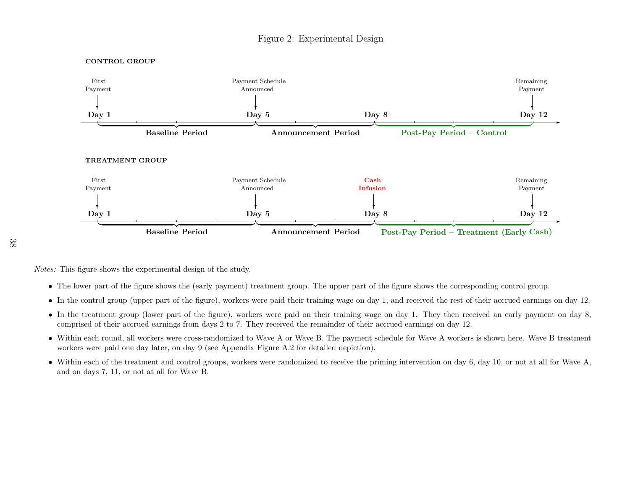# Figure 2: Experimental Design

<span id="page-39-1"></span>

*Notes:* This figure shows the experimental design of the study.

- The lower part of the figure shows the (early payment) treatment group. The upper part of the figure shows the corresponding control group.
- In the control group (upper part of the figure), workers were paid their training wage on day 1, and received the rest of their accrued earnings on day 12.
- In the treatment group (lower part of the figure), workers were paid on their training wage on day 1. They then received an early payment on day 8, comprised of their accrued earnings from days 2 to 7. They received the remainder of their accrued earnings on day 12.
- Within each round, all workers were cross-randomized to Wave <sup>A</sup> or Wave B. The payment schedule for Wave <sup>A</sup> workers is shown here. Wave <sup>B</sup> treatment workers were paid one day later, on day <sup>9</sup> (see Appendix Figure [A.2](#page-48-1) for detailed depiction).
- <span id="page-39-0"></span>• Within each of the treatment and control groups, workers were randomized to receive the priming intervention on day 6, day 10, or not at all for Wave A, and on days 7, 11, or not at all for Wave B.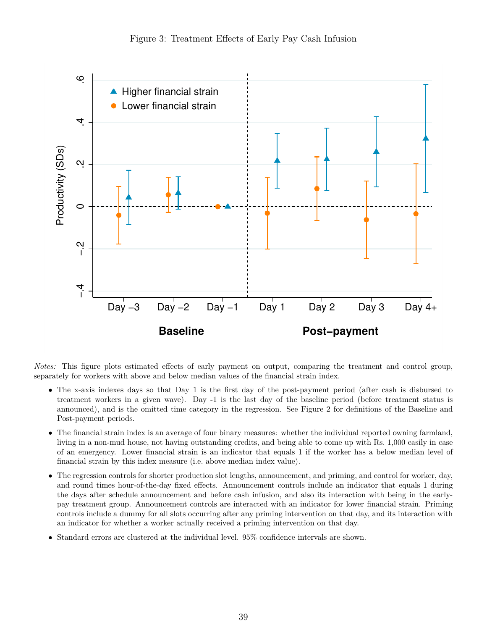<span id="page-40-0"></span>

*Notes:* This figure plots estimated effects of early payment on output, comparing the treatment and control group, separately for workers with above and below median values of the financial strain index.

- The x-axis indexes days so that Day 1 is the first day of the post-payment period (after cash is disbursed to treatment workers in a given wave). Day -1 is the last day of the baseline period (before treatment status is announced), and is the omitted time category in the regression. See Figure [2](#page-39-0) for definitions of the Baseline and Post-payment periods.
- The financial strain index is an average of four binary measures: whether the individual reported owning farmland, living in a non-mud house, not having outstanding credits, and being able to come up with Rs. 1,000 easily in case of an emergency. Lower financial strain is an indicator that equals 1 if the worker has a below median level of financial strain by this index measure (i.e. above median index value).
- The regression controls for shorter production slot lengths, announcement, and priming, and control for worker, day, and round times hour-of-the-day fixed effects. Announcement controls include an indicator that equals 1 during the days after schedule announcement and before cash infusion, and also its interaction with being in the earlypay treatment group. Announcement controls are interacted with an indicator for lower financial strain. Priming controls include a dummy for all slots occurring after any priming intervention on that day, and its interaction with an indicator for whether a worker actually received a priming intervention on that day.
- Standard errors are clustered at the individual level. 95% confidence intervals are shown.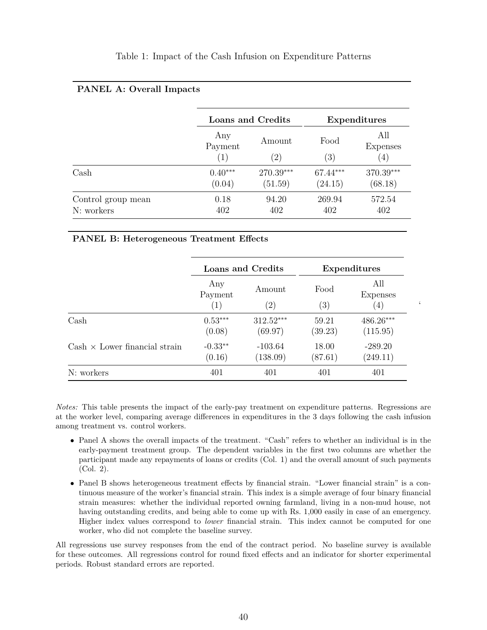#### Table 1: Impact of the Cash Infusion on Expenditure Patterns

#### <span id="page-41-0"></span>**PANEL A: Overall Impacts**

|                       |                       | Loans and Credits           |             | Expenditures                  |
|-----------------------|-----------------------|-----------------------------|-------------|-------------------------------|
|                       | Any<br>Payment<br>(1) | Amount<br>$\left( 2\right)$ | Food<br>(3) | All<br><b>Expenses</b><br>(4) |
| $\operatorname{Cash}$ | $0.40***$             | 270.39***                   | 67.44***    | 370.39***                     |
|                       | (0.04)                | (51.59)                     | (24.15)     | (68.18)                       |
| Control group mean    | 0.18                  | 94.20                       | 269.94      | 572.54                        |
| N: workers            | 402                   | 402                         | 402         | 402                           |

#### **PANEL B: Heterogeneous Treatment Effects**

|                                      |                                     | Loans and Credits           |                           | Expenditures           |
|--------------------------------------|-------------------------------------|-----------------------------|---------------------------|------------------------|
|                                      | Any<br>Payment<br>$\left( 1\right)$ | Amount<br>$\left( 2\right)$ | Food<br>$\left( 3\right)$ | All<br>Expenses<br>(4) |
| $\operatorname{Cash}$                | $0.53***$<br>(0.08)                 | $312.52***$<br>(69.97)      | 59.21<br>(39.23)          | 486.26***<br>(115.95)  |
| $Cash \times Lower financial strain$ | $-0.33**$<br>(0.16)                 | $-103.64$<br>(138.09)       | 18.00<br>(87.61)          | $-289.20$<br>(249.11)  |
| N: workers                           | 401                                 | 401                         | 401                       | 401                    |

<span id="page-41-1"></span> $\zeta$ 

*Notes:* This table presents the impact of the early-pay treatment on expenditure patterns. Regressions are at the worker level, comparing average differences in expenditures in the 3 days following the cash infusion among treatment vs. control workers.

- Panel A shows the overall impacts of the treatment. "Cash" refers to whether an individual is in the early-payment treatment group. The dependent variables in the first two columns are whether the participant made any repayments of loans or credits (Col. 1) and the overall amount of such payments (Col. 2).
- Panel B shows heterogeneous treatment effects by financial strain. "Lower financial strain" is a continuous measure of the worker's financial strain. This index is a simple average of four binary financial strain measures: whether the individual reported owning farmland, living in a non-mud house, not having outstanding credits, and being able to come up with Rs. 1,000 easily in case of an emergency. Higher index values correspond to *lower* financial strain. This index cannot be computed for one worker, who did not complete the baseline survey.

All regressions use survey responses from the end of the contract period. No baseline survey is available for these outcomes. All regressions control for round fixed effects and an indicator for shorter experimental periods. Robust standard errors are reported.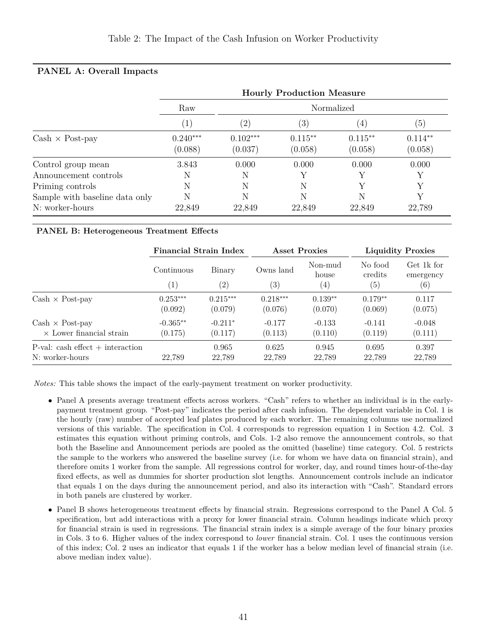|                                                   | <b>Hourly Production Measure</b> |                       |                       |                      |                      |  |  |  |  |  |  |
|---------------------------------------------------|----------------------------------|-----------------------|-----------------------|----------------------|----------------------|--|--|--|--|--|--|
|                                                   | Raw                              |                       |                       | Normalized           |                      |  |  |  |  |  |  |
|                                                   |                                  | $\left( 2\right)$     | (3)                   | $\left(4\right)$     | (5)                  |  |  |  |  |  |  |
| $Cash \times Post$ -pay                           | $0.240***$<br>(0.088)            | $0.102***$<br>(0.037) | $0.115***$<br>(0.058) | $0.115**$<br>(0.058) | $0.114**$<br>(0.058) |  |  |  |  |  |  |
| Control group mean<br>Announcement controls       | 3.843<br>Ν                       | 0.000<br>N            | 0.000                 | 0.000                | 0.000                |  |  |  |  |  |  |
| Priming controls                                  | N                                | N                     | N                     |                      |                      |  |  |  |  |  |  |
| Sample with baseline data only<br>N: worker-hours | N<br>22,849                      | N<br>22,849           | N<br>22,849           | 22,849               | 22,789               |  |  |  |  |  |  |

#### <span id="page-42-1"></span><span id="page-42-0"></span>**PANEL A: Overall Impacts**

#### **PANEL B: Heterogeneous Treatment Effects**

|                                       | Financial Strain Index |               | <b>Asset Proxies</b>           |                                       | <b>Liquidity Proxies</b>                |                                |  |
|---------------------------------------|------------------------|---------------|--------------------------------|---------------------------------------|-----------------------------------------|--------------------------------|--|
|                                       | Continuous<br>(1)      | Binary<br>(2) | Owns land<br>$\left( 3\right)$ | Non-mud<br>house<br>$\left( 4\right)$ | No food<br>credits<br>$\left( 5\right)$ | Get 1k for<br>emergency<br>(6) |  |
| $Cash \times Post$ -pay               | $0.253***$             | $0.215***$    | $0.218***$                     | $0.139**$                             | $0.179**$                               | 0.117                          |  |
|                                       | (0.092)                | (0.079)       | (0.076)                        | (0.070)                               | (0.069)                                 | (0.075)                        |  |
| $Cash \times Post$ -pay               | $-0.365**$             | $-0.211*$     | $-0.177$                       | $-0.133$                              | $-0.141$                                | $-0.048$                       |  |
| $\times$ Lower financial strain       | (0.175)                | (0.117)       | (0.113)                        | (0.110)                               | (0.119)                                 | (0.111)                        |  |
| $P$ -val: cash effect $+$ interaction | 22.789                 | 0.965         | 0.625                          | 0.945                                 | 0.695                                   | 0.397                          |  |
| N: worker-hours                       |                        | 22,789        | 22.789                         | 22,789                                | 22,789                                  | 22,789                         |  |

*Notes:* This table shows the impact of the early-payment treatment on worker productivity.

- Panel A presents average treatment effects across workers. "Cash" refers to whether an individual is in the earlypayment treatment group. "Post-pay" indicates the period after cash infusion. The dependent variable in Col. 1 is the hourly (raw) number of accepted leaf plates produced by each worker. The remaining columns use normalized versions of this variable. The specification in Col. 4 corresponds to regression equation [1](#page-18-0) in Section [4.2.](#page-18-1) Col. 3 estimates this equation without priming controls, and Cols. 1-2 also remove the announcement controls, so that both the Baseline and Announcement periods are pooled as the omitted (baseline) time category. Col. 5 restricts the sample to the workers who answered the baseline survey (i.e. for whom we have data on financial strain), and therefore omits 1 worker from the sample. All regressions control for worker, day, and round times hour-of-the-day fixed effects, as well as dummies for shorter production slot lengths. Announcement controls include an indicator that equals 1 on the days during the announcement period, and also its interaction with "Cash". Standard errors in both panels are clustered by worker.
- Panel B shows heterogeneous treatment effects by financial strain. Regressions correspond to the Panel A Col. 5 specification, but add interactions with a proxy for lower financial strain. Column headings indicate which proxy for financial strain is used in regressions. The financial strain index is a simple average of the four binary proxies in Cols. 3 to 6. Higher values of the index correspond to *lower* financial strain. Col. 1 uses the continuous version of this index; Col. 2 uses an indicator that equals 1 if the worker has a below median level of financial strain (i.e. above median index value).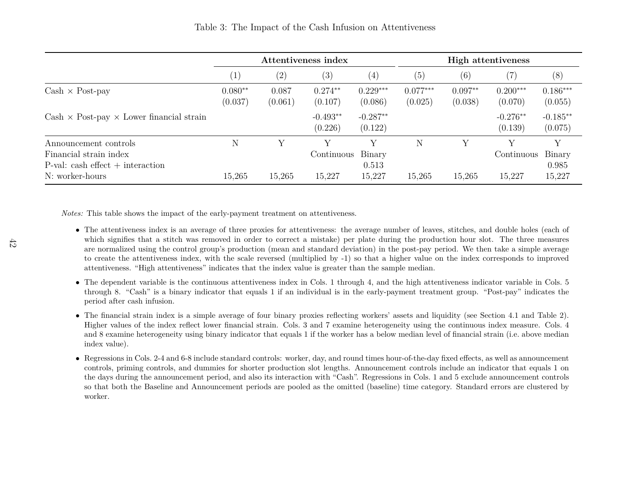<span id="page-43-0"></span>

|                                                         |                      |                  | Attentiveness index   |                       | <b>High attentiveness</b> |                      |                       |                       |  |
|---------------------------------------------------------|----------------------|------------------|-----------------------|-----------------------|---------------------------|----------------------|-----------------------|-----------------------|--|
|                                                         | $\left( 1 \right)$   | (2)              | (3)                   | $\left(4\right)$      | (5)                       | (6)                  | 7)                    | (8)                   |  |
| $Cash \times Post$ -pay                                 | $0.080**$<br>(0.037) | 0.087<br>(0.061) | $0.274**$<br>(0.107)  | $0.229***$<br>(0.086) | $0.077***$<br>(0.025)     | $0.097**$<br>(0.038) | $0.200***$<br>(0.070) | $0.186***$<br>(0.055) |  |
| $Cash \times Post$ -pay $\times$ Lower financial strain |                      |                  | $-0.493**$<br>(0.226) | $-0.287**$<br>(0.122) |                           |                      | $-0.276**$<br>(0.139) | $-0.185**$<br>(0.075) |  |
| Announcement controls                                   | N                    | V                |                       |                       | N                         | $_{\rm V}$           |                       | Y                     |  |
| Financial strain index                                  |                      |                  | Continuous Binary     |                       |                           |                      | Continuous            | Binary                |  |
| $P-value: cash effect + interaction$                    |                      |                  |                       | 0.513                 |                           |                      |                       | 0.985                 |  |
| N: worker-hours                                         | 15,265               | 15,265           | 15,227                | 15,227                | 15,265                    | 15,265               | 15,227                | 15,227                |  |

*Notes:* This table shows the impact of the early-payment treatment on attentiveness.

- The attentiveness index is an average of three proxies for attentiveness: the average number of leaves, stitches, and double holes (each of which signifies that <sup>a</sup> stitch was removed in order to correct <sup>a</sup> mistake) per <sup>p</sup>late during the production hour slot. The three measures are normalized using the control group's production (mean and standard deviation) in the post-pay period. We then take <sup>a</sup> simple average to create the attentiveness index, with the scale reversed (multiplied by -1) so that <sup>a</sup> higher value on the index corresponds to improvedattentiveness. "High attentiveness" indicates that the index value is greater than the sample median.
- The dependent variable is the continuous attentiveness index in Cols. <sup>1</sup> through 4, and the high attentiveness indicator variable in Cols. <sup>5</sup> through 8. "Cash" is <sup>a</sup> binary indicator that equals 1 if an individual is in the early-payment treatment group. "Post-pay" indicates theperiod after cash infusion.
- The financial strain index is <sup>a</sup> simple average of four binary proxies reflecting workers' assets and liquidity (see Section [4.1](#page-17-1) and Table [2\)](#page-42-1). Higher values of the index reflect lower financial strain. Cols. 3 and 7 examine heterogeneity using the continuous index measure. Cols. 4 and <sup>8</sup> examine heterogeneity using binary indicator that equals <sup>1</sup> if the worker has <sup>a</sup> below median level of financial strain (i.e. above medianindex value).
- Regressions in Cols. 2-4 and 6-8 include standard controls: worker, day, and round times hour-of-the-day fixed effects, as well as announcement controls, priming controls, and dummies for shorter production slot lengths. Announcement controls include an indicator that equals 1 on the days during the announcement period, and also its interaction with "Cash". Regressions in Cols. 1 and 5 exclude announcement controls so that both the Baseline and Announcement periods are pooled as the omitted (baseline) time category. Standard errors are clustered byworker.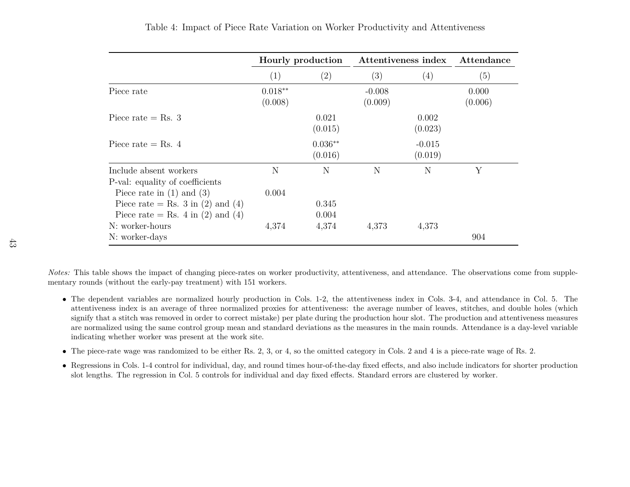<span id="page-44-1"></span>

|                                                                                                         |                      | Hourly production    |                     | Attentiveness index | Attendance       |
|---------------------------------------------------------------------------------------------------------|----------------------|----------------------|---------------------|---------------------|------------------|
|                                                                                                         | (1)                  | $\left( 2\right)$    | (3)                 | (4)                 | (5)              |
| Piece rate                                                                                              | $0.018**$<br>(0.008) |                      | $-0.008$<br>(0.009) |                     | 0.000<br>(0.006) |
| Piece rate $=$ Rs. 3                                                                                    |                      | 0.021<br>(0.015)     |                     | 0.002<br>(0.023)    |                  |
| Piece rate $=$ Rs. 4                                                                                    |                      | $0.036**$<br>(0.016) |                     | $-0.015$<br>(0.019) |                  |
| Include absent workers<br>P-val: equality of coefficients                                               | N                    | N                    | N                   | N                   | Y                |
| Piece rate in $(1)$ and $(3)$<br>Piece rate = Rs. 3 in (2) and (4)<br>Piece rate = Rs. 4 in (2) and (4) | 0.004                | 0.345<br>0.004       |                     |                     |                  |
| N: worker-hours<br>N: worker-days                                                                       | 4,374                | 4,374                | 4,373               | 4,373               | 904              |

Table 4: Impact of Piece Rate Variation on Worker Productivity and Attentiveness

*Notes:* This table shows the impact of changing <sup>p</sup>iece-rates on worker productivity, attentiveness, and attendance. The observations come from supplementary rounds (without the early-pay treatment) with <sup>151</sup> workers.

- The dependent variables are normalized hourly production in Cols. 1-2, the attentiveness index in Cols. 3-4, and attendance in Col. 5. The attentiveness index is an average of three normalized proxies for attentiveness: the average number of leaves, stitches, and double holes (which signify that <sup>a</sup> stitch was removed in order to correct mistake) per <sup>p</sup>late during the production hour slot. The production and attentiveness measures are normalized using the same control group mean and standard deviations as the measures in the main rounds. Attendance is <sup>a</sup> day-level variableindicating whether worker was present at the work site.
- The <sup>p</sup>iece-rate wage was randomized to be either Rs. 2, 3, or 4, so the omitted category in Cols. <sup>2</sup> and <sup>4</sup> is <sup>a</sup> <sup>p</sup>iece-rate wage of Rs. 2.
- <span id="page-44-0"></span>• Regressions in Cols. 1-4 control for individual, day, and round times hour-of-the-day fixed effects, and also include indicators for shorter productionslot lengths. The regression in Col. 5 controls for individual and day fixed effects. Standard errors are clustered by worker.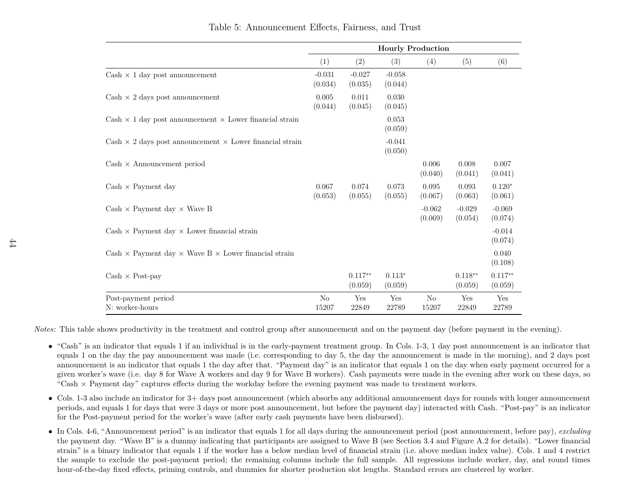|                                                                           |                         |                      | <b>Hourly Production</b> |                         |                      |                      |
|---------------------------------------------------------------------------|-------------------------|----------------------|--------------------------|-------------------------|----------------------|----------------------|
|                                                                           | (1)                     | (2)                  | (3)                      | (4)                     | (5)                  | (6)                  |
| Cash $\times$ 1 day post announcement                                     | $-0.031$<br>(0.034)     | $-0.027$<br>(0.035)  | $-0.058$<br>(0.044)      |                         |                      |                      |
| $Cash \times 2 \text{ days post announcement}$                            | 0.005<br>(0.044)        | 0.011<br>(0.045)     | 0.030<br>(0.045)         |                         |                      |                      |
| $Cash \times 1$ day post announcement $\times$ Lower financial strain     |                         |                      | 0.053<br>(0.059)         |                         |                      |                      |
| $Cash \times 2$ days post announcement $\times$ Lower financial strain    |                         |                      | $-0.041$<br>(0.050)      |                         |                      |                      |
| $Cash \times$ Announcement period                                         |                         |                      |                          | 0.006<br>(0.040)        | 0.008<br>(0.041)     | 0.007<br>(0.041)     |
| $Cash \times Payment$ day                                                 | 0.067<br>(0.053)        | 0.074<br>(0.055)     | 0.073<br>(0.055)         | 0.095<br>(0.067)        | 0.093<br>(0.063)     | $0.120*$<br>(0.061)  |
| $Cash \times Payment day \times Wave B$                                   |                         |                      |                          | $-0.062$<br>(0.069)     | $-0.029$<br>(0.054)  | $-0.069$<br>(0.074)  |
| $Cash \times Payment day \times Lower financial strain$                   |                         |                      |                          |                         |                      | $-0.014$<br>(0.074)  |
| Cash $\times$ Payment day $\times$ Wave B $\times$ Lower financial strain |                         |                      |                          |                         |                      | 0.040<br>(0.108)     |
| $Cash \times Post$ -pay                                                   |                         | $0.117**$<br>(0.059) | $0.113*$<br>(0.059)      |                         | $0.118**$<br>(0.059) | $0.117**$<br>(0.059) |
| Post-payment period<br>N: worker-hours                                    | N <sub>o</sub><br>15207 | Yes<br>22849         | Yes<br>22789             | N <sub>o</sub><br>15207 | Yes<br>22849         | Yes<br>22789         |

*Notes:* This table shows productivity in the treatment and control group after announcement and on the payment day (before payment in the evening).

- "Cash" is an indicator that equals <sup>1</sup> if an individual is in the early-payment treatment group. In Cols. 1-3, <sup>1</sup> day post announcement is an indicator that equals <sup>1</sup> on the day the pay announcement was made (i.e. corresponding to day 5, the day the announcement is made in the morning), and <sup>2</sup> days post announcement is an indicator that equals 1 the day after that. "Payment day" is an indicator that equals 1 on the day when early payment occurred for <sup>a</sup> <sup>g</sup>iven worker's wave (i.e. day <sup>8</sup> for Wave A workers and day <sup>9</sup> for Wave <sup>B</sup> workers). Cash payments were made in the evening after work on these days, so"Cash  $\times$  Payment day" captures effects during the workday before the evening payment was made to treatment workers.
- Cols. 1-3 also include an indicator for 3+ days post announcement (which absorbs any additional announcement days for rounds with longer announcement periods, and equals <sup>1</sup> for days that were <sup>3</sup> days or more post announcement, but before the payment day) interacted with Cash. "Post-pay" is an indicatorfor the Post-payment period for the worker's wave (after early cash payments have been disbursed).
- <span id="page-45-0"></span>• In Cols. 4-6, "Announcement period" is an indicator that equals <sup>1</sup> for all days during the announcement period (post announcement, before pay), *excluding* the payment day. "Wave B" is <sup>a</sup> dummy indicating that participants are assigned to Wave <sup>B</sup> (see Section [3.4](#page-14-1) and Figure [A.2](#page-48-1) for details). "Lower financialstrain" is <sup>a</sup> binary indicator that equals <sup>1</sup> if the worker has <sup>a</sup> below median level of financial strain (i.e. above median index value). Cols. <sup>1</sup> and <sup>4</sup> restrict the sample to exclude the post-payment period; the remaining columns include the full sample. All regressions include worker, day, and round timeshour-of-the-day fixed effects, priming controls, and dummies for shorter production slot lengths. Standard errors are clustered by worker.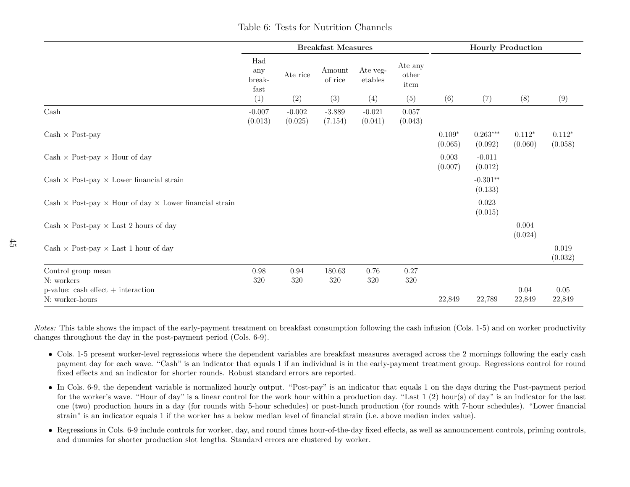|                                                                             |                              |                     | <b>Breakfast Measures</b> |                     |                          | <b>Hourly Production</b> |                       |                     |                     |
|-----------------------------------------------------------------------------|------------------------------|---------------------|---------------------------|---------------------|--------------------------|--------------------------|-----------------------|---------------------|---------------------|
|                                                                             | Had<br>any<br>break-<br>fast | Ate rice            | Amount<br>of rice         | Ate veg-<br>etables | Ate any<br>other<br>item |                          |                       |                     |                     |
|                                                                             | (1)                          | (2)                 | (3)                       | (4)                 | (5)                      | (6)                      | (7)                   | (8)                 | (9)                 |
| $\operatorname{Cash}$                                                       | $-0.007$<br>(0.013)          | $-0.002$<br>(0.025) | $-3.889$<br>(7.154)       | $-0.021$<br>(0.041) | 0.057<br>(0.043)         |                          |                       |                     |                     |
| $Cash \times Post$ -pay                                                     |                              |                     |                           |                     |                          | $0.109*$<br>(0.065)      | $0.263***$<br>(0.092) | $0.112*$<br>(0.060) | $0.112*$<br>(0.058) |
| Cash $\times$ Post-pay $\times$ Hour of day                                 |                              |                     |                           |                     |                          | 0.003<br>(0.007)         | $-0.011$<br>(0.012)   |                     |                     |
| Cash $\times$ Post-pay $\times$ Lower financial strain                      |                              |                     |                           |                     |                          |                          | $-0.301**$<br>(0.133) |                     |                     |
| Cash $\times$ Post-pay $\times$ Hour of day $\times$ Lower financial strain |                              |                     |                           |                     |                          |                          | 0.023<br>(0.015)      |                     |                     |
| Cash $\times$ Post-pay $\times$ Last 2 hours of day                         |                              |                     |                           |                     |                          |                          |                       | 0.004<br>(0.024)    |                     |
| Cash $\times$ Post-pay $\times$ Last 1 hour of day                          |                              |                     |                           |                     |                          |                          |                       |                     | 0.019<br>(0.032)    |
| Control group mean<br>N: workers                                            | $0.98\,$<br>320              | 0.94<br>320         | 180.63<br>320             | 0.76<br>320         | 0.27<br>320              |                          |                       |                     |                     |
| $p$ -value: cash effect $+$ interaction<br>N: worker-hours                  |                              |                     |                           |                     |                          | 22,849                   | 22,789                | 0.04<br>22,849      | 0.05<br>22,849      |

*Notes:* This table shows the impact of the early-payment treatment on breakfast consumption following the cash infusion (Cols. 1-5) and on worker productivitychanges throughout the day in the post-payment period (Cols. 6-9).

- Cols. 1-5 present worker-level regressions where the dependent variables are breakfast measures averaged across the <sup>2</sup> mornings following the early cash payment day for each wave. "Cash" is an indicator that equals 1 if an individual is in the early-payment treatment group. Regressions control for roundfixed effects and an indicator for shorter rounds. Robust standard errors are reported.
- In Cols. 6-9, the dependent variable is normalized hourly output. "Post-pay" is an indicator that equals <sup>1</sup> on the days during the Post-payment period for the worker's wave. "Hour of day" is <sup>a</sup> linear control for the work hour within <sup>a</sup> production day. "Last <sup>1</sup> (2) hour(s) of day" is an indicator for the last one (two) production hours in <sup>a</sup> day (for rounds with 5-hour schedules) or post-lunch production (for rounds with 7-hour schedules). "Lower financialstrain" is an indicator equals <sup>1</sup> if the worker has <sup>a</sup> below median level of financial strain (i.e. above median index value).
- <span id="page-46-0"></span>• Regressions in Cols. 6-9 include controls for worker, day, and round times hour-of-the-day fixed effects, as well as announcement controls, priming controls, and dummies for shorter production slot lengths. Standard errors are clustered by worker.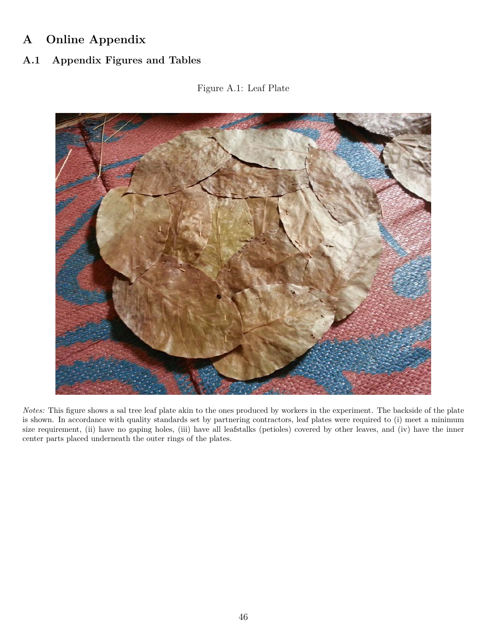# **A Online Appendix**

<span id="page-47-0"></span>**A.1 Appendix Figures and Tables**

## <span id="page-47-1"></span>Figure A.1: Leaf Plate



*Notes:* This figure shows a sal tree leaf plate akin to the ones produced by workers in the experiment. The backside of the plate is shown. In accordance with quality standards set by partnering contractors, leaf plates were required to (i) meet a minimum size requirement, (ii) have no gaping holes, (iii) have all leafstalks (petioles) covered by other leaves, and (iv) have the inner center parts placed underneath the outer rings of the plates.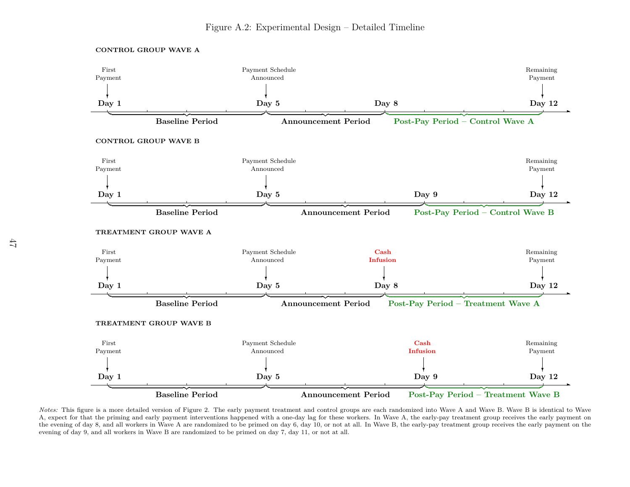

<span id="page-48-1"></span>

<span id="page-48-0"></span>*Notes:* This figure is <sup>a</sup> more detailed version of Figure [2.](#page-39-1) The early payment treatment and control groups are each randomized into Wave <sup>A</sup> and Wave B. Wave <sup>B</sup> is identical to Wave A, expect for that the priming and early payment interventions happened with <sup>a</sup> one-day lag for these workers. In Wave A, the early-pay treatment group receives the early payment onthe evening of day 8, and all workers in Wave A are randomized to be primed on day 6, day 10, or not at all. In Wave B, the early-pay treatment group receives the early payment on the evening of day 9, and all workers in Wave B are randomized to be primed on day 7, day 11, or not at all.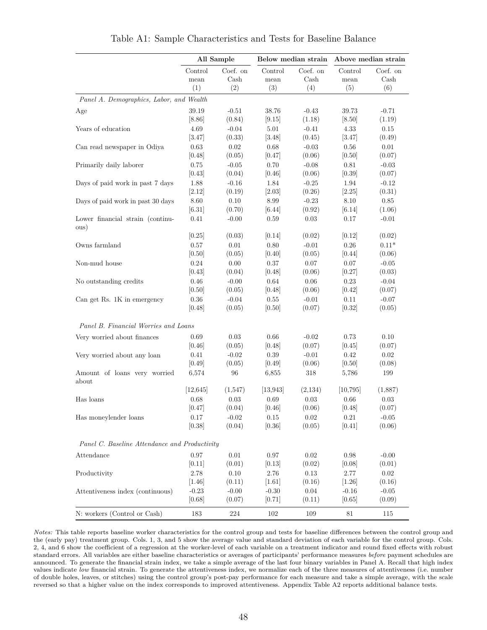<span id="page-49-0"></span>

|                                               |                   | All Sample        |                   | Below median strain |                       | Above median strain |
|-----------------------------------------------|-------------------|-------------------|-------------------|---------------------|-----------------------|---------------------|
|                                               | Control<br>mean   | Coef. on<br>Cash  | Control<br>mean   | Coef. on<br>Cash    | Control<br>mean       | Coef. on<br>Cash    |
|                                               | (1)               | (2)               | (3)               | (4)                 | (5)                   | (6)                 |
| Panel A. Demographics, Labor, and Wealth      |                   |                   |                   |                     |                       |                     |
| Age                                           | 39.19             | $-0.51$           | 38.76             | $-0.43$             | 39.73                 | $-0.71$             |
|                                               | [8.86]            | (0.84)            | [9.15]            | (1.18)              | [8.50]                | (1.19)              |
| Years of education                            | 4.69              | $-0.04$           | 5.01              | $-0.41$             | 4.33                  | 0.15                |
|                                               | [3.47]            | (0.33)            | $[3.48]$          | (0.45)              | [3.47]                | (0.49)              |
| Can read newspaper in Odiya                   | 0.63<br>[0.48]    | 0.02<br>(0.05)    | 0.68<br>[0.47]    | $-0.03$<br>(0.06)   | 0.56<br>[0.50]        | $0.01\,$<br>(0.07)  |
| Primarily daily laborer                       | 0.75              | $-0.05$           | 0.70              | $-0.08$             | 0.81                  | $-0.03$             |
|                                               | [0.43]            | (0.04)            | $[0.46]$          | (0.06)              | $[0.39]$              | (0.07)              |
| Days of paid work in past 7 days              | 1.88              | $-0.16$           | 1.84              | $-0.25$             | 1.94                  | $-0.12$             |
|                                               | [2.12]            | (0.19)            | [2.03]            | (0.26)              | [2.25]                | (0.31)              |
| Days of paid work in past 30 days             | 8.60              | 0.10              | 8.99              | $-0.23$             | $8.10\,$              | $0.85\,$            |
|                                               | $[6.31]$          | (0.70)            | [6.44]            | (0.92)              | [6.14]                | (1.06)              |
| Lower financial strain (continu-<br>ous)      | 0.41              | $-0.00$           | 0.59              | 0.03                | 0.17                  | $-0.01$             |
|                                               | [0.25]            | (0.03)            | [0.14]            | (0.02)              | [0.12]                | (0.02)              |
| Owns farmland                                 | 0.57              | 0.01              | 0.80              | $-0.01$             | 0.26                  | $0.11*$             |
|                                               | $[0.50]$          | (0.05)            | $[0.40]$          | (0.05)              | $[0.44]$              | (0.06)              |
| Non-mud house                                 | 0.24              | $0.00\,$          | 0.37              | 0.07                | 0.07                  | $-0.05$             |
|                                               | [0.43]            | (0.04)            | [0.48]            | (0.06)              | [0.27]                | (0.03)              |
| No outstanding credits                        | 0.46              | $-0.00$           | 0.64              | 0.06                | 0.23                  | $-0.04$             |
|                                               | [0.50]            | (0.05)            | [0.48]            | (0.06)              | [0.42]                | (0.07)              |
| Can get Rs. 1K in emergency                   | 0.36<br>[0.48]    | $-0.04$<br>(0.05) | 0.55<br>[0.50]    | $-0.01$<br>(0.07)   | 0.11<br>[0.32]        | $-0.07$<br>(0.05)   |
| Panel B. Financial Worries and Loans          |                   |                   |                   |                     |                       |                     |
| Very worried about finances                   | 0.69              | 0.03              | 0.66              | $-0.02$             | 0.73                  | 0.10                |
|                                               | [0.46]            | (0.05)            | $[0.48]$          | (0.07)              | $[0.45]$              | (0.07)              |
| Very worried about any loan                   | 0.41              | $-0.02$           | 0.39              | $-0.01$             | 0.42                  | 0.02                |
|                                               | [0.49]            | (0.05)            | $[0.49]$          | (0.06)              | [0.50]                | (0.08)              |
| Amount of loans very worried<br>about         | 6,574             | $96\,$            | 6,855             | 318                 | 5,786                 | 199                 |
|                                               | [12, 645]         | (1,547)           | [13, 943]         | (2,134)             | $\left[10,795\right]$ | (1,887)             |
| Has loans                                     | 0.68              | 0.03              | 0.69              | 0.03                | 0.66                  | $0.03\,$            |
|                                               | [0.47]            | (0.04)            | [0.46]            | (0.06)              | [0.48]                | (0.07)              |
| Has moneylender loans                         | 0.17              | $-0.02$           | 0.15              | 0.02                | 0.21                  | $-0.05$             |
|                                               | [0.38]            | (0.04)            | [0.36]            | (0.05)              | [0.41]                | (0.06)              |
| Panel C. Baseline Attendance and Productivity |                   |                   |                   |                     |                       |                     |
| Attendance                                    | 0.97              | $0.01\,$          | $0.97\,$          | $0.02\,$            | 0.98                  | $-0.00$             |
|                                               | [0.11]            | (0.01)            | [0.13]            | (0.02)              | [0.08]                | (0.01)              |
| Productivity                                  | 2.78              | 0.10              | 2.76              | 0.13                | 2.77                  | 0.02                |
|                                               | $[1.46]$          | (0.11)            | $[1.61]$          | (0.16)              | $[1.26]$              | (0.16)              |
| Attentiveness index (continuous)              | $-0.23$<br>[0.68] | $-0.00$<br>(0.07) | $-0.30$<br>[0.71] | 0.04<br>(0.11)      | $-0.16$<br>[0.65]     | $-0.05$<br>(0.09)   |
| N: workers (Control or Cash)                  | 183               | 224               | 102               | 109                 | 81                    | 115                 |

Table A1: Sample Characteristics and Tests for Baseline Balance

*Notes:* This table reports baseline worker characteristics for the control group and tests for baseline differences between the control group and the (early pay) treatment group. Cols. 1, 3, and 5 show the average value and standard deviation of each variable for the control group. Cols. 2, 4, and 6 show the coefficient of a regression at the worker-level of each variable on a treatment indicator and round fixed effects with robust standard errors. All variables are either baseline characteristics or averages of participants' performance measures *before* payment schedules are announced. To generate the financial strain index, we take a simple average of the last four binary variables in Panel A. Recall that high index values indicate *low* financial strain. To generate the attentiveness index, we normalize each of the three measures of attentiveness (i.e. number of double holes, leaves, or stitches) using the control group's post-pay performance for each measure and take a simple average, with the scale reversed so that a higher value on the index corresponds to improved attentiveness. Appendix Table [A2](#page-50-0) reports additional balance tests.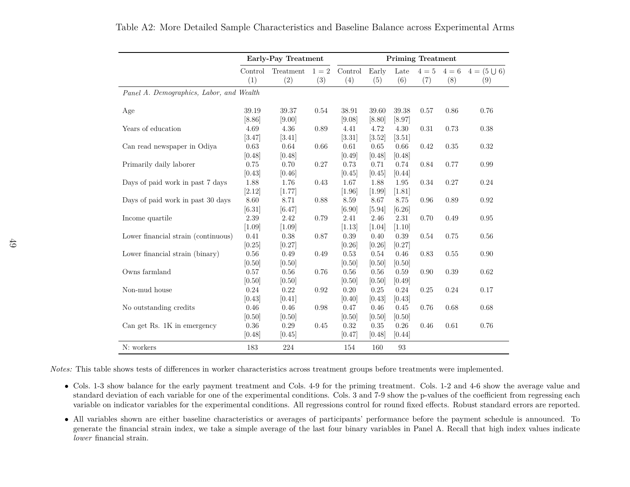|                                          |          | Early-Pay Treatment |         | <b>Priming Treatment</b> |          |          |         |         |                  |  |
|------------------------------------------|----------|---------------------|---------|--------------------------|----------|----------|---------|---------|------------------|--|
|                                          | Control  | Treatment           | $1 = 2$ | Control                  | Early    | Late     | $4 = 5$ | $4 = 6$ | $4 = (5 \cup 6)$ |  |
|                                          | (1)      | (2)                 | (3)     | (4)                      | (5)      | (6)      | (7)     | (8)     | (9)              |  |
| Panel A. Demographics, Labor, and Wealth |          |                     |         |                          |          |          |         |         |                  |  |
| Age                                      | 39.19    | 39.37               | 0.54    | 38.91                    | 39.60    | 39.38    | 0.57    | 0.86    | 0.76             |  |
|                                          | [8.86]   | [9.00]              |         | [9.08]                   | [8.80]   | [8.97]   |         |         |                  |  |
| Years of education                       | 4.69     | 4.36                | 0.89    | 4.41                     | 4.72     | 4.30     | 0.31    | 0.73    | 0.38             |  |
|                                          | [3.47]   | [3.41]              |         | [3.31]                   | $[3.52]$ | $[3.51]$ |         |         |                  |  |
| Can read newspaper in Odiya              | 0.63     | 0.64                | 0.66    | 0.61                     | 0.65     | 0.66     | 0.42    | 0.35    | 0.32             |  |
|                                          | [0.48]   | [0.48]              |         | [0.49]                   | [0.48]   | [0.48]   |         |         |                  |  |
| Primarily daily laborer                  | 0.75     | 0.70                | 0.27    | 0.73                     | 0.71     | 0.74     | 0.84    | 0.77    | 0.99             |  |
|                                          | [0.43]   | [0.46]              |         | [0.45]                   | [0.45]   | [0.44]   |         |         |                  |  |
| Days of paid work in past 7 days         | 1.88     | 1.76                | 0.43    | 1.67                     | 1.88     | 1.95     | 0.34    | 0.27    | 0.24             |  |
|                                          | [2.12]   | [1.77]              |         | $[1.96]$                 | $[1.99]$ | $[1.81]$ |         |         |                  |  |
| Days of paid work in past 30 days        | 8.60     | 8.71                | 0.88    | 8.59                     | 8.67     | 8.75     | 0.96    | 0.89    | 0.92             |  |
|                                          | [6.31]   | [6.47]              |         | [6.90]                   | [5.94]   | [6.26]   |         |         |                  |  |
| Income quartile                          | 2.39     | 2.42                | 0.79    | 2.41                     | 2.46     | 2.31     | 0.70    | 0.49    | 0.95             |  |
|                                          | $[1.09]$ | [1.09]              |         | [1.13]                   | $[1.04]$ | $[1.10]$ |         |         |                  |  |
| Lower financial strain (continuous)      | 0.41     | 0.38                | 0.87    | 0.39                     | 0.40     | 0.39     | 0.54    | 0.75    | 0.56             |  |
|                                          | $[0.25]$ | [0.27]              |         | [0.26]                   | $[0.26]$ | [0.27]   |         |         |                  |  |
| Lower financial strain (binary)          | 0.56     | 0.49                | 0.49    | 0.53                     | 0.54     | 0.46     | 0.83    | 0.55    | 0.90             |  |
|                                          | [0.50]   | [0.50]              |         | [0.50]                   | [0.50]   | [0.50]   |         |         |                  |  |
| Owns farmland                            | 0.57     | 0.56                | 0.76    | 0.56                     | 0.56     | 0.59     | 0.90    | 0.39    | 0.62             |  |
|                                          | [0.50]   | [0.50]              |         | [0.50]                   | [0.50]   | [0.49]   |         |         |                  |  |
| Non-mud house                            | 0.24     | 0.22                | 0.92    | 0.20                     | 0.25     | 0.24     | 0.25    | 0.24    | 0.17             |  |
|                                          | [0.43]   | [0.41]              |         | [0.40]                   | [0.43]   | [0.43]   |         |         |                  |  |
| No outstanding credits                   | 0.46     | 0.46                | 0.98    | 0.47                     | 0.46     | 0.45     | 0.76    | 0.68    | 0.68             |  |
|                                          | [0.50]   | [0.50]              |         | [0.50]                   | [0.50]   | [0.50]   |         |         |                  |  |
| Can get Rs. 1K in emergency              | 0.36     | 0.29                | 0.45    | 0.32                     | 0.35     | 0.26     | 0.46    | 0.61    | 0.76             |  |
|                                          | [0.48]   | [0.45]              |         | [0.47]                   | [0.48]   | [0.44]   |         |         |                  |  |
| N: workers                               | 183      | 224                 |         | 154                      | 160      | 93       |         |         |                  |  |

#### <span id="page-50-1"></span>Table A2: More Detailed Sample Characteristics and Baseline Balance across Experimental Arms

<span id="page-50-0"></span>*Notes:* This table shows tests of differences in worker characteristics across treatment groups before treatments were implemented.

- Cols. 1-3 show balance for the early payment treatment and Cols. 4-9 for the priming treatment. Cols. 1-2 and 4-6 show the average value and standard deviation of each variable for one of the experimental conditions. Cols. 3 and 7-9 show the p-values of the coefficient from regressing eachvariable on indicator variables for the experimental conditions. All regressions control for round fixed effects. Robust standard errors are reported.
- All variables shown are either baseline characteristics or averages of participants' performance before the payment schedule is announced. To generate the financial strain index, we take <sup>a</sup> simple average of the last four binary variables in Panel A. Recall that high index values indicate*lower* financial strain.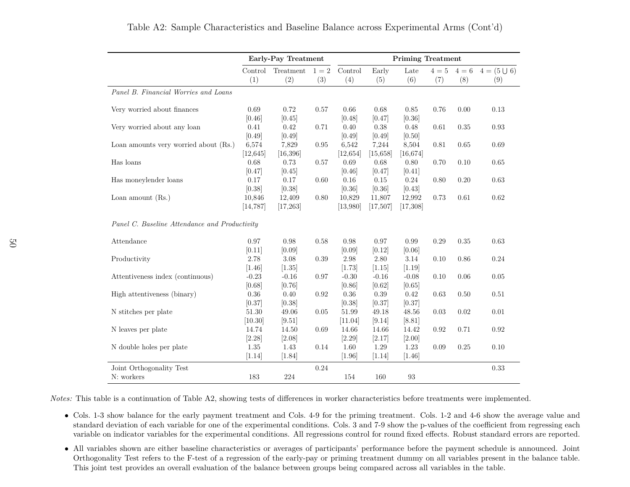|                                               | Early-Pay Treatment |                     |              |                    |                     | <b>Priming Treatment</b> |              |              |                         |  |  |
|-----------------------------------------------|---------------------|---------------------|--------------|--------------------|---------------------|--------------------------|--------------|--------------|-------------------------|--|--|
|                                               | Control<br>(1)      | Treatment<br>(2)    | $1=2$<br>(3) | Control<br>(4)     | Early<br>(5)        | Late<br>(6)              | $4=5$<br>(7) | $4=6$<br>(8) | $4 = (5 \cup 6)$<br>(9) |  |  |
| Panel B. Financial Worries and Loans          |                     |                     |              |                    |                     |                          |              |              |                         |  |  |
| Very worried about finances                   | 0.69<br>[0.46]      | 0.72<br>[0.45]      | 0.57         | 0.66<br>[0.48]     | 0.68<br>[0.47]      | 0.85<br>[0.36]           | 0.76         | 0.00         | 0.13                    |  |  |
| Very worried about any loan                   | 0.41<br>[0.49]      | 0.42<br>[0.49]      | 0.71         | 0.40<br>[0.49]     | 0.38<br>[0.49]      | 0.48<br>[0.50]           | 0.61         | 0.35         | 0.93                    |  |  |
| Loan amounts very worried about (Rs.)         | 6,574<br>[12, 645]  | 7,829<br>[16, 396]  | 0.95         | 6,542<br>[12, 654] | 7,244<br>[15, 658]  | 8,504<br>[16, 674]       | 0.81         | 0.65         | 0.69                    |  |  |
| Has loans                                     | 0.68<br>[0.47]      | 0.73<br>[0.45]      | 0.57         | 0.69<br>[0.46]     | 0.68<br>[0.47]      | 0.80<br>[0.41]           | 0.70         | 0.10         | 0.65                    |  |  |
| Has moneylender loans                         | 0.17<br>[0.38]      | 0.17<br>[0.38]      | 0.60         | 0.16<br>[0.36]     | 0.15<br>[0.36]      | 0.24<br>[0.43]           | 0.80         | 0.20         | 0.63                    |  |  |
| Loan amount $(Rs.)$                           | 10,846<br>[14, 787] | 12,409<br>[17, 263] | 0.80         | 10,829<br>[13,980] | 11,807<br>[17, 507] | 12,992<br>[17,308]       | 0.73         | 0.61         | 0.62                    |  |  |
| Panel C. Baseline Attendance and Productivity |                     |                     |              |                    |                     |                          |              |              |                         |  |  |
| Attendance                                    | 0.97<br>[0.11]      | 0.98<br>[0.09]      | 0.58         | 0.98<br>[0.09]     | 0.97<br>[0.12]      | 0.99<br>[0.06]           | 0.29         | 0.35         | 0.63                    |  |  |
| Productivity                                  | 2.78<br>$[1.46]$    | 3.08<br>$[1.35]$    | 0.39         | 2.98<br>[1.73]     | 2.80<br>[1.15]      | 3.14<br>[1.19]           | 0.10         | 0.86         | 0.24                    |  |  |
| Attentiveness index (continuous)              | $-0.23$<br>[0.68]   | $-0.16$<br>[0.76]   | 0.97         | $-0.30$<br>[0.86]  | $-0.16$<br>[0.62]   | $-0.08$<br>[0.65]        | 0.10         | 0.06         | 0.05                    |  |  |
| High attentiveness (binary)                   | 0.36<br>[0.37]      | 0.40<br>[0.38]      | 0.92         | 0.36<br>[0.38]     | 0.39<br>[0.37]      | 0.42<br>[0.37]           | 0.63         | 0.50         | 0.51                    |  |  |
| N stitches per plate                          | 51.30<br>[10.30]    | 49.06<br>[9.51]     | 0.05         | 51.99<br>[11.04]   | 49.18<br>[9.14]     | 48.56<br>[8.81]          | 0.03         | 0.02         | 0.01                    |  |  |
| N leaves per plate                            | 14.74<br>[2.28]     | 14.50<br>[2.08]     | 0.69         | 14.66<br>$[2.29]$  | 14.66<br>[2.17]     | 14.42<br>$[2.00]$        | 0.92         | 0.71         | 0.92                    |  |  |
| N double holes per plate                      | 1.35<br>$[1.14]$    | 1.43<br>$[1.84]$    | 0.14         | 1.60<br>$[1.96]$   | 1.29<br>$[1.14]$    | 1.23<br>$[1.46]$         | 0.09         | 0.25         | 0.10                    |  |  |
| Joint Orthogonality Test                      |                     |                     | 0.24         |                    |                     |                          |              |              | 0.33                    |  |  |
| N: workers                                    | 183                 | 224                 |              | 154                | 160                 | 93                       |              |              |                         |  |  |

#### Table A2: Sample Characteristics and Baseline Balance across Experimental Arms (Cont'd)

*Notes:* This table is <sup>a</sup> continuation of Table [A2,](#page-50-1) showing tests of differences in worker characteristics before treatments were implemented.

- Cols. 1-3 show balance for the early payment treatment and Cols. 4-9 for the priming treatment. Cols. 1-2 and 4-6 show the average value and standard deviation of each variable for one of the experimental conditions. Cols. 3 and 7-9 show the p-values of the coefficient from regressing eachvariable on indicator variables for the experimental conditions. All regressions control for round fixed effects. Robust standard errors are reported.
- All variables shown are either baseline characteristics or averages of participants' performance before the payment schedule is announced. Joint Orthogonality Test refers to the F-test of <sup>a</sup> regression of the early-pay or priming treatment dummy on all variables present in the balance table.This joint test provides an overall evaluation of the balance between groups being compared across all variables in the table.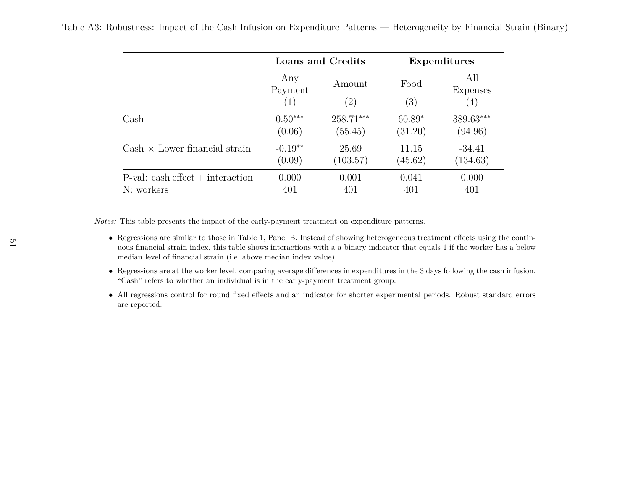<span id="page-52-0"></span>

|  | Table A3: Robustness: Impact of the Cash Infusion on Expenditure Patterns — Heterogeneity by Financial Strain (Binary) |  |  |  |  |  |
|--|------------------------------------------------------------------------------------------------------------------------|--|--|--|--|--|
|  |                                                                                                                        |  |  |  |  |  |

|                                      |                                     | <b>Loans and Credits</b>    | Expenditures              |                        |  |
|--------------------------------------|-------------------------------------|-----------------------------|---------------------------|------------------------|--|
|                                      | Any<br>Payment<br>$\left( 1\right)$ | Amount<br>$\left( 2\right)$ | Food<br>$\left( 3\right)$ | All<br>Expenses<br>(4) |  |
| $\operatorname{Cash}$                | $0.50***$                           | $258.71***$                 | $60.89*$                  | 389.63***              |  |
|                                      | (0.06)                              | (55.45)                     | (31.20)                   | (94.96)                |  |
| $Cash \times Lower financial strain$ | $-0.19**$                           | 25.69                       | 11.15                     | $-34.41$               |  |
|                                      | (0.09)                              | (103.57)                    | (45.62)                   | (134.63)               |  |
| $P$ -val: cash effect + interaction  | 0.000                               | 0.001                       | 0.041                     | 0.000                  |  |
| N: workers                           | 401                                 | 401                         | 401                       | 401                    |  |

*Notes:* This table presents the impact of the early-payment treatment on expenditure patterns.

- Regressions are similar to those in Table [1,](#page-41-1) Panel B. Instead of showing heterogeneous treatment effects using the continuous financial strain index, this table shows interactions with <sup>a</sup> <sup>a</sup> binary indicator that equals 1 if the worker has <sup>a</sup> belowmedian level of financial strain (i.e. above median index value).
- Regressions are at the worker level, comparing average differences in expenditures in the <sup>3</sup> days following the cash infusion. "Cash" refers to whether an individual is in the early-payment treatment group.
- All regressions control for round fixed effects and an indicator for shorter experimental periods. Robust standard errors are reported.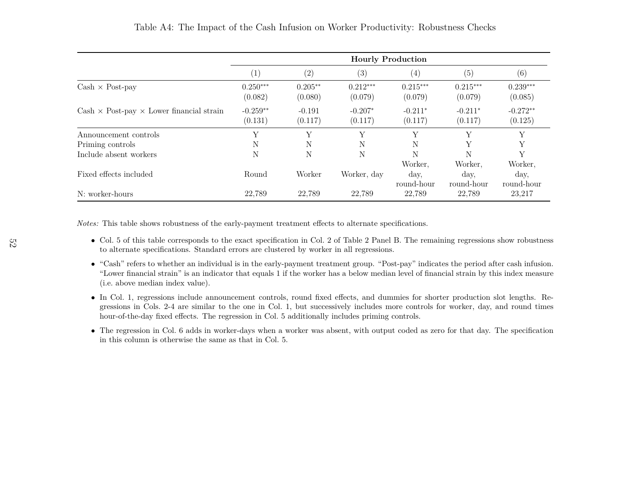|                                                         | <b>Hourly Production</b> |                      |                       |                       |                       |                       |  |
|---------------------------------------------------------|--------------------------|----------------------|-----------------------|-----------------------|-----------------------|-----------------------|--|
|                                                         | $\left( 1\right)$        | (2)                  | (3)                   | (4)                   | (5)                   | (6)                   |  |
| $Cash \times Post$ -pay                                 | $0.250***$<br>(0.082)    | $0.205**$<br>(0.080) | $0.212***$<br>(0.079) | $0.215***$<br>(0.079) | $0.215***$<br>(0.079) | $0.239***$<br>(0.085) |  |
| $Cash \times Post$ -pay $\times$ Lower financial strain | $-0.259**$<br>(0.131)    | $-0.191$<br>(0.117)  | $-0.207*$<br>(0.117)  | $-0.211*$<br>(0.117)  | $-0.211*$<br>(0.117)  | $-0.272**$<br>(0.125) |  |
| Announcement controls                                   | Y                        | $\mathbf{v}$         | $\mathbf{v}$          | Y                     | Y                     | Y                     |  |
| Priming controls                                        | N                        | N                    | N                     | N                     | Y                     | Y                     |  |
| Include absent workers                                  | N                        | N                    | N                     | N                     | N                     | Y                     |  |
|                                                         |                          |                      |                       | Worker,               | Worker,               | Worker,               |  |
| Fixed effects included                                  | Round                    | Worker               | Worker, day           | day,<br>round-hour    | day,<br>round-hour    | day,<br>round-hour    |  |
| N: worker-hours                                         | 22,789                   | 22,789               | 22,789                | 22,789                | 22,789                | 23,217                |  |

Table A4: The Impact of the Cash Infusion on Worker Productivity: Robustness Checks

<span id="page-53-0"></span>*Notes:* This table shows robustness of the early-payment treatment effects to alternate specifications.

- Col. <sup>5</sup> of this table corresponds to the exact specification in Col. <sup>2</sup> of Table [2](#page-42-1) Panel B. The remaining regressions show robustness to alternate specifications. Standard errors are clustered by worker in all regressions.
- "Cash" refers to whether an individual is in the early-payment treatment group. "Post-pay" indicates the period after cash infusion. "Lower financial strain" is an indicator that equals 1 if the worker has <sup>a</sup> below median level of financial strain by this index measure(i.e. above median index value).
- In Col. 1, regressions include announcement controls, round fixed effects, and dummies for shorter production slot lengths. Regressions in Cols. 2-4 are similar to the one in Col. 1, but successively includes more controls for worker, day, and round timeshour-of-the-day fixed effects. The regression in Col. 5 additionally includes priming controls.
- The regression in Col. <sup>6</sup> adds in worker-days when <sup>a</sup> worker was absent, with output coded as zero for that day. The specificationin this column is otherwise the same as that in Col. 5.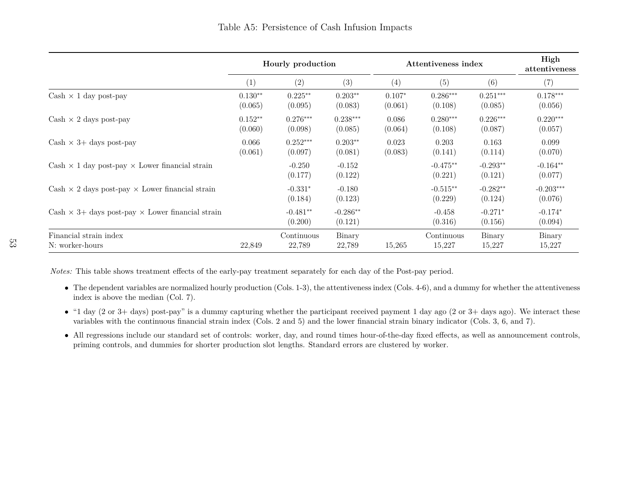|                                                                     | Hourly production    |                       | Attentiveness index   |                     |                       | High<br>attentiveness |                        |
|---------------------------------------------------------------------|----------------------|-----------------------|-----------------------|---------------------|-----------------------|-----------------------|------------------------|
|                                                                     | (1)                  | (2)                   | (3)                   | (4)                 | (5)                   | (6)                   | (7)                    |
| Cash $\times$ 1 day post-pay                                        | $0.130**$<br>(0.065) | $0.225**$<br>(0.095)  | $0.203**$<br>(0.083)  | $0.107*$<br>(0.061) | $0.286***$<br>(0.108) | $0.251***$<br>(0.085) | $0.178***$<br>(0.056)  |
| $Cash \times 2 \text{ days post-pay}$                               | $0.152**$<br>(0.060) | $0.276***$<br>(0.098) | $0.238***$<br>(0.085) | 0.086<br>(0.064)    | $0.280***$<br>(0.108) | $0.226***$<br>(0.087) | $0.220***$<br>(0.057)  |
| $Cash \times 3 + days$ post-pay                                     | 0.066<br>(0.061)     | $0.252***$<br>(0.097) | $0.203**$<br>(0.081)  | 0.023<br>(0.083)    | 0.203<br>(0.141)      | 0.163<br>(0.114)      | 0.099<br>(0.070)       |
| $Cash \times 1$ day post-pay $\times$ Lower financial strain        |                      | $-0.250$<br>(0.177)   | $-0.152$<br>(0.122)   |                     | $-0.475**$<br>(0.221) | $-0.293**$<br>(0.121) | $-0.164**$<br>(0.077)  |
| $Cash \times 2 \text{ days post-pay} \times Lower financial strain$ |                      | $-0.331*$<br>(0.184)  | $-0.180$<br>(0.123)   |                     | $-0.515**$<br>(0.229) | $-0.282**$<br>(0.124) | $-0.203***$<br>(0.076) |
| Cash $\times$ 3+ days post-pay $\times$ Lower financial strain      |                      | $-0.481**$<br>(0.200) | $-0.286**$<br>(0.121) |                     | $-0.458$<br>(0.316)   | $-0.271*$<br>(0.156)  | $-0.174*$<br>(0.094)   |
| Financial strain index<br>N: worker-hours                           | 22,849               | Continuous<br>22,789  | Binary<br>22,789      | 15,265              | Continuous<br>15,227  | Binary<br>15,227      | Binary<br>15,227       |

*Notes:* This table shows treatment effects of the early-pay treatment separately for each day of the Post-pay period.

- The dependent variables are normalized hourly production (Cols. 1-3), the attentiveness index (Cols. 4-6), and <sup>a</sup> dummy for whether the attentiveness index is above the median (Col. 7).
- "1 day (2 or 3+ days) post-pay" is <sup>a</sup> dummy capturing whether the participant received payment <sup>1</sup> day ago (2 or 3+ days ago). We interact these variables with the continuous financial strain index (Cols. <sup>2</sup> and 5) and the lower financial strain binary indicator (Cols. 3, 6, and 7).
- <span id="page-54-0"></span>• All regressions include our standard set of controls: worker, day, and round times hour-of-the-day fixed effects, as well as announcement controls, priming controls, and dummies for shorter production slot lengths. Standard errors are clustered by worker.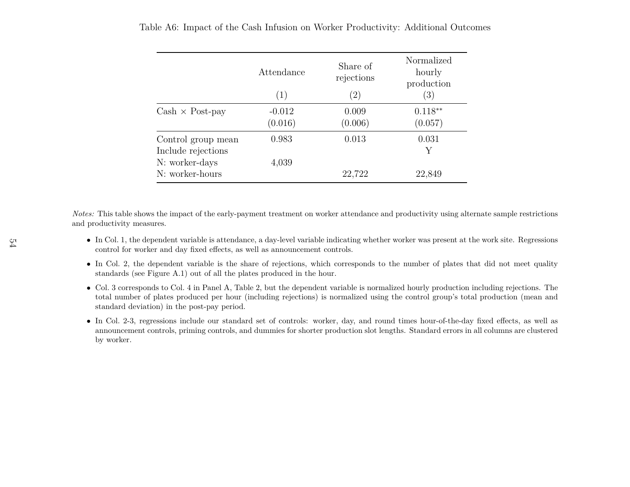|                                          | Attendance<br>$\left( 1\right)$ | Share of<br>rejections<br>(2) | Normalized<br>hourly<br>production<br>(3) |
|------------------------------------------|---------------------------------|-------------------------------|-------------------------------------------|
| $Cash \times Post$ -pay                  | $-0.012$<br>(0.016)             | 0.009<br>(0.006)              | $0.118**$<br>(0.057)                      |
| Control group mean<br>Include rejections | 0.983                           | 0.013                         | 0.031<br>Y                                |
| N: worker-days<br>N: worker-hours        | 4,039                           | 22,722                        | 22,849                                    |

Table A6: Impact of the Cash Infusion on Worker Productivity: Additional Outcomes

<span id="page-55-0"></span>*Notes:* This table shows the impact of the early-payment treatment on worker attendance and productivity using alternate sample restrictions and productivity measures.

- In Col. 1, the dependent variable is attendance, <sup>a</sup> day-level variable indicating whether worker was present at the work site. Regressions control for worker and day fixed effects, as well as announcement controls.
- In Col. 2, the dependent variable is the share of rejections, which corresponds to the number of <sup>p</sup>lates that did not meet qualitystandards (see Figure [A.1\)](#page-47-1) out of all the <sup>p</sup>lates produced in the hour.
- Col. <sup>3</sup> corresponds to Col. <sup>4</sup> in Panel A, Table [2,](#page-42-1) but the dependent variable is normalized hourly production including rejections. The total number of <sup>p</sup>lates produced per hour (including rejections) is normalized using the control group's total production (mean andstandard deviation) in the post-pay period.
- In Col. 2-3, regressions include our standard set of controls: worker, day, and round times hour-of-the-day fixed effects, as well as announcement controls, priming controls, and dummies for shorter production slot lengths. Standard errors in all columns are clusteredby worker.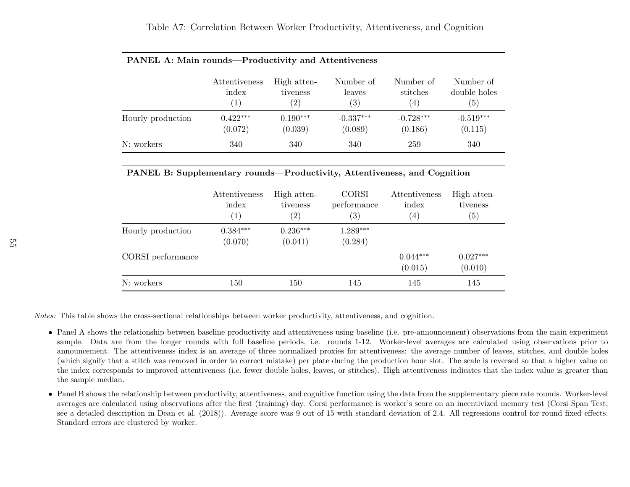|                   | Attentiveness | High atten-       | Number of         | Number of   | Number of    |
|-------------------|---------------|-------------------|-------------------|-------------|--------------|
|                   | index         | tiveness          | leaves            | stitches    | double holes |
|                   | (1)           | $\left( 2\right)$ | $\left( 3\right)$ | (4)         | (5)          |
| Hourly production | $0.422***$    | $0.190***$        | $-0.337***$       | $-0.728***$ | $-0.519***$  |
|                   | (0.072)       | (0.039)           | (0.089)           | (0.186)     | (0.115)      |
| N: workers        | 340           | 340               | 340               | 259         | 340          |

#### **PANEL A: Main rounds—Productivity and Attentiveness**

#### **PANEL B: Supplementary rounds—Productivity, Attentiveness, and Cognition**

|                   | Attentiveness<br>index<br>$\left( 1\right)$ | High atten-<br>tiveness<br>$\left( 2\right)$ | <b>CORSI</b><br>performance<br>$\left( 3\right)$ | Attentiveness<br>index<br>$\left( 4\right)$ | High atten-<br>tiveness<br>(5) |  |
|-------------------|---------------------------------------------|----------------------------------------------|--------------------------------------------------|---------------------------------------------|--------------------------------|--|
| Hourly production | $0.384***$<br>(0.070)                       | $0.236***$<br>(0.041)                        | $1.289***$<br>(0.284)                            |                                             |                                |  |
| CORSI performance |                                             |                                              |                                                  | $0.044***$<br>(0.015)                       | $0.027***$<br>(0.010)          |  |
| N: workers        | 150                                         | 150                                          | 145                                              | 145                                         | 145                            |  |

<span id="page-56-0"></span>*Notes:* This table shows the cross-sectional relationships between worker productivity, attentiveness, and cognition.

- Panel <sup>A</sup> shows the relationship between baseline productivity and attentiveness using baseline (i.e. pre-announcement) observations from the main experiment sample. Data are from the longer rounds with full baseline periods, i.e. rounds 1-12. Worker-level averages are calculated using observations prior to announcement. The attentiveness index is an average of three normalized proxies for attentiveness: the average number of leaves, stitches, and double holes (which signify that <sup>a</sup> stitch was removed in order to correct mistake) per <sup>p</sup>late during the production hour slot. The scale is reversed so that <sup>a</sup> higher value on the index corresponds to improved attentiveness (i.e. fewer double holes, leaves, or stitches). High attentiveness indicates that the index value is greater thanthe sample median.
- Panel <sup>B</sup> shows the relationship between productivity, attentiveness, and cognitive function using the data from the supplementary <sup>p</sup>iece rate rounds. Worker-level averages are calculated using observations after the first (training) day. Corsi performance is worker's score on an incentivized memory test (Corsi Span Test, see <sup>a</sup> detailed description in [Dean](#page-35-17) et al. [\(2018\)](#page-35-17)). Average score was <sup>9</sup> out of <sup>15</sup> with standard deviation of 2.4. All regressions control for round fixed effects.Standard errors are clustered by worker.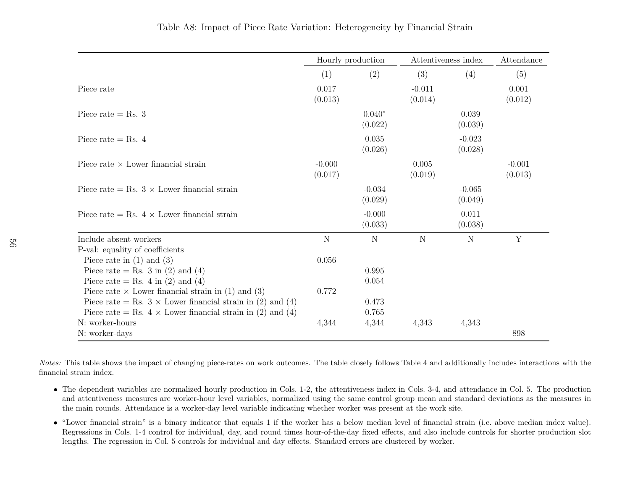|                                                                   |                     | Hourly production   | Attentiveness index |                     | Attendance          |
|-------------------------------------------------------------------|---------------------|---------------------|---------------------|---------------------|---------------------|
|                                                                   | (1)                 | (2)                 | (3)                 | (4)                 | (5)                 |
| Piece rate                                                        | 0.017<br>(0.013)    |                     | $-0.011$<br>(0.014) |                     | 0.001<br>(0.012)    |
| Piece rate $=$ Rs. 3                                              |                     | $0.040*$<br>(0.022) |                     | 0.039<br>(0.039)    |                     |
| Piece rate = Rs. $4$                                              |                     | 0.035<br>(0.026)    |                     | $-0.023$<br>(0.028) |                     |
| Piece rate $\times$ Lower financial strain                        | $-0.000$<br>(0.017) |                     | 0.005<br>(0.019)    |                     | $-0.001$<br>(0.013) |
| Piece rate = Rs. $3 \times$ Lower financial strain                |                     | $-0.034$<br>(0.029) |                     | $-0.065$<br>(0.049) |                     |
| Piece rate = Rs. $4 \times$ Lower financial strain                |                     | $-0.000$<br>(0.033) |                     | 0.011<br>(0.038)    |                     |
| Include absent workers                                            | N                   | N                   | N                   | $\mathbf N$         | Y                   |
| P-val: equality of coefficients                                   |                     |                     |                     |                     |                     |
| Piece rate in $(1)$ and $(3)$                                     | 0.056               |                     |                     |                     |                     |
| Piece rate = Rs. 3 in (2) and (4)                                 |                     | 0.995               |                     |                     |                     |
| Piece rate = Rs. 4 in (2) and (4)                                 |                     | 0.054               |                     |                     |                     |
| Piece rate $\times$ Lower financial strain in (1) and (3)         | 0.772               |                     |                     |                     |                     |
| Piece rate = Rs. $3 \times$ Lower financial strain in (2) and (4) |                     | 0.473               |                     |                     |                     |
| Piece rate = Rs. $4 \times$ Lower financial strain in (2) and (4) |                     | 0.765               |                     |                     |                     |
| N: worker-hours                                                   | 4,344               | 4,344               | 4,343               | 4,343               |                     |
| N: worker-days                                                    |                     |                     |                     |                     | 898                 |

*Notes:* This table shows the impact of changing <sup>p</sup>iece-rates on work outcomes. The table closely follows Table [4](#page-44-1) and additionally includes interactions with thefinancial strain index.

- The dependent variables are normalized hourly production in Cols. 1-2, the attentiveness index in Cols. 3-4, and attendance in Col. 5. The production and attentiveness measures are worker-hour level variables, normalized using the same control group mean and standard deviations as the measures inthe main rounds. Attendance is <sup>a</sup> worker-day level variable indicating whether worker was present at the work site.
- <span id="page-57-0"></span>• "Lower financial strain" is <sup>a</sup> binary indicator that equals <sup>1</sup> if the worker has <sup>a</sup> below median level of financial strain (i.e. above median index value). Regressions in Cols. 1-4 control for individual, day, and round times hour-of-the-day fixed effects, and also include controls for shorter production slotlengths. The regression in Col. 5 controls for individual and day effects. Standard errors are clustered by worker.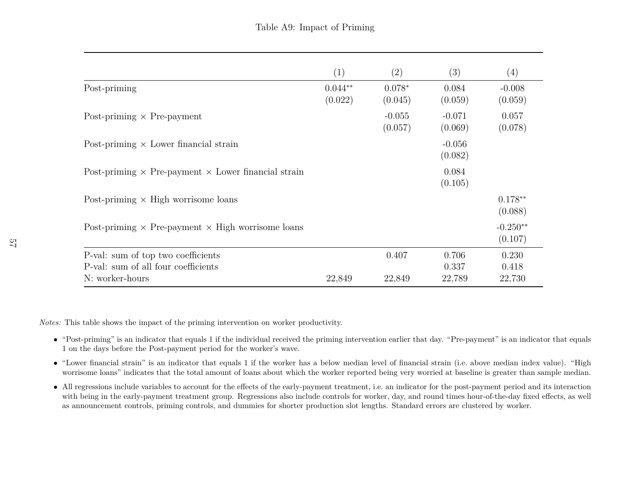|                                                                           | (1)                  | (2)                 | (3)                 | (4)                   |
|---------------------------------------------------------------------------|----------------------|---------------------|---------------------|-----------------------|
| Post-priming                                                              | $0.044**$<br>(0.022) | $0.078*$<br>(0.045) | 0.084<br>(0.059)    | $-0.008$<br>(0.059)   |
| Post-priming $\times$ Pre-payment                                         |                      | $-0.055$<br>(0.057) | $-0.071$<br>(0.069) | 0.057<br>(0.078)      |
| Post-priming $\times$ Lower financial strain                              |                      |                     | $-0.056$<br>(0.082) |                       |
| Post-priming $\times$ Pre-payment $\times$ Lower financial strain         |                      |                     | 0.084<br>(0.105)    |                       |
| Post-priming $\times$ High worrisome loans                                |                      |                     |                     | $0.178**$<br>(0.088)  |
| Post-priming $\times$ Pre-payment $\times$ High worrisome loans           |                      |                     |                     | $-0.250**$<br>(0.107) |
| P-val: sum of top two coefficients<br>P-val: sum of all four coefficients |                      | 0.407               | 0.706<br>0.337      | 0.230<br>0.418        |
| N: worker-hours                                                           | 22,849               | 22,849              | 22,789              | 22,730                |

*Notes:* This table shows the impact of the priming intervention on worker productivity.

- "Post-priming" is an indicator that equals <sup>1</sup> if the individual received the priming intervention earlier that day. "Pre-payment" is an indicator that equals 1 on the days before the Post-payment period for the worker's wave.
- "Lower financial strain" is an indicator that equals <sup>1</sup> if the worker has <sup>a</sup> below median level of financial strain (i.e. above median index value). "Highworrisome loans" indicates that the total amount of loans about which the worker reported being very worried at baseline is greater than sample median.
- <span id="page-58-0"></span>• All regressions include variables to account for the effects of the early-payment treatment, i.e. an indicator for the post-payment period and its interaction with being in the early-payment treatment group. Regressions also include controls for worker, day, and round times hour-of-the-day fixed effects, as wellas announcement controls, priming controls, and dummies for shorter production slot lengths. Standard errors are clustered by worker.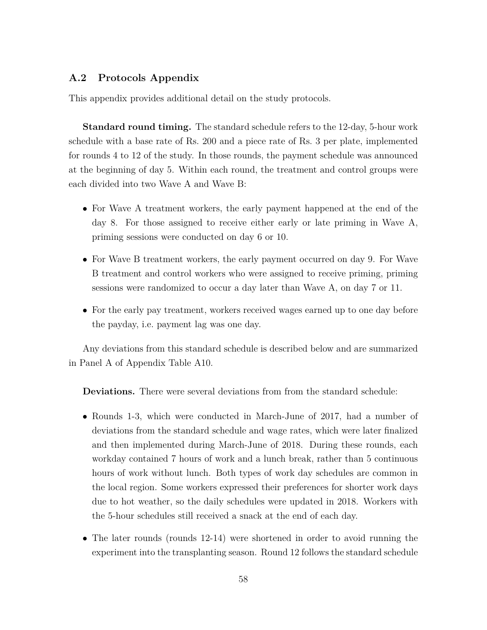## <span id="page-59-0"></span>**A.2 Protocols Appendix**

This appendix provides additional detail on the study protocols.

**Standard round timing.** The standard schedule refers to the 12-day, 5-hour work schedule with a base rate of Rs. 200 and a piece rate of Rs. 3 per plate, implemented for rounds 4 to 12 of the study. In those rounds, the payment schedule was announced at the beginning of day 5. Within each round, the treatment and control groups were each divided into two Wave A and Wave B:

- For Wave A treatment workers, the early payment happened at the end of the day 8. For those assigned to receive either early or late priming in Wave A, priming sessions were conducted on day 6 or 10.
- For Wave B treatment workers, the early payment occurred on day 9. For Wave B treatment and control workers who were assigned to receive priming, priming sessions were randomized to occur a day later than Wave A, on day 7 or 11.
- For the early pay treatment, workers received wages earned up to one day before the payday, i.e. payment lag was one day.

Any deviations from this standard schedule is described below and are summarized in Panel A of Appendix Table [A10.](#page-61-0)

**Deviations.** There were several deviations from from the standard schedule:

- Rounds 1-3, which were conducted in March-June of 2017, had a number of deviations from the standard schedule and wage rates, which were later finalized and then implemented during March-June of 2018. During these rounds, each workday contained 7 hours of work and a lunch break, rather than 5 continuous hours of work without lunch. Both types of work day schedules are common in the local region. Some workers expressed their preferences for shorter work days due to hot weather, so the daily schedules were updated in 2018. Workers with the 5-hour schedules still received a snack at the end of each day.
- The later rounds (rounds 12-14) were shortened in order to avoid running the experiment into the transplanting season. Round 12 follows the standard schedule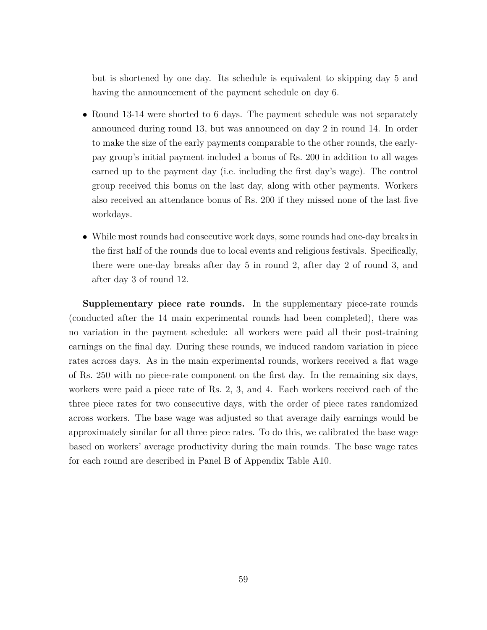but is shortened by one day. Its schedule is equivalent to skipping day 5 and having the announcement of the payment schedule on day 6.

- Round 13-14 were shorted to 6 days. The payment schedule was not separately announced during round 13, but was announced on day 2 in round 14. In order to make the size of the early payments comparable to the other rounds, the earlypay group's initial payment included a bonus of Rs. 200 in addition to all wages earned up to the payment day (i.e. including the first day's wage). The control group received this bonus on the last day, along with other payments. Workers also received an attendance bonus of Rs. 200 if they missed none of the last five workdays.
- While most rounds had consecutive work days, some rounds had one-day breaks in the first half of the rounds due to local events and religious festivals. Specifically, there were one-day breaks after day 5 in round 2, after day 2 of round 3, and after day 3 of round 12.

**Supplementary piece rate rounds.** In the supplementary piece-rate rounds (conducted after the 14 main experimental rounds had been completed), there was no variation in the payment schedule: all workers were paid all their post-training earnings on the final day. During these rounds, we induced random variation in piece rates across days. As in the main experimental rounds, workers received a flat wage of Rs. 250 with no piece-rate component on the first day. In the remaining six days, workers were paid a piece rate of Rs. 2, 3, and 4. Each workers received each of the three piece rates for two consecutive days, with the order of piece rates randomized across workers. The base wage was adjusted so that average daily earnings would be approximately similar for all three piece rates. To do this, we calibrated the base wage based on workers' average productivity during the main rounds. The base wage rates for each round are described in Panel B of Appendix Table [A10.](#page-61-0)